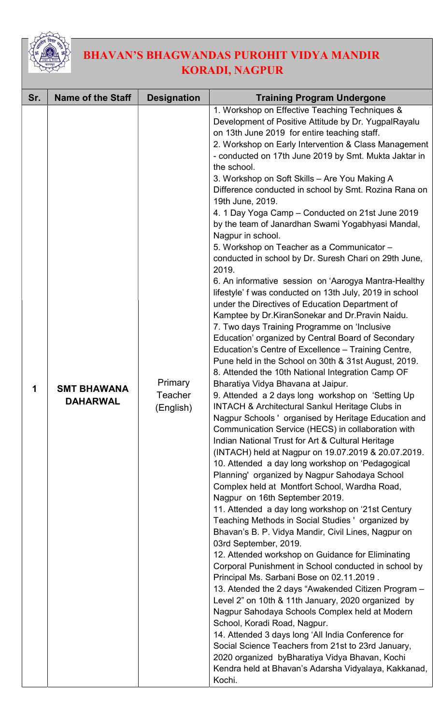

## BHAVAN'S BHAGWANDAS PUROHIT VIDYA MANDIR KORADI, NAGPUR

| Sr. | <b>Name of the Staff</b>              | <b>Designation</b>                     | <b>Training Program Undergone</b>                                                                                                                                                                                                                                                                                                                                                                                                                                                                                                                                                                                                                                                                                                                                                                                                                                                                                                                                                                                                                                                                                                                                                                                                                                                                                                                                                                                                                                                                                                                                                                                                                                                                                                                                                                                                                                                                                                                                                                                                                                                                                                                                                                                                                                                                                                                                                                                                                                                                                                     |
|-----|---------------------------------------|----------------------------------------|---------------------------------------------------------------------------------------------------------------------------------------------------------------------------------------------------------------------------------------------------------------------------------------------------------------------------------------------------------------------------------------------------------------------------------------------------------------------------------------------------------------------------------------------------------------------------------------------------------------------------------------------------------------------------------------------------------------------------------------------------------------------------------------------------------------------------------------------------------------------------------------------------------------------------------------------------------------------------------------------------------------------------------------------------------------------------------------------------------------------------------------------------------------------------------------------------------------------------------------------------------------------------------------------------------------------------------------------------------------------------------------------------------------------------------------------------------------------------------------------------------------------------------------------------------------------------------------------------------------------------------------------------------------------------------------------------------------------------------------------------------------------------------------------------------------------------------------------------------------------------------------------------------------------------------------------------------------------------------------------------------------------------------------------------------------------------------------------------------------------------------------------------------------------------------------------------------------------------------------------------------------------------------------------------------------------------------------------------------------------------------------------------------------------------------------------------------------------------------------------------------------------------------------|
| 1   | <b>SMT BHAWANA</b><br><b>DAHARWAL</b> | Primary<br><b>Teacher</b><br>(English) | 1. Workshop on Effective Teaching Techniques &<br>Development of Positive Attitude by Dr. YugpalRayalu<br>on 13th June 2019 for entire teaching staff.<br>2. Workshop on Early Intervention & Class Management<br>- conducted on 17th June 2019 by Smt. Mukta Jaktar in<br>the school.<br>3. Workshop on Soft Skills - Are You Making A<br>Difference conducted in school by Smt. Rozina Rana on<br>19th June, 2019.<br>4. 1 Day Yoga Camp - Conducted on 21st June 2019<br>by the team of Janardhan Swami Yogabhyasi Mandal,<br>Nagpur in school.<br>5. Workshop on Teacher as a Communicator -<br>conducted in school by Dr. Suresh Chari on 29th June,<br>2019.<br>6. An informative session on 'Aarogya Mantra-Healthy<br>lifestyle' f was conducted on 13th July, 2019 in school<br>under the Directives of Education Department of<br>Kamptee by Dr. Kiran Sonekar and Dr. Pravin Naidu.<br>7. Two days Training Programme on 'Inclusive<br>Education' organized by Central Board of Secondary<br>Education's Centre of Excellence – Training Centre,<br>Pune held in the School on 30th & 31st August, 2019.<br>8. Attended the 10th National Integration Camp OF<br>Bharatiya Vidya Bhavana at Jaipur.<br>9. Attended a 2 days long workshop on 'Setting Up<br><b>INTACH &amp; Architectural Sankul Heritage Clubs in</b><br>Nagpur Schools ' organised by Heritage Education and<br>Communication Service (HECS) in collaboration with<br>Indian National Trust for Art & Cultural Heritage<br>(INTACH) held at Nagpur on 19.07.2019 & 20.07.2019.<br>10. Attended a day long workshop on 'Pedagogical<br>Planning' organized by Nagpur Sahodaya School<br>Complex held at Montfort School, Wardha Road,<br>Nagpur on 16th September 2019.<br>11. Attended a day long workshop on '21st Century<br>Teaching Methods in Social Studies 'organized by<br>Bhavan's B. P. Vidya Mandir, Civil Lines, Nagpur on<br>03rd September, 2019.<br>12. Attended workshop on Guidance for Eliminating<br>Corporal Punishment in School conducted in school by<br>Principal Ms. Sarbani Bose on 02.11.2019.<br>13. Atended the 2 days "Awakended Citizen Program -<br>Level 2" on 10th & 11th January, 2020 organized by<br>Nagpur Sahodaya Schools Complex held at Modern<br>School, Koradi Road, Nagpur.<br>14. Attended 3 days long 'All India Conference for<br>Social Science Teachers from 21st to 23rd January,<br>2020 organized byBharatiya Vidya Bhavan, Kochi<br>Kendra held at Bhavan's Adarsha Vidyalaya, Kakkanad,<br>Kochi. |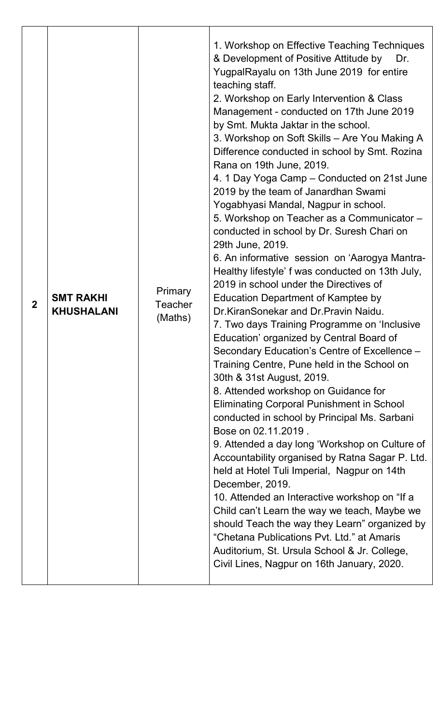| $\mathbf{2}$ | <b>SMT RAKHI</b><br><b>KHUSHALANI</b> | <b>Primary</b><br><b>Teacher</b><br>(Maths) | 1. Workshop on Effective Teaching Techniques<br>& Development of Positive Attitude by<br>Dr.<br>YugpalRayalu on 13th June 2019 for entire<br>teaching staff.<br>2. Workshop on Early Intervention & Class<br>Management - conducted on 17th June 2019<br>by Smt. Mukta Jaktar in the school.<br>3. Workshop on Soft Skills - Are You Making A<br>Difference conducted in school by Smt. Rozina<br>Rana on 19th June, 2019.<br>4. 1 Day Yoga Camp – Conducted on 21st June<br>2019 by the team of Janardhan Swami<br>Yogabhyasi Mandal, Nagpur in school.<br>5. Workshop on Teacher as a Communicator -<br>conducted in school by Dr. Suresh Chari on<br>29th June, 2019.<br>6. An informative session on 'Aarogya Mantra-<br>Healthy lifestyle' f was conducted on 13th July,<br>2019 in school under the Directives of<br><b>Education Department of Kamptee by</b><br>Dr.KiranSonekar and Dr.Pravin Naidu.<br>7. Two days Training Programme on 'Inclusive<br>Education' organized by Central Board of<br>Secondary Education's Centre of Excellence -<br>Training Centre, Pune held in the School on<br>30th & 31st August, 2019.<br>8. Attended workshop on Guidance for<br><b>Eliminating Corporal Punishment in School</b><br>conducted in school by Principal Ms. Sarbani<br>Bose on 02.11.2019.<br>9. Attended a day long 'Workshop on Culture of<br>Accountability organised by Ratna Sagar P. Ltd.<br>held at Hotel Tuli Imperial, Nagpur on 14th<br>December, 2019.<br>10. Attended an Interactive workshop on "If a<br>Child can't Learn the way we teach, Maybe we<br>should Teach the way they Learn" organized by<br>"Chetana Publications Pvt. Ltd." at Amaris<br>Auditorium, St. Ursula School & Jr. College,<br>Civil Lines, Nagpur on 16th January, 2020. |
|--------------|---------------------------------------|---------------------------------------------|------------------------------------------------------------------------------------------------------------------------------------------------------------------------------------------------------------------------------------------------------------------------------------------------------------------------------------------------------------------------------------------------------------------------------------------------------------------------------------------------------------------------------------------------------------------------------------------------------------------------------------------------------------------------------------------------------------------------------------------------------------------------------------------------------------------------------------------------------------------------------------------------------------------------------------------------------------------------------------------------------------------------------------------------------------------------------------------------------------------------------------------------------------------------------------------------------------------------------------------------------------------------------------------------------------------------------------------------------------------------------------------------------------------------------------------------------------------------------------------------------------------------------------------------------------------------------------------------------------------------------------------------------------------------------------------------------------------------------------------------------------------------------|
|--------------|---------------------------------------|---------------------------------------------|------------------------------------------------------------------------------------------------------------------------------------------------------------------------------------------------------------------------------------------------------------------------------------------------------------------------------------------------------------------------------------------------------------------------------------------------------------------------------------------------------------------------------------------------------------------------------------------------------------------------------------------------------------------------------------------------------------------------------------------------------------------------------------------------------------------------------------------------------------------------------------------------------------------------------------------------------------------------------------------------------------------------------------------------------------------------------------------------------------------------------------------------------------------------------------------------------------------------------------------------------------------------------------------------------------------------------------------------------------------------------------------------------------------------------------------------------------------------------------------------------------------------------------------------------------------------------------------------------------------------------------------------------------------------------------------------------------------------------------------------------------------------------|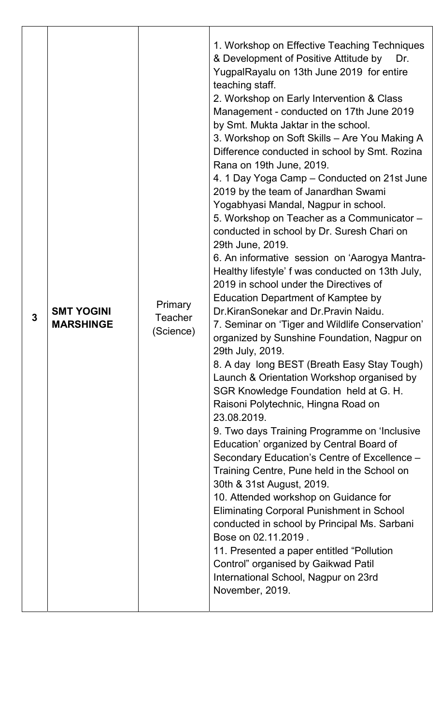| 3 | <b>SMT YOGINI</b><br><b>MARSHINGE</b> | <b>Primary</b><br><b>Teacher</b><br>(Science) | 1. Workshop on Effective Teaching Techniques<br>& Development of Positive Attitude by<br>Dr.<br>YugpalRayalu on 13th June 2019 for entire<br>teaching staff.<br>2. Workshop on Early Intervention & Class<br>Management - conducted on 17th June 2019<br>by Smt. Mukta Jaktar in the school.<br>3. Workshop on Soft Skills - Are You Making A<br>Difference conducted in school by Smt. Rozina<br>Rana on 19th June, 2019.<br>4. 1 Day Yoga Camp – Conducted on 21st June<br>2019 by the team of Janardhan Swami<br>Yogabhyasi Mandal, Nagpur in school.<br>5. Workshop on Teacher as a Communicator -<br>conducted in school by Dr. Suresh Chari on<br>29th June, 2019.<br>6. An informative session on 'Aarogya Mantra-<br>Healthy lifestyle' f was conducted on 13th July,<br>2019 in school under the Directives of<br><b>Education Department of Kamptee by</b><br>Dr.KiranSonekar and Dr.Pravin Naidu.<br>7. Seminar on 'Tiger and Wildlife Conservation'<br>organized by Sunshine Foundation, Nagpur on<br>29th July, 2019.<br>8. A day long BEST (Breath Easy Stay Tough)<br>Launch & Orientation Workshop organised by<br>SGR Knowledge Foundation held at G. H.<br>Raisoni Polytechnic, Hingna Road on<br>23.08.2019.<br>9. Two days Training Programme on 'Inclusive<br>Education' organized by Central Board of<br>Secondary Education's Centre of Excellence -<br>Training Centre, Pune held in the School on<br>30th & 31st August, 2019.<br>10. Attended workshop on Guidance for<br><b>Eliminating Corporal Punishment in School</b><br>conducted in school by Principal Ms. Sarbani<br>Bose on 02.11.2019.<br>11. Presented a paper entitled "Pollution"<br>Control" organised by Gaikwad Patil<br>International School, Nagpur on 23rd<br>November, 2019. |
|---|---------------------------------------|-----------------------------------------------|-----------------------------------------------------------------------------------------------------------------------------------------------------------------------------------------------------------------------------------------------------------------------------------------------------------------------------------------------------------------------------------------------------------------------------------------------------------------------------------------------------------------------------------------------------------------------------------------------------------------------------------------------------------------------------------------------------------------------------------------------------------------------------------------------------------------------------------------------------------------------------------------------------------------------------------------------------------------------------------------------------------------------------------------------------------------------------------------------------------------------------------------------------------------------------------------------------------------------------------------------------------------------------------------------------------------------------------------------------------------------------------------------------------------------------------------------------------------------------------------------------------------------------------------------------------------------------------------------------------------------------------------------------------------------------------------------------------------------------------------------------------------------------|
|---|---------------------------------------|-----------------------------------------------|-----------------------------------------------------------------------------------------------------------------------------------------------------------------------------------------------------------------------------------------------------------------------------------------------------------------------------------------------------------------------------------------------------------------------------------------------------------------------------------------------------------------------------------------------------------------------------------------------------------------------------------------------------------------------------------------------------------------------------------------------------------------------------------------------------------------------------------------------------------------------------------------------------------------------------------------------------------------------------------------------------------------------------------------------------------------------------------------------------------------------------------------------------------------------------------------------------------------------------------------------------------------------------------------------------------------------------------------------------------------------------------------------------------------------------------------------------------------------------------------------------------------------------------------------------------------------------------------------------------------------------------------------------------------------------------------------------------------------------------------------------------------------------|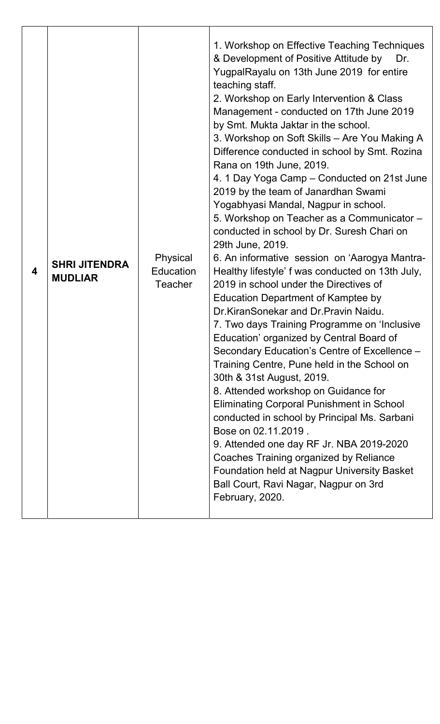| 4 | <b>SHRI JITENDRA</b><br><b>MUDLIAR</b> | Physical<br>Education<br><b>Teacher</b> | 1. Workshop on Effective Teaching Techniques<br>& Development of Positive Attitude by<br>Dr.<br>YugpalRayalu on 13th June 2019 for entire<br>teaching staff.<br>2. Workshop on Early Intervention & Class<br>Management - conducted on 17th June 2019<br>by Smt. Mukta Jaktar in the school.<br>3. Workshop on Soft Skills - Are You Making A<br>Difference conducted in school by Smt. Rozina<br>Rana on 19th June, 2019.<br>4. 1 Day Yoga Camp – Conducted on 21st June<br>2019 by the team of Janardhan Swami<br>Yogabhyasi Mandal, Nagpur in school.<br>5. Workshop on Teacher as a Communicator -<br>conducted in school by Dr. Suresh Chari on<br>29th June, 2019.<br>6. An informative session on 'Aarogya Mantra-<br>Healthy lifestyle' f was conducted on 13th July,<br>2019 in school under the Directives of<br><b>Education Department of Kamptee by</b><br>Dr.KiranSonekar and Dr.Pravin Naidu.<br>7. Two days Training Programme on 'Inclusive<br>Education' organized by Central Board of<br>Secondary Education's Centre of Excellence -<br>Training Centre, Pune held in the School on<br>30th & 31st August, 2019.<br>8. Attended workshop on Guidance for<br><b>Eliminating Corporal Punishment in School</b><br>conducted in school by Principal Ms. Sarbani<br>Bose on 02.11.2019.<br>9. Attended one day RF Jr. NBA 2019-2020<br>Coaches Training organized by Reliance<br><b>Foundation held at Nagpur University Basket</b><br>Ball Court, Ravi Nagar, Nagpur on 3rd<br>February, 2020. |
|---|----------------------------------------|-----------------------------------------|-----------------------------------------------------------------------------------------------------------------------------------------------------------------------------------------------------------------------------------------------------------------------------------------------------------------------------------------------------------------------------------------------------------------------------------------------------------------------------------------------------------------------------------------------------------------------------------------------------------------------------------------------------------------------------------------------------------------------------------------------------------------------------------------------------------------------------------------------------------------------------------------------------------------------------------------------------------------------------------------------------------------------------------------------------------------------------------------------------------------------------------------------------------------------------------------------------------------------------------------------------------------------------------------------------------------------------------------------------------------------------------------------------------------------------------------------------------------------------------------------------------------|
|---|----------------------------------------|-----------------------------------------|-----------------------------------------------------------------------------------------------------------------------------------------------------------------------------------------------------------------------------------------------------------------------------------------------------------------------------------------------------------------------------------------------------------------------------------------------------------------------------------------------------------------------------------------------------------------------------------------------------------------------------------------------------------------------------------------------------------------------------------------------------------------------------------------------------------------------------------------------------------------------------------------------------------------------------------------------------------------------------------------------------------------------------------------------------------------------------------------------------------------------------------------------------------------------------------------------------------------------------------------------------------------------------------------------------------------------------------------------------------------------------------------------------------------------------------------------------------------------------------------------------------------|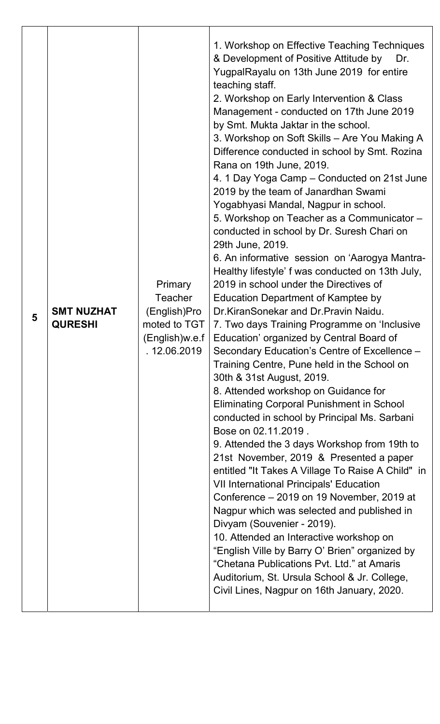| 5 | <b>SMT NUZHAT</b><br><b>QURESHI</b> | <b>Primary</b><br><b>Teacher</b><br>(English)Pro<br>moted to TGT<br>(English)w.e.f<br>. 12.06.2019 | 1. Workshop on Effective Teaching Techniques<br>& Development of Positive Attitude by<br>Dr.<br>YugpalRayalu on 13th June 2019 for entire<br>teaching staff.<br>2. Workshop on Early Intervention & Class<br>Management - conducted on 17th June 2019<br>by Smt. Mukta Jaktar in the school.<br>3. Workshop on Soft Skills - Are You Making A<br>Difference conducted in school by Smt. Rozina<br>Rana on 19th June, 2019.<br>4. 1 Day Yoga Camp – Conducted on 21st June<br>2019 by the team of Janardhan Swami<br>Yogabhyasi Mandal, Nagpur in school.<br>5. Workshop on Teacher as a Communicator -<br>conducted in school by Dr. Suresh Chari on<br>29th June, 2019.<br>6. An informative session on 'Aarogya Mantra-<br>Healthy lifestyle' f was conducted on 13th July,<br>2019 in school under the Directives of<br><b>Education Department of Kamptee by</b><br>Dr.KiranSonekar and Dr.Pravin Naidu.<br>7. Two days Training Programme on 'Inclusive<br>Education' organized by Central Board of<br>Secondary Education's Centre of Excellence -<br>Training Centre, Pune held in the School on<br>30th & 31st August, 2019.<br>8. Attended workshop on Guidance for<br><b>Eliminating Corporal Punishment in School</b><br>conducted in school by Principal Ms. Sarbani<br>Bose on 02.11.2019.<br>9. Attended the 3 days Workshop from 19th to<br>21st November, 2019 & Presented a paper<br>entitled "It Takes A Village To Raise A Child" in<br><b>VII International Principals' Education</b><br>Conference - 2019 on 19 November, 2019 at<br>Nagpur which was selected and published in<br>Divyam (Souvenier - 2019).<br>10. Attended an Interactive workshop on<br>"English Ville by Barry O' Brien" organized by<br>"Chetana Publications Pyt. Ltd." at Amaris<br>Auditorium, St. Ursula School & Jr. College,<br>Civil Lines, Nagpur on 16th January, 2020. |
|---|-------------------------------------|----------------------------------------------------------------------------------------------------|-----------------------------------------------------------------------------------------------------------------------------------------------------------------------------------------------------------------------------------------------------------------------------------------------------------------------------------------------------------------------------------------------------------------------------------------------------------------------------------------------------------------------------------------------------------------------------------------------------------------------------------------------------------------------------------------------------------------------------------------------------------------------------------------------------------------------------------------------------------------------------------------------------------------------------------------------------------------------------------------------------------------------------------------------------------------------------------------------------------------------------------------------------------------------------------------------------------------------------------------------------------------------------------------------------------------------------------------------------------------------------------------------------------------------------------------------------------------------------------------------------------------------------------------------------------------------------------------------------------------------------------------------------------------------------------------------------------------------------------------------------------------------------------------------------------------------------------------------------------------------------|
|---|-------------------------------------|----------------------------------------------------------------------------------------------------|-----------------------------------------------------------------------------------------------------------------------------------------------------------------------------------------------------------------------------------------------------------------------------------------------------------------------------------------------------------------------------------------------------------------------------------------------------------------------------------------------------------------------------------------------------------------------------------------------------------------------------------------------------------------------------------------------------------------------------------------------------------------------------------------------------------------------------------------------------------------------------------------------------------------------------------------------------------------------------------------------------------------------------------------------------------------------------------------------------------------------------------------------------------------------------------------------------------------------------------------------------------------------------------------------------------------------------------------------------------------------------------------------------------------------------------------------------------------------------------------------------------------------------------------------------------------------------------------------------------------------------------------------------------------------------------------------------------------------------------------------------------------------------------------------------------------------------------------------------------------------------|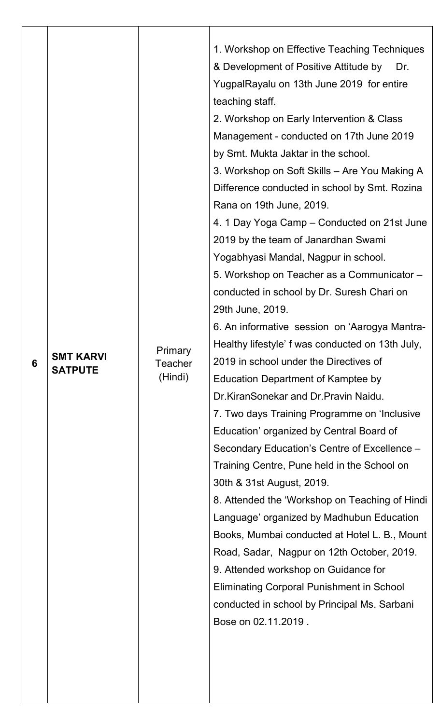| 6 | <b>SMT KARVI</b><br><b>SATPUTE</b> | Primary<br><b>Teacher</b><br>(Hindi) | 1. Workshop on Effective Teaching Techniques<br>& Development of Positive Attitude by<br>Dr.<br>YugpalRayalu on 13th June 2019 for entire<br>teaching staff.<br>2. Workshop on Early Intervention & Class<br>Management - conducted on 17th June 2019<br>by Smt. Mukta Jaktar in the school.<br>3. Workshop on Soft Skills - Are You Making A<br>Difference conducted in school by Smt. Rozina<br>Rana on 19th June, 2019.<br>4. 1 Day Yoga Camp – Conducted on 21st June<br>2019 by the team of Janardhan Swami<br>Yogabhyasi Mandal, Nagpur in school.<br>5. Workshop on Teacher as a Communicator -<br>conducted in school by Dr. Suresh Chari on<br>29th June, 2019.<br>6. An informative session on 'Aarogya Mantra-<br>Healthy lifestyle' f was conducted on 13th July,<br>2019 in school under the Directives of<br><b>Education Department of Kamptee by</b><br>Dr.KiranSonekar and Dr.Pravin Naidu.<br>7. Two days Training Programme on 'Inclusive<br>Education' organized by Central Board of<br>Secondary Education's Centre of Excellence -<br>Training Centre, Pune held in the School on<br>30th & 31st August, 2019.<br>8. Attended the 'Workshop on Teaching of Hindi<br>Language' organized by Madhubun Education<br>Books, Mumbai conducted at Hotel L. B., Mount<br>Road, Sadar, Nagpur on 12th October, 2019.<br>9. Attended workshop on Guidance for<br><b>Eliminating Corporal Punishment in School</b><br>conducted in school by Principal Ms. Sarbani<br>Bose on 02.11.2019. |
|---|------------------------------------|--------------------------------------|-------------------------------------------------------------------------------------------------------------------------------------------------------------------------------------------------------------------------------------------------------------------------------------------------------------------------------------------------------------------------------------------------------------------------------------------------------------------------------------------------------------------------------------------------------------------------------------------------------------------------------------------------------------------------------------------------------------------------------------------------------------------------------------------------------------------------------------------------------------------------------------------------------------------------------------------------------------------------------------------------------------------------------------------------------------------------------------------------------------------------------------------------------------------------------------------------------------------------------------------------------------------------------------------------------------------------------------------------------------------------------------------------------------------------------------------------------------------------------------------------------|
|---|------------------------------------|--------------------------------------|-------------------------------------------------------------------------------------------------------------------------------------------------------------------------------------------------------------------------------------------------------------------------------------------------------------------------------------------------------------------------------------------------------------------------------------------------------------------------------------------------------------------------------------------------------------------------------------------------------------------------------------------------------------------------------------------------------------------------------------------------------------------------------------------------------------------------------------------------------------------------------------------------------------------------------------------------------------------------------------------------------------------------------------------------------------------------------------------------------------------------------------------------------------------------------------------------------------------------------------------------------------------------------------------------------------------------------------------------------------------------------------------------------------------------------------------------------------------------------------------------------|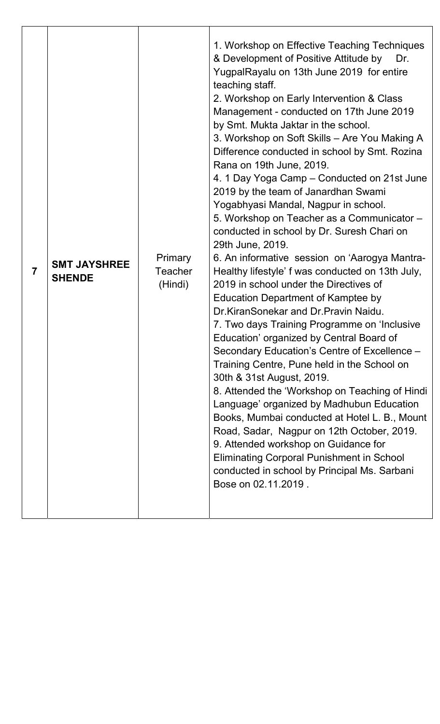| <b>SMT JAYSHREE</b><br>$\overline{7}$<br><b>SHENDE</b> | <b>Primary</b><br>Teacher<br>(Hindi) | 1. Workshop on Effective Teaching Techniques<br>& Development of Positive Attitude by<br>Dr.<br>YugpalRayalu on 13th June 2019 for entire<br>teaching staff.<br>2. Workshop on Early Intervention & Class<br>Management - conducted on 17th June 2019<br>by Smt. Mukta Jaktar in the school.<br>3. Workshop on Soft Skills - Are You Making A<br>Difference conducted in school by Smt. Rozina<br>Rana on 19th June, 2019.<br>4. 1 Day Yoga Camp – Conducted on 21st June<br>2019 by the team of Janardhan Swami<br>Yogabhyasi Mandal, Nagpur in school.<br>5. Workshop on Teacher as a Communicator -<br>conducted in school by Dr. Suresh Chari on<br>29th June, 2019.<br>6. An informative session on 'Aarogya Mantra-<br>Healthy lifestyle' f was conducted on 13th July,<br>2019 in school under the Directives of<br><b>Education Department of Kamptee by</b><br>Dr.KiranSonekar and Dr.Pravin Naidu.<br>7. Two days Training Programme on 'Inclusive<br>Education' organized by Central Board of<br>Secondary Education's Centre of Excellence -<br>Training Centre, Pune held in the School on<br>30th & 31st August, 2019.<br>8. Attended the 'Workshop on Teaching of Hindi<br>Language' organized by Madhubun Education<br>Books, Mumbai conducted at Hotel L. B., Mount<br>Road, Sadar, Nagpur on 12th October, 2019.<br>9. Attended workshop on Guidance for<br><b>Eliminating Corporal Punishment in School</b><br>conducted in school by Principal Ms. Sarbani<br>Bose on 02.11.2019. |
|--------------------------------------------------------|--------------------------------------|-------------------------------------------------------------------------------------------------------------------------------------------------------------------------------------------------------------------------------------------------------------------------------------------------------------------------------------------------------------------------------------------------------------------------------------------------------------------------------------------------------------------------------------------------------------------------------------------------------------------------------------------------------------------------------------------------------------------------------------------------------------------------------------------------------------------------------------------------------------------------------------------------------------------------------------------------------------------------------------------------------------------------------------------------------------------------------------------------------------------------------------------------------------------------------------------------------------------------------------------------------------------------------------------------------------------------------------------------------------------------------------------------------------------------------------------------------------------------------------------------------|
|--------------------------------------------------------|--------------------------------------|-------------------------------------------------------------------------------------------------------------------------------------------------------------------------------------------------------------------------------------------------------------------------------------------------------------------------------------------------------------------------------------------------------------------------------------------------------------------------------------------------------------------------------------------------------------------------------------------------------------------------------------------------------------------------------------------------------------------------------------------------------------------------------------------------------------------------------------------------------------------------------------------------------------------------------------------------------------------------------------------------------------------------------------------------------------------------------------------------------------------------------------------------------------------------------------------------------------------------------------------------------------------------------------------------------------------------------------------------------------------------------------------------------------------------------------------------------------------------------------------------------|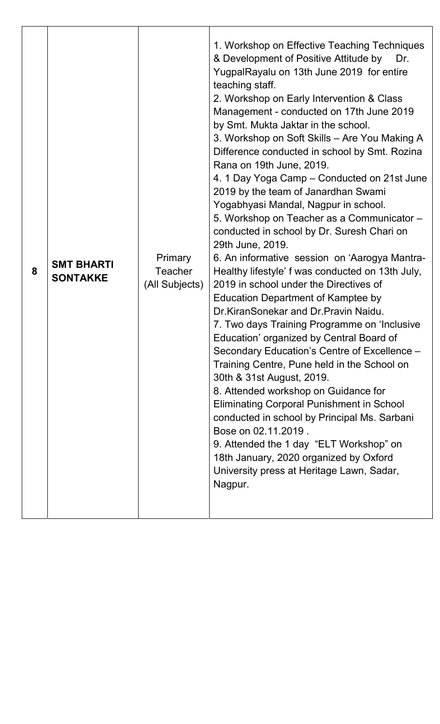| 8 | <b>SMT BHARTI</b><br><b>SONTAKKE</b> | <b>Primary</b><br><b>Teacher</b><br>(All Subjects) | 1. Workshop on Effective Teaching Techniques<br>& Development of Positive Attitude by<br>Dr.<br>YugpalRayalu on 13th June 2019 for entire<br>teaching staff.<br>2. Workshop on Early Intervention & Class<br>Management - conducted on 17th June 2019<br>by Smt. Mukta Jaktar in the school.<br>3. Workshop on Soft Skills - Are You Making A<br>Difference conducted in school by Smt. Rozina<br>Rana on 19th June, 2019.<br>4. 1 Day Yoga Camp – Conducted on 21st June<br>2019 by the team of Janardhan Swami<br>Yogabhyasi Mandal, Nagpur in school.<br>5. Workshop on Teacher as a Communicator -<br>conducted in school by Dr. Suresh Chari on<br>29th June, 2019.<br>6. An informative session on 'Aarogya Mantra-<br>Healthy lifestyle' f was conducted on 13th July,<br>2019 in school under the Directives of<br><b>Education Department of Kamptee by</b><br>Dr.KiranSonekar and Dr.Pravin Naidu.<br>7. Two days Training Programme on 'Inclusive<br>Education' organized by Central Board of<br>Secondary Education's Centre of Excellence -<br>Training Centre, Pune held in the School on<br>30th & 31st August, 2019.<br>8. Attended workshop on Guidance for<br><b>Eliminating Corporal Punishment in School</b><br>conducted in school by Principal Ms. Sarbani<br>Bose on 02.11.2019.<br>9. Attended the 1 day "ELT Workshop" on<br>18th January, 2020 organized by Oxford<br>University press at Heritage Lawn, Sadar,<br>Nagpur. |
|---|--------------------------------------|----------------------------------------------------|------------------------------------------------------------------------------------------------------------------------------------------------------------------------------------------------------------------------------------------------------------------------------------------------------------------------------------------------------------------------------------------------------------------------------------------------------------------------------------------------------------------------------------------------------------------------------------------------------------------------------------------------------------------------------------------------------------------------------------------------------------------------------------------------------------------------------------------------------------------------------------------------------------------------------------------------------------------------------------------------------------------------------------------------------------------------------------------------------------------------------------------------------------------------------------------------------------------------------------------------------------------------------------------------------------------------------------------------------------------------------------------------------------------------------------------------------|
|---|--------------------------------------|----------------------------------------------------|------------------------------------------------------------------------------------------------------------------------------------------------------------------------------------------------------------------------------------------------------------------------------------------------------------------------------------------------------------------------------------------------------------------------------------------------------------------------------------------------------------------------------------------------------------------------------------------------------------------------------------------------------------------------------------------------------------------------------------------------------------------------------------------------------------------------------------------------------------------------------------------------------------------------------------------------------------------------------------------------------------------------------------------------------------------------------------------------------------------------------------------------------------------------------------------------------------------------------------------------------------------------------------------------------------------------------------------------------------------------------------------------------------------------------------------------------|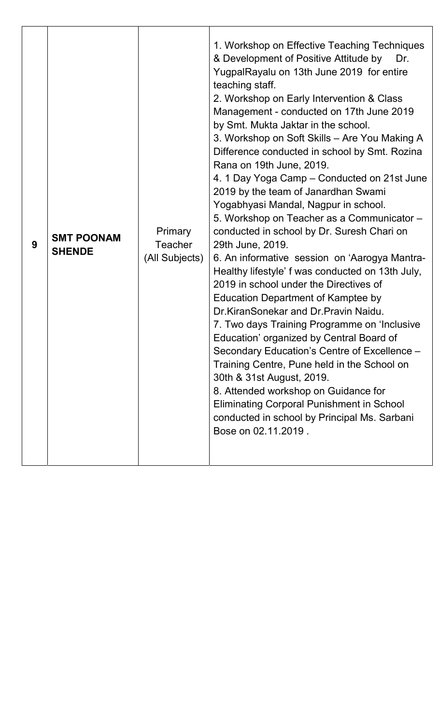| 9 | <b>SMT POONAM</b><br><b>SHENDE</b> | <b>Primary</b><br><b>Teacher</b><br>(All Subjects) | 1. Workshop on Effective Teaching Techniques<br>& Development of Positive Attitude by<br>Dr.<br>YugpalRayalu on 13th June 2019 for entire<br>teaching staff.<br>2. Workshop on Early Intervention & Class<br>Management - conducted on 17th June 2019<br>by Smt. Mukta Jaktar in the school.<br>3. Workshop on Soft Skills – Are You Making A<br>Difference conducted in school by Smt. Rozina<br>Rana on 19th June, 2019.<br>4. 1 Day Yoga Camp – Conducted on 21st June<br>2019 by the team of Janardhan Swami<br>Yogabhyasi Mandal, Nagpur in school.<br>5. Workshop on Teacher as a Communicator -<br>conducted in school by Dr. Suresh Chari on<br>29th June, 2019.<br>6. An informative session on 'Aarogya Mantra-<br>Healthy lifestyle' f was conducted on 13th July,<br>2019 in school under the Directives of<br><b>Education Department of Kamptee by</b><br>Dr.KiranSonekar and Dr.Pravin Naidu.<br>7. Two days Training Programme on 'Inclusive<br>Education' organized by Central Board of<br>Secondary Education's Centre of Excellence -<br>Training Centre, Pune held in the School on<br>30th & 31st August, 2019.<br>8. Attended workshop on Guidance for<br><b>Eliminating Corporal Punishment in School</b><br>conducted in school by Principal Ms. Sarbani<br>Bose on 02.11.2019. |
|---|------------------------------------|----------------------------------------------------|---------------------------------------------------------------------------------------------------------------------------------------------------------------------------------------------------------------------------------------------------------------------------------------------------------------------------------------------------------------------------------------------------------------------------------------------------------------------------------------------------------------------------------------------------------------------------------------------------------------------------------------------------------------------------------------------------------------------------------------------------------------------------------------------------------------------------------------------------------------------------------------------------------------------------------------------------------------------------------------------------------------------------------------------------------------------------------------------------------------------------------------------------------------------------------------------------------------------------------------------------------------------------------------------------------|
|---|------------------------------------|----------------------------------------------------|---------------------------------------------------------------------------------------------------------------------------------------------------------------------------------------------------------------------------------------------------------------------------------------------------------------------------------------------------------------------------------------------------------------------------------------------------------------------------------------------------------------------------------------------------------------------------------------------------------------------------------------------------------------------------------------------------------------------------------------------------------------------------------------------------------------------------------------------------------------------------------------------------------------------------------------------------------------------------------------------------------------------------------------------------------------------------------------------------------------------------------------------------------------------------------------------------------------------------------------------------------------------------------------------------------|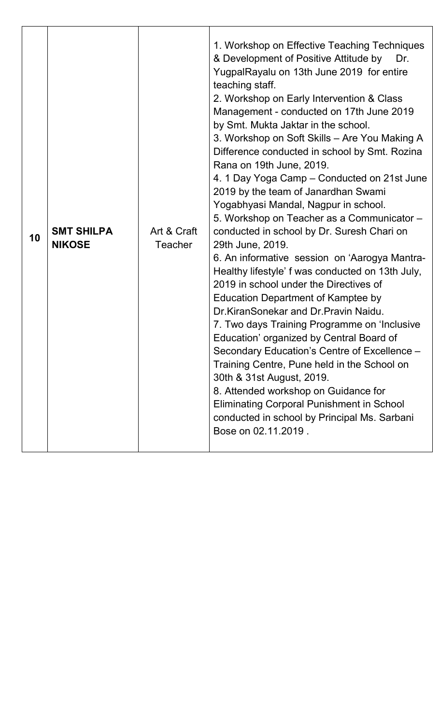| <b>SMT SHILPA</b><br>Art & Craft<br>10<br><b>NIKOSE</b><br><b>Teacher</b> | 1. Workshop on Effective Teaching Techniques<br>& Development of Positive Attitude by<br>Dr.<br>YugpalRayalu on 13th June 2019 for entire<br>teaching staff.<br>2. Workshop on Early Intervention & Class<br>Management - conducted on 17th June 2019<br>by Smt. Mukta Jaktar in the school.<br>3. Workshop on Soft Skills - Are You Making A<br>Difference conducted in school by Smt. Rozina<br>Rana on 19th June, 2019.<br>4. 1 Day Yoga Camp – Conducted on 21st June<br>2019 by the team of Janardhan Swami<br>Yogabhyasi Mandal, Nagpur in school.<br>5. Workshop on Teacher as a Communicator -<br>conducted in school by Dr. Suresh Chari on<br>29th June, 2019.<br>6. An informative session on 'Aarogya Mantra-<br>Healthy lifestyle' f was conducted on 13th July,<br>2019 in school under the Directives of<br><b>Education Department of Kamptee by</b><br>Dr.KiranSonekar and Dr.Pravin Naidu.<br>7. Two days Training Programme on 'Inclusive<br>Education' organized by Central Board of<br>Secondary Education's Centre of Excellence -<br>Training Centre, Pune held in the School on<br>30th & 31st August, 2019.<br>8. Attended workshop on Guidance for<br><b>Eliminating Corporal Punishment in School</b><br>conducted in school by Principal Ms. Sarbani<br>Bose on 02.11.2019. |
|---------------------------------------------------------------------------|---------------------------------------------------------------------------------------------------------------------------------------------------------------------------------------------------------------------------------------------------------------------------------------------------------------------------------------------------------------------------------------------------------------------------------------------------------------------------------------------------------------------------------------------------------------------------------------------------------------------------------------------------------------------------------------------------------------------------------------------------------------------------------------------------------------------------------------------------------------------------------------------------------------------------------------------------------------------------------------------------------------------------------------------------------------------------------------------------------------------------------------------------------------------------------------------------------------------------------------------------------------------------------------------------------|
|---------------------------------------------------------------------------|---------------------------------------------------------------------------------------------------------------------------------------------------------------------------------------------------------------------------------------------------------------------------------------------------------------------------------------------------------------------------------------------------------------------------------------------------------------------------------------------------------------------------------------------------------------------------------------------------------------------------------------------------------------------------------------------------------------------------------------------------------------------------------------------------------------------------------------------------------------------------------------------------------------------------------------------------------------------------------------------------------------------------------------------------------------------------------------------------------------------------------------------------------------------------------------------------------------------------------------------------------------------------------------------------------|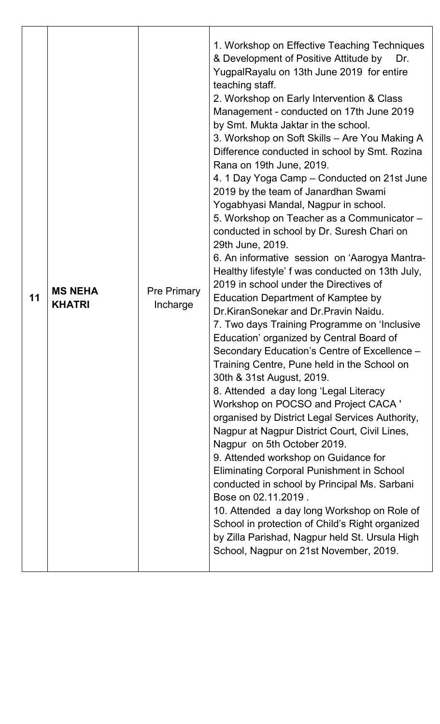| 11 | <b>MS NEHA</b><br><b>KHATRI</b> | <b>Pre Primary</b><br>Incharge | 1. Workshop on Effective Teaching Techniques<br>& Development of Positive Attitude by<br>Dr.<br>YugpalRayalu on 13th June 2019 for entire<br>teaching staff.<br>2. Workshop on Early Intervention & Class<br>Management - conducted on 17th June 2019<br>by Smt. Mukta Jaktar in the school.<br>3. Workshop on Soft Skills - Are You Making A<br>Difference conducted in school by Smt. Rozina<br>Rana on 19th June, 2019.<br>4. 1 Day Yoga Camp – Conducted on 21st June<br>2019 by the team of Janardhan Swami<br>Yogabhyasi Mandal, Nagpur in school.<br>5. Workshop on Teacher as a Communicator -<br>conducted in school by Dr. Suresh Chari on<br>29th June, 2019.<br>6. An informative session on 'Aarogya Mantra-<br>Healthy lifestyle' f was conducted on 13th July,<br>2019 in school under the Directives of<br><b>Education Department of Kamptee by</b><br>Dr.KiranSonekar and Dr.Pravin Naidu.<br>7. Two days Training Programme on 'Inclusive<br>Education' organized by Central Board of<br>Secondary Education's Centre of Excellence -<br>Training Centre, Pune held in the School on<br>30th & 31st August, 2019.<br>8. Attended a day long 'Legal Literacy<br>Workshop on POCSO and Project CACA '<br>organised by District Legal Services Authority,<br>Nagpur at Nagpur District Court, Civil Lines,<br>Nagpur on 5th October 2019.<br>9. Attended workshop on Guidance for<br><b>Eliminating Corporal Punishment in School</b><br>conducted in school by Principal Ms. Sarbani<br>Bose on 02.11.2019.<br>10. Attended a day long Workshop on Role of<br>School in protection of Child's Right organized<br>by Zilla Parishad, Nagpur held St. Ursula High |
|----|---------------------------------|--------------------------------|----------------------------------------------------------------------------------------------------------------------------------------------------------------------------------------------------------------------------------------------------------------------------------------------------------------------------------------------------------------------------------------------------------------------------------------------------------------------------------------------------------------------------------------------------------------------------------------------------------------------------------------------------------------------------------------------------------------------------------------------------------------------------------------------------------------------------------------------------------------------------------------------------------------------------------------------------------------------------------------------------------------------------------------------------------------------------------------------------------------------------------------------------------------------------------------------------------------------------------------------------------------------------------------------------------------------------------------------------------------------------------------------------------------------------------------------------------------------------------------------------------------------------------------------------------------------------------------------------------------------------------------------------------------------------------|
|    |                                 |                                | School, Nagpur on 21st November, 2019.                                                                                                                                                                                                                                                                                                                                                                                                                                                                                                                                                                                                                                                                                                                                                                                                                                                                                                                                                                                                                                                                                                                                                                                                                                                                                                                                                                                                                                                                                                                                                                                                                                           |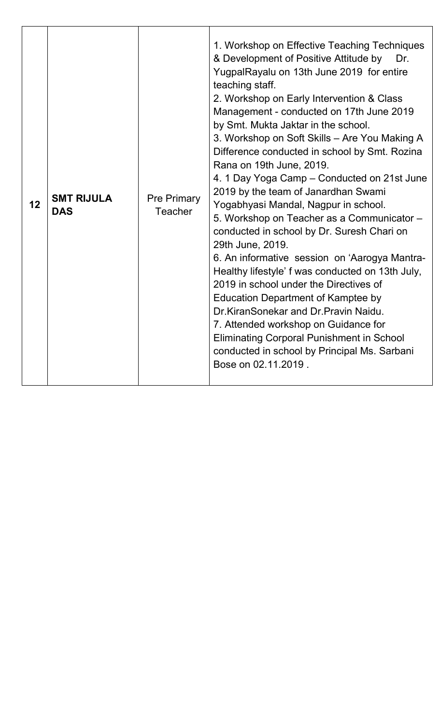| 12 | <b>SMT RIJULA</b><br><b>DAS</b> | <b>Pre Primary</b><br>Teacher | 1. Workshop on Effective Teaching Techniques<br>& Development of Positive Attitude by<br>Dr.<br>YugpalRayalu on 13th June 2019 for entire<br>teaching staff.<br>2. Workshop on Early Intervention & Class<br>Management - conducted on 17th June 2019<br>by Smt. Mukta Jaktar in the school.<br>3. Workshop on Soft Skills - Are You Making A<br>Difference conducted in school by Smt. Rozina<br>Rana on 19th June, 2019.<br>4. 1 Day Yoga Camp – Conducted on 21st June<br>2019 by the team of Janardhan Swami<br>Yogabhyasi Mandal, Nagpur in school.<br>5. Workshop on Teacher as a Communicator -<br>conducted in school by Dr. Suresh Chari on<br>29th June, 2019.<br>6. An informative session on 'Aarogya Mantra-<br>Healthy lifestyle' f was conducted on 13th July,<br>2019 in school under the Directives of<br>Education Department of Kamptee by<br>Dr. Kiran Sonekar and Dr. Pravin Naidu.<br>7. Attended workshop on Guidance for<br><b>Eliminating Corporal Punishment in School</b><br>conducted in school by Principal Ms. Sarbani<br>Bose on 02.11.2019. |
|----|---------------------------------|-------------------------------|-----------------------------------------------------------------------------------------------------------------------------------------------------------------------------------------------------------------------------------------------------------------------------------------------------------------------------------------------------------------------------------------------------------------------------------------------------------------------------------------------------------------------------------------------------------------------------------------------------------------------------------------------------------------------------------------------------------------------------------------------------------------------------------------------------------------------------------------------------------------------------------------------------------------------------------------------------------------------------------------------------------------------------------------------------------------------------|
|----|---------------------------------|-------------------------------|-----------------------------------------------------------------------------------------------------------------------------------------------------------------------------------------------------------------------------------------------------------------------------------------------------------------------------------------------------------------------------------------------------------------------------------------------------------------------------------------------------------------------------------------------------------------------------------------------------------------------------------------------------------------------------------------------------------------------------------------------------------------------------------------------------------------------------------------------------------------------------------------------------------------------------------------------------------------------------------------------------------------------------------------------------------------------------|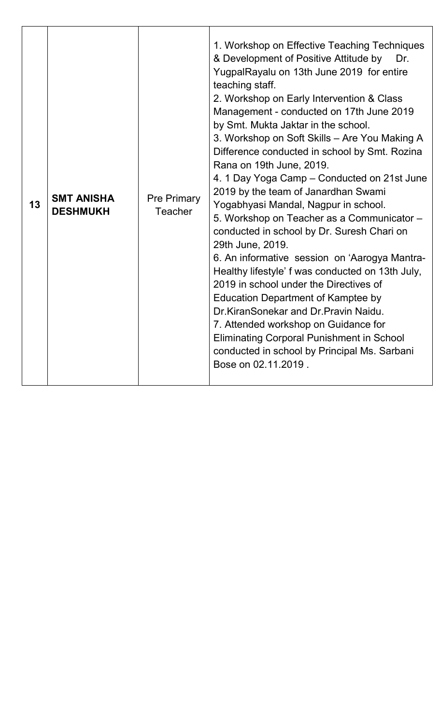| 13 | <b>SMT ANISHA</b><br><b>DESHMUKH</b> | <b>Pre Primary</b><br>Teacher | 1. Workshop on Effective Teaching Techniques<br>& Development of Positive Attitude by<br>Dr.<br>YugpalRayalu on 13th June 2019 for entire<br>teaching staff.<br>2. Workshop on Early Intervention & Class<br>Management - conducted on 17th June 2019<br>by Smt. Mukta Jaktar in the school.<br>3. Workshop on Soft Skills - Are You Making A<br>Difference conducted in school by Smt. Rozina<br>Rana on 19th June, 2019.<br>4. 1 Day Yoga Camp - Conducted on 21st June<br>2019 by the team of Janardhan Swami<br>Yogabhyasi Mandal, Nagpur in school.<br>5. Workshop on Teacher as a Communicator -<br>conducted in school by Dr. Suresh Chari on<br>29th June, 2019.<br>6. An informative session on 'Aarogya Mantra-<br>Healthy lifestyle' f was conducted on 13th July,<br>2019 in school under the Directives of<br>Education Department of Kamptee by<br>Dr.KiranSonekar and Dr.Pravin Naidu.<br>7. Attended workshop on Guidance for<br><b>Eliminating Corporal Punishment in School</b><br>conducted in school by Principal Ms. Sarbani<br>Bose on 02.11.2019. |
|----|--------------------------------------|-------------------------------|--------------------------------------------------------------------------------------------------------------------------------------------------------------------------------------------------------------------------------------------------------------------------------------------------------------------------------------------------------------------------------------------------------------------------------------------------------------------------------------------------------------------------------------------------------------------------------------------------------------------------------------------------------------------------------------------------------------------------------------------------------------------------------------------------------------------------------------------------------------------------------------------------------------------------------------------------------------------------------------------------------------------------------------------------------------------------|
|----|--------------------------------------|-------------------------------|--------------------------------------------------------------------------------------------------------------------------------------------------------------------------------------------------------------------------------------------------------------------------------------------------------------------------------------------------------------------------------------------------------------------------------------------------------------------------------------------------------------------------------------------------------------------------------------------------------------------------------------------------------------------------------------------------------------------------------------------------------------------------------------------------------------------------------------------------------------------------------------------------------------------------------------------------------------------------------------------------------------------------------------------------------------------------|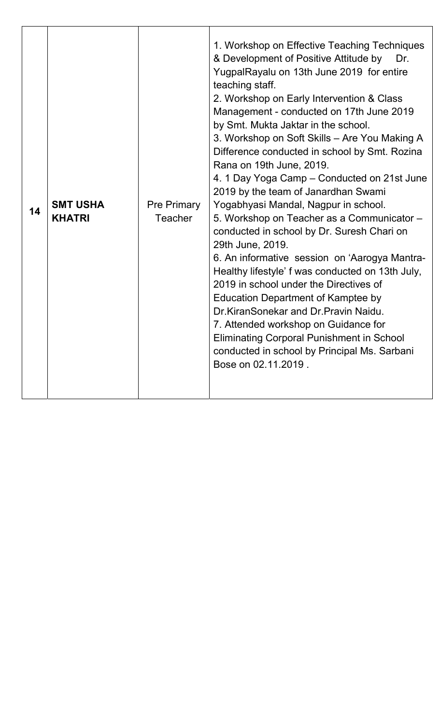| 14 | <b>SMT USHA</b><br><b>KHATRI</b> | <b>Pre Primary</b><br>Teacher | 1. Workshop on Effective Teaching Techniques<br>& Development of Positive Attitude by<br>Dr.<br>YugpalRayalu on 13th June 2019 for entire<br>teaching staff.<br>2. Workshop on Early Intervention & Class<br>Management - conducted on 17th June 2019<br>by Smt. Mukta Jaktar in the school.<br>3. Workshop on Soft Skills - Are You Making A<br>Difference conducted in school by Smt. Rozina<br>Rana on 19th June, 2019.<br>4. 1 Day Yoga Camp – Conducted on 21st June<br>2019 by the team of Janardhan Swami<br>Yogabhyasi Mandal, Nagpur in school.<br>5. Workshop on Teacher as a Communicator -<br>conducted in school by Dr. Suresh Chari on<br>29th June, 2019.<br>6. An informative session on 'Aarogya Mantra-<br>Healthy lifestyle' f was conducted on 13th July,<br>2019 in school under the Directives of<br>Education Department of Kamptee by<br>Dr.KiranSonekar and Dr.Pravin Naidu.<br>7. Attended workshop on Guidance for<br><b>Eliminating Corporal Punishment in School</b><br>conducted in school by Principal Ms. Sarbani<br>Bose on 02.11.2019. |
|----|----------------------------------|-------------------------------|--------------------------------------------------------------------------------------------------------------------------------------------------------------------------------------------------------------------------------------------------------------------------------------------------------------------------------------------------------------------------------------------------------------------------------------------------------------------------------------------------------------------------------------------------------------------------------------------------------------------------------------------------------------------------------------------------------------------------------------------------------------------------------------------------------------------------------------------------------------------------------------------------------------------------------------------------------------------------------------------------------------------------------------------------------------------------|
|----|----------------------------------|-------------------------------|--------------------------------------------------------------------------------------------------------------------------------------------------------------------------------------------------------------------------------------------------------------------------------------------------------------------------------------------------------------------------------------------------------------------------------------------------------------------------------------------------------------------------------------------------------------------------------------------------------------------------------------------------------------------------------------------------------------------------------------------------------------------------------------------------------------------------------------------------------------------------------------------------------------------------------------------------------------------------------------------------------------------------------------------------------------------------|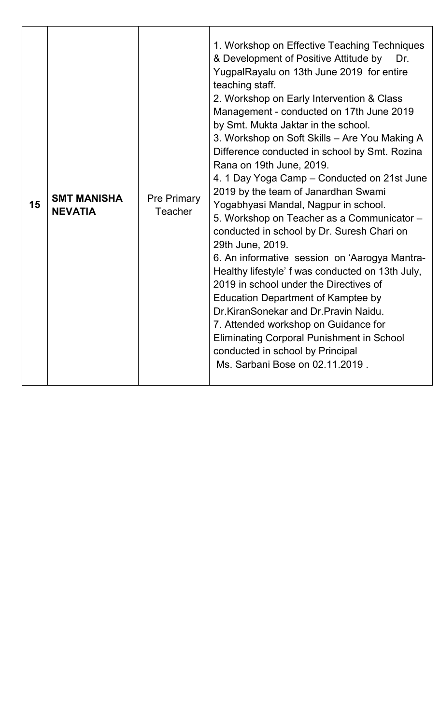| 15 | <b>SMT MANISHA</b><br><b>NEVATIA</b> | <b>Pre Primary</b><br>Teacher | 1. Workshop on Effective Teaching Techniques<br>& Development of Positive Attitude by<br>Dr.<br>YugpalRayalu on 13th June 2019 for entire<br>teaching staff.<br>2. Workshop on Early Intervention & Class<br>Management - conducted on 17th June 2019<br>by Smt. Mukta Jaktar in the school.<br>3. Workshop on Soft Skills - Are You Making A<br>Difference conducted in school by Smt. Rozina<br>Rana on 19th June, 2019.<br>4. 1 Day Yoga Camp - Conducted on 21st June<br>2019 by the team of Janardhan Swami<br>Yogabhyasi Mandal, Nagpur in school.<br>5. Workshop on Teacher as a Communicator -<br>conducted in school by Dr. Suresh Chari on<br>29th June, 2019.<br>6. An informative session on 'Aarogya Mantra-<br>Healthy lifestyle' f was conducted on 13th July,<br>2019 in school under the Directives of<br>Education Department of Kamptee by<br>Dr.KiranSonekar and Dr.Pravin Naidu.<br>7. Attended workshop on Guidance for<br><b>Eliminating Corporal Punishment in School</b><br>conducted in school by Principal<br>Ms. Sarbani Bose on 02.11.2019. |
|----|--------------------------------------|-------------------------------|--------------------------------------------------------------------------------------------------------------------------------------------------------------------------------------------------------------------------------------------------------------------------------------------------------------------------------------------------------------------------------------------------------------------------------------------------------------------------------------------------------------------------------------------------------------------------------------------------------------------------------------------------------------------------------------------------------------------------------------------------------------------------------------------------------------------------------------------------------------------------------------------------------------------------------------------------------------------------------------------------------------------------------------------------------------------------|
|----|--------------------------------------|-------------------------------|--------------------------------------------------------------------------------------------------------------------------------------------------------------------------------------------------------------------------------------------------------------------------------------------------------------------------------------------------------------------------------------------------------------------------------------------------------------------------------------------------------------------------------------------------------------------------------------------------------------------------------------------------------------------------------------------------------------------------------------------------------------------------------------------------------------------------------------------------------------------------------------------------------------------------------------------------------------------------------------------------------------------------------------------------------------------------|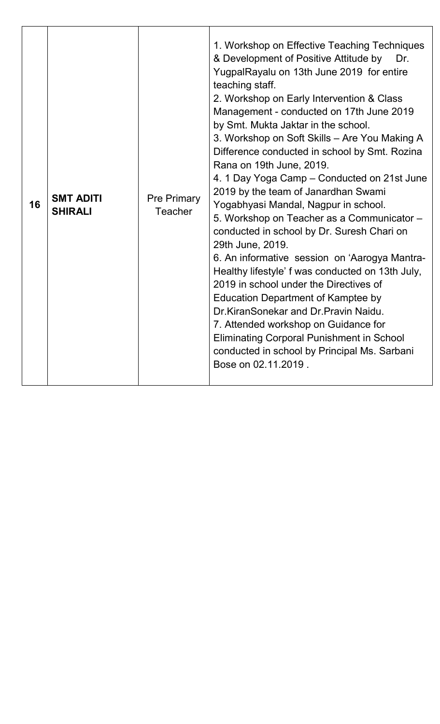| 16 | <b>SMT ADITI</b><br><b>SHIRALI</b> | <b>Pre Primary</b><br>Teacher | 1. Workshop on Effective Teaching Techniques<br>& Development of Positive Attitude by<br>Dr.<br>YugpalRayalu on 13th June 2019 for entire<br>teaching staff.<br>2. Workshop on Early Intervention & Class<br>Management - conducted on 17th June 2019<br>by Smt. Mukta Jaktar in the school.<br>3. Workshop on Soft Skills - Are You Making A<br>Difference conducted in school by Smt. Rozina<br>Rana on 19th June, 2019.<br>4. 1 Day Yoga Camp - Conducted on 21st June<br>2019 by the team of Janardhan Swami<br>Yogabhyasi Mandal, Nagpur in school.<br>5. Workshop on Teacher as a Communicator -<br>conducted in school by Dr. Suresh Chari on<br>29th June, 2019.<br>6. An informative session on 'Aarogya Mantra-<br>Healthy lifestyle' f was conducted on 13th July,<br>2019 in school under the Directives of<br>Education Department of Kamptee by<br>Dr.KiranSonekar and Dr.Pravin Naidu.<br>7. Attended workshop on Guidance for<br><b>Eliminating Corporal Punishment in School</b><br>conducted in school by Principal Ms. Sarbani<br>Bose on 02.11.2019. |
|----|------------------------------------|-------------------------------|--------------------------------------------------------------------------------------------------------------------------------------------------------------------------------------------------------------------------------------------------------------------------------------------------------------------------------------------------------------------------------------------------------------------------------------------------------------------------------------------------------------------------------------------------------------------------------------------------------------------------------------------------------------------------------------------------------------------------------------------------------------------------------------------------------------------------------------------------------------------------------------------------------------------------------------------------------------------------------------------------------------------------------------------------------------------------|
|----|------------------------------------|-------------------------------|--------------------------------------------------------------------------------------------------------------------------------------------------------------------------------------------------------------------------------------------------------------------------------------------------------------------------------------------------------------------------------------------------------------------------------------------------------------------------------------------------------------------------------------------------------------------------------------------------------------------------------------------------------------------------------------------------------------------------------------------------------------------------------------------------------------------------------------------------------------------------------------------------------------------------------------------------------------------------------------------------------------------------------------------------------------------------|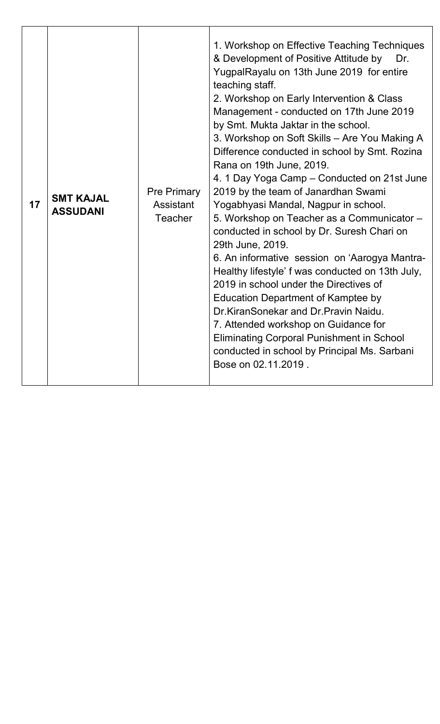| 17 | <b>SMT KAJAL</b><br><b>ASSUDANI</b> | <b>Pre Primary</b><br>Assistant<br><b>Teacher</b> | 1. Workshop on Effective Teaching Techniques<br>& Development of Positive Attitude by<br>Dr.<br>YugpalRayalu on 13th June 2019 for entire<br>teaching staff.<br>2. Workshop on Early Intervention & Class<br>Management - conducted on 17th June 2019<br>by Smt. Mukta Jaktar in the school.<br>3. Workshop on Soft Skills - Are You Making A<br>Difference conducted in school by Smt. Rozina<br>Rana on 19th June, 2019.<br>4. 1 Day Yoga Camp – Conducted on 21st June<br>2019 by the team of Janardhan Swami<br>Yogabhyasi Mandal, Nagpur in school.<br>5. Workshop on Teacher as a Communicator -<br>conducted in school by Dr. Suresh Chari on<br>29th June, 2019.<br>6. An informative session on 'Aarogya Mantra-<br>Healthy lifestyle' f was conducted on 13th July,<br>2019 in school under the Directives of<br><b>Education Department of Kamptee by</b><br>Dr.KiranSonekar and Dr.Pravin Naidu.<br>7. Attended workshop on Guidance for<br><b>Eliminating Corporal Punishment in School</b><br>conducted in school by Principal Ms. Sarbani<br>Bose on 02.11.2019. |
|----|-------------------------------------|---------------------------------------------------|---------------------------------------------------------------------------------------------------------------------------------------------------------------------------------------------------------------------------------------------------------------------------------------------------------------------------------------------------------------------------------------------------------------------------------------------------------------------------------------------------------------------------------------------------------------------------------------------------------------------------------------------------------------------------------------------------------------------------------------------------------------------------------------------------------------------------------------------------------------------------------------------------------------------------------------------------------------------------------------------------------------------------------------------------------------------------------|
|----|-------------------------------------|---------------------------------------------------|---------------------------------------------------------------------------------------------------------------------------------------------------------------------------------------------------------------------------------------------------------------------------------------------------------------------------------------------------------------------------------------------------------------------------------------------------------------------------------------------------------------------------------------------------------------------------------------------------------------------------------------------------------------------------------------------------------------------------------------------------------------------------------------------------------------------------------------------------------------------------------------------------------------------------------------------------------------------------------------------------------------------------------------------------------------------------------|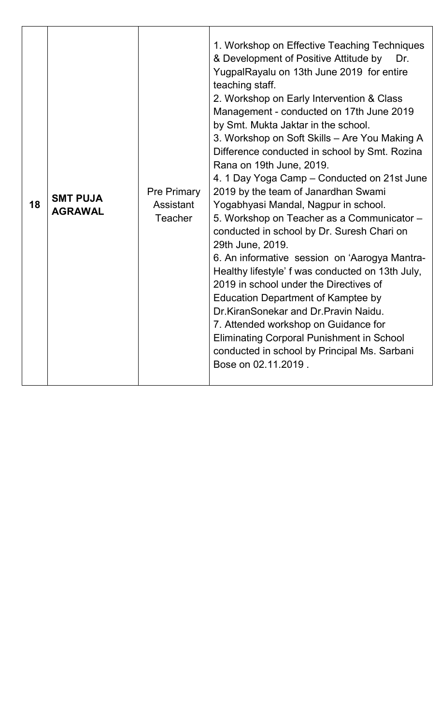| 18 | <b>SMT PUJA</b><br><b>AGRAWAL</b> | <b>Pre Primary</b><br>Assistant<br><b>Teacher</b> | 1. Workshop on Effective Teaching Techniques<br>& Development of Positive Attitude by<br>Dr.<br>YugpalRayalu on 13th June 2019 for entire<br>teaching staff.<br>2. Workshop on Early Intervention & Class<br>Management - conducted on 17th June 2019<br>by Smt. Mukta Jaktar in the school.<br>3. Workshop on Soft Skills - Are You Making A<br>Difference conducted in school by Smt. Rozina<br>Rana on 19th June, 2019.<br>4. 1 Day Yoga Camp - Conducted on 21st June<br>2019 by the team of Janardhan Swami<br>Yogabhyasi Mandal, Nagpur in school.<br>5. Workshop on Teacher as a Communicator -<br>conducted in school by Dr. Suresh Chari on<br>29th June, 2019.<br>6. An informative session on 'Aarogya Mantra-<br>Healthy lifestyle' f was conducted on 13th July,<br>2019 in school under the Directives of<br>Education Department of Kamptee by<br>Dr.KiranSonekar and Dr.Pravin Naidu.<br>7. Attended workshop on Guidance for<br><b>Eliminating Corporal Punishment in School</b><br>conducted in school by Principal Ms. Sarbani<br>Bose on 02.11.2019. |
|----|-----------------------------------|---------------------------------------------------|--------------------------------------------------------------------------------------------------------------------------------------------------------------------------------------------------------------------------------------------------------------------------------------------------------------------------------------------------------------------------------------------------------------------------------------------------------------------------------------------------------------------------------------------------------------------------------------------------------------------------------------------------------------------------------------------------------------------------------------------------------------------------------------------------------------------------------------------------------------------------------------------------------------------------------------------------------------------------------------------------------------------------------------------------------------------------|
|----|-----------------------------------|---------------------------------------------------|--------------------------------------------------------------------------------------------------------------------------------------------------------------------------------------------------------------------------------------------------------------------------------------------------------------------------------------------------------------------------------------------------------------------------------------------------------------------------------------------------------------------------------------------------------------------------------------------------------------------------------------------------------------------------------------------------------------------------------------------------------------------------------------------------------------------------------------------------------------------------------------------------------------------------------------------------------------------------------------------------------------------------------------------------------------------------|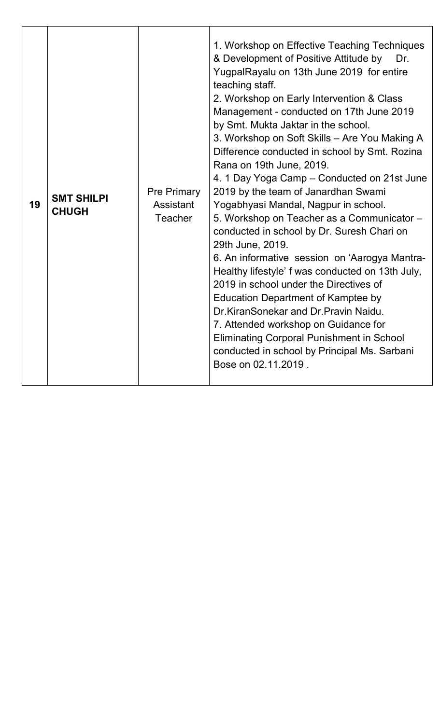| 19 | <b>SMT SHILPI</b><br><b>CHUGH</b> | <b>Pre Primary</b><br>Assistant<br><b>Teacher</b> | 1. Workshop on Effective Teaching Techniques<br>& Development of Positive Attitude by<br>Dr.<br>YugpalRayalu on 13th June 2019 for entire<br>teaching staff.<br>2. Workshop on Early Intervention & Class<br>Management - conducted on 17th June 2019<br>by Smt. Mukta Jaktar in the school.<br>3. Workshop on Soft Skills - Are You Making A<br>Difference conducted in school by Smt. Rozina<br>Rana on 19th June, 2019.<br>4. 1 Day Yoga Camp – Conducted on 21st June<br>2019 by the team of Janardhan Swami<br>Yogabhyasi Mandal, Nagpur in school.<br>5. Workshop on Teacher as a Communicator -<br>conducted in school by Dr. Suresh Chari on<br>29th June, 2019.<br>6. An informative session on 'Aarogya Mantra-<br>Healthy lifestyle' f was conducted on 13th July,<br>2019 in school under the Directives of<br>Education Department of Kamptee by<br>Dr.KiranSonekar and Dr.Pravin Naidu.<br>7. Attended workshop on Guidance for<br><b>Eliminating Corporal Punishment in School</b><br>conducted in school by Principal Ms. Sarbani<br>Bose on 02.11.2019. |
|----|-----------------------------------|---------------------------------------------------|--------------------------------------------------------------------------------------------------------------------------------------------------------------------------------------------------------------------------------------------------------------------------------------------------------------------------------------------------------------------------------------------------------------------------------------------------------------------------------------------------------------------------------------------------------------------------------------------------------------------------------------------------------------------------------------------------------------------------------------------------------------------------------------------------------------------------------------------------------------------------------------------------------------------------------------------------------------------------------------------------------------------------------------------------------------------------|
|----|-----------------------------------|---------------------------------------------------|--------------------------------------------------------------------------------------------------------------------------------------------------------------------------------------------------------------------------------------------------------------------------------------------------------------------------------------------------------------------------------------------------------------------------------------------------------------------------------------------------------------------------------------------------------------------------------------------------------------------------------------------------------------------------------------------------------------------------------------------------------------------------------------------------------------------------------------------------------------------------------------------------------------------------------------------------------------------------------------------------------------------------------------------------------------------------|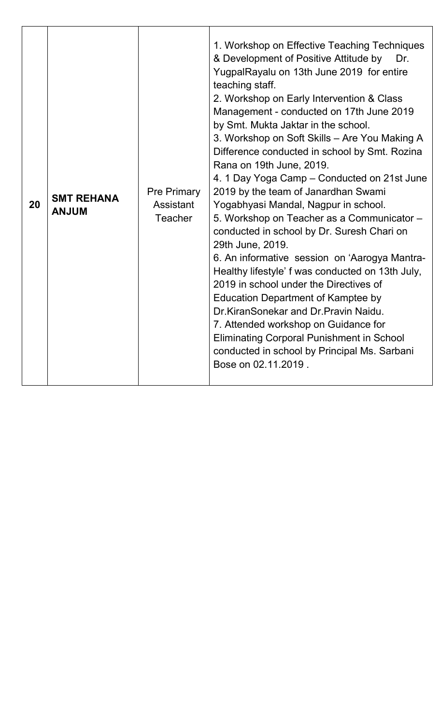| 20 | <b>SMT REHANA</b><br><b>ANJUM</b> | <b>Pre Primary</b><br>Assistant<br><b>Teacher</b> | 1. Workshop on Effective Teaching Techniques<br>& Development of Positive Attitude by<br>Dr.<br>YugpalRayalu on 13th June 2019 for entire<br>teaching staff.<br>2. Workshop on Early Intervention & Class<br>Management - conducted on 17th June 2019<br>by Smt. Mukta Jaktar in the school.<br>3. Workshop on Soft Skills - Are You Making A<br>Difference conducted in school by Smt. Rozina<br>Rana on 19th June, 2019.<br>4. 1 Day Yoga Camp - Conducted on 21st June<br>2019 by the team of Janardhan Swami<br>Yogabhyasi Mandal, Nagpur in school.<br>5. Workshop on Teacher as a Communicator -<br>conducted in school by Dr. Suresh Chari on<br>29th June, 2019.<br>6. An informative session on 'Aarogya Mantra-<br>Healthy lifestyle' f was conducted on 13th July,<br>2019 in school under the Directives of<br>Education Department of Kamptee by<br>Dr.KiranSonekar and Dr.Pravin Naidu.<br>7. Attended workshop on Guidance for<br><b>Eliminating Corporal Punishment in School</b><br>conducted in school by Principal Ms. Sarbani<br>Bose on 02.11.2019. |
|----|-----------------------------------|---------------------------------------------------|--------------------------------------------------------------------------------------------------------------------------------------------------------------------------------------------------------------------------------------------------------------------------------------------------------------------------------------------------------------------------------------------------------------------------------------------------------------------------------------------------------------------------------------------------------------------------------------------------------------------------------------------------------------------------------------------------------------------------------------------------------------------------------------------------------------------------------------------------------------------------------------------------------------------------------------------------------------------------------------------------------------------------------------------------------------------------|
|----|-----------------------------------|---------------------------------------------------|--------------------------------------------------------------------------------------------------------------------------------------------------------------------------------------------------------------------------------------------------------------------------------------------------------------------------------------------------------------------------------------------------------------------------------------------------------------------------------------------------------------------------------------------------------------------------------------------------------------------------------------------------------------------------------------------------------------------------------------------------------------------------------------------------------------------------------------------------------------------------------------------------------------------------------------------------------------------------------------------------------------------------------------------------------------------------|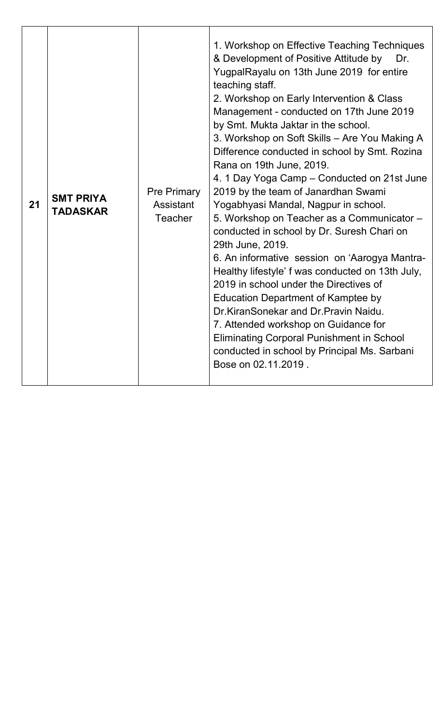| 21 | <b>SMT PRIYA</b><br><b>TADASKAR</b> | <b>Pre Primary</b><br>Assistant<br><b>Teacher</b> | 1. Workshop on Effective Teaching Techniques<br>& Development of Positive Attitude by<br>Dr.<br>YugpalRayalu on 13th June 2019 for entire<br>teaching staff.<br>2. Workshop on Early Intervention & Class<br>Management - conducted on 17th June 2019<br>by Smt. Mukta Jaktar in the school.<br>3. Workshop on Soft Skills - Are You Making A<br>Difference conducted in school by Smt. Rozina<br>Rana on 19th June, 2019.<br>4. 1 Day Yoga Camp – Conducted on 21st June<br>2019 by the team of Janardhan Swami<br>Yogabhyasi Mandal, Nagpur in school.<br>5. Workshop on Teacher as a Communicator -<br>conducted in school by Dr. Suresh Chari on<br>29th June, 2019.<br>6. An informative session on 'Aarogya Mantra-<br>Healthy lifestyle' f was conducted on 13th July,<br>2019 in school under the Directives of<br><b>Education Department of Kamptee by</b><br>Dr.KiranSonekar and Dr.Pravin Naidu.<br>7. Attended workshop on Guidance for<br><b>Eliminating Corporal Punishment in School</b><br>conducted in school by Principal Ms. Sarbani<br>Bose on 02.11.2019. |
|----|-------------------------------------|---------------------------------------------------|---------------------------------------------------------------------------------------------------------------------------------------------------------------------------------------------------------------------------------------------------------------------------------------------------------------------------------------------------------------------------------------------------------------------------------------------------------------------------------------------------------------------------------------------------------------------------------------------------------------------------------------------------------------------------------------------------------------------------------------------------------------------------------------------------------------------------------------------------------------------------------------------------------------------------------------------------------------------------------------------------------------------------------------------------------------------------------|
|----|-------------------------------------|---------------------------------------------------|---------------------------------------------------------------------------------------------------------------------------------------------------------------------------------------------------------------------------------------------------------------------------------------------------------------------------------------------------------------------------------------------------------------------------------------------------------------------------------------------------------------------------------------------------------------------------------------------------------------------------------------------------------------------------------------------------------------------------------------------------------------------------------------------------------------------------------------------------------------------------------------------------------------------------------------------------------------------------------------------------------------------------------------------------------------------------------|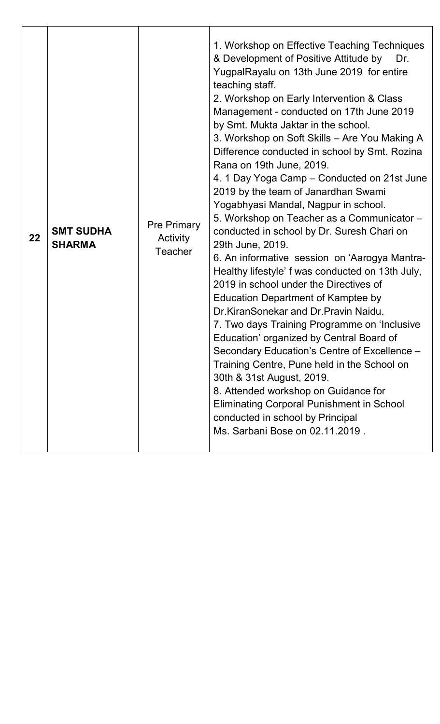| 22 | <b>SMT SUDHA</b><br><b>SHARMA</b> | <b>Pre Primary</b><br>Activity<br>Teacher | 1. Workshop on Effective Teaching Techniques<br>& Development of Positive Attitude by<br>Dr.<br>YugpalRayalu on 13th June 2019 for entire<br>teaching staff.<br>2. Workshop on Early Intervention & Class<br>Management - conducted on 17th June 2019<br>by Smt. Mukta Jaktar in the school.<br>3. Workshop on Soft Skills - Are You Making A<br>Difference conducted in school by Smt. Rozina<br>Rana on 19th June, 2019.<br>4. 1 Day Yoga Camp – Conducted on 21st June<br>2019 by the team of Janardhan Swami<br>Yogabhyasi Mandal, Nagpur in school.<br>5. Workshop on Teacher as a Communicator -<br>conducted in school by Dr. Suresh Chari on<br>29th June, 2019.<br>6. An informative session on 'Aarogya Mantra-<br>Healthy lifestyle' f was conducted on 13th July,<br>2019 in school under the Directives of<br><b>Education Department of Kamptee by</b><br>Dr.KiranSonekar and Dr.Pravin Naidu.<br>7. Two days Training Programme on 'Inclusive<br>Education' organized by Central Board of<br>Secondary Education's Centre of Excellence -<br>Training Centre, Pune held in the School on<br>30th & 31st August, 2019.<br>8. Attended workshop on Guidance for<br><b>Eliminating Corporal Punishment in School</b><br>conducted in school by Principal<br>Ms. Sarbani Bose on 02.11.2019. |
|----|-----------------------------------|-------------------------------------------|---------------------------------------------------------------------------------------------------------------------------------------------------------------------------------------------------------------------------------------------------------------------------------------------------------------------------------------------------------------------------------------------------------------------------------------------------------------------------------------------------------------------------------------------------------------------------------------------------------------------------------------------------------------------------------------------------------------------------------------------------------------------------------------------------------------------------------------------------------------------------------------------------------------------------------------------------------------------------------------------------------------------------------------------------------------------------------------------------------------------------------------------------------------------------------------------------------------------------------------------------------------------------------------------------------|
|----|-----------------------------------|-------------------------------------------|---------------------------------------------------------------------------------------------------------------------------------------------------------------------------------------------------------------------------------------------------------------------------------------------------------------------------------------------------------------------------------------------------------------------------------------------------------------------------------------------------------------------------------------------------------------------------------------------------------------------------------------------------------------------------------------------------------------------------------------------------------------------------------------------------------------------------------------------------------------------------------------------------------------------------------------------------------------------------------------------------------------------------------------------------------------------------------------------------------------------------------------------------------------------------------------------------------------------------------------------------------------------------------------------------------|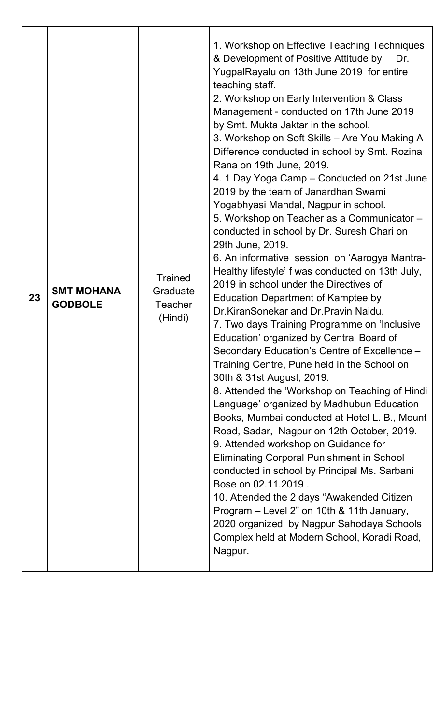| 23 | <b>SMT MOHANA</b><br><b>GODBOLE</b> | <b>Trained</b><br>Graduate<br><b>Teacher</b><br>(Hindi) | 1. Workshop on Effective Teaching Techniques<br>& Development of Positive Attitude by<br>Dr.<br>YugpalRayalu on 13th June 2019 for entire<br>teaching staff.<br>2. Workshop on Early Intervention & Class<br>Management - conducted on 17th June 2019<br>by Smt. Mukta Jaktar in the school.<br>3. Workshop on Soft Skills – Are You Making A<br>Difference conducted in school by Smt. Rozina<br>Rana on 19th June, 2019.<br>4. 1 Day Yoga Camp – Conducted on 21st June<br>2019 by the team of Janardhan Swami<br>Yogabhyasi Mandal, Nagpur in school.<br>5. Workshop on Teacher as a Communicator -<br>conducted in school by Dr. Suresh Chari on<br>29th June, 2019.<br>6. An informative session on 'Aarogya Mantra-<br>Healthy lifestyle' f was conducted on 13th July,<br>2019 in school under the Directives of<br><b>Education Department of Kamptee by</b><br>Dr.KiranSonekar and Dr.Pravin Naidu.<br>7. Two days Training Programme on 'Inclusive<br>Education' organized by Central Board of<br>Secondary Education's Centre of Excellence -<br>Training Centre, Pune held in the School on<br>30th & 31st August, 2019.<br>8. Attended the 'Workshop on Teaching of Hindi<br>Language' organized by Madhubun Education<br>Books, Mumbai conducted at Hotel L. B., Mount<br>Road, Sadar, Nagpur on 12th October, 2019.<br>9. Attended workshop on Guidance for<br><b>Eliminating Corporal Punishment in School</b><br>conducted in school by Principal Ms. Sarbani<br>Bose on 02.11.2019.<br>10. Attended the 2 days "Awakended Citizen"<br>Program – Level 2" on 10th & 11th January,<br>2020 organized by Nagpur Sahodaya Schools<br>Complex held at Modern School, Koradi Road, |
|----|-------------------------------------|---------------------------------------------------------|------------------------------------------------------------------------------------------------------------------------------------------------------------------------------------------------------------------------------------------------------------------------------------------------------------------------------------------------------------------------------------------------------------------------------------------------------------------------------------------------------------------------------------------------------------------------------------------------------------------------------------------------------------------------------------------------------------------------------------------------------------------------------------------------------------------------------------------------------------------------------------------------------------------------------------------------------------------------------------------------------------------------------------------------------------------------------------------------------------------------------------------------------------------------------------------------------------------------------------------------------------------------------------------------------------------------------------------------------------------------------------------------------------------------------------------------------------------------------------------------------------------------------------------------------------------------------------------------------------------------------------------------------------------------------------------------|
|    |                                     |                                                         | Nagpur.                                                                                                                                                                                                                                                                                                                                                                                                                                                                                                                                                                                                                                                                                                                                                                                                                                                                                                                                                                                                                                                                                                                                                                                                                                                                                                                                                                                                                                                                                                                                                                                                                                                                                        |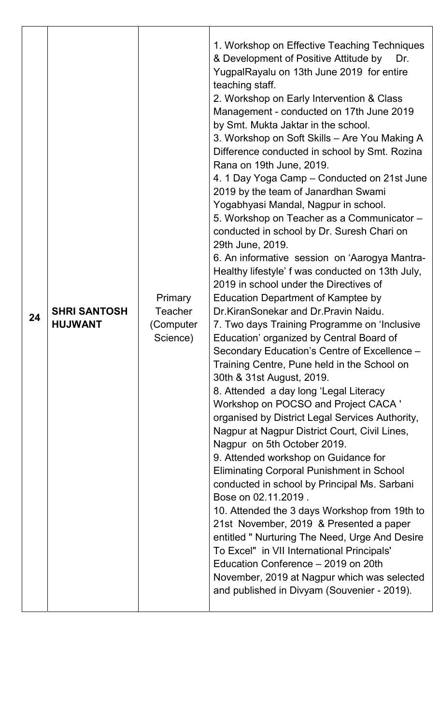| 24 | <b>SHRI SANTOSH</b><br><b>HUJWANT</b> | <b>Primary</b><br><b>Teacher</b><br>(Computer<br>Science) | 1. Workshop on Effective Teaching Techniques<br>& Development of Positive Attitude by<br>Dr.<br>YugpalRayalu on 13th June 2019 for entire<br>teaching staff.<br>2. Workshop on Early Intervention & Class<br>Management - conducted on 17th June 2019<br>by Smt. Mukta Jaktar in the school.<br>3. Workshop on Soft Skills - Are You Making A<br>Difference conducted in school by Smt. Rozina<br>Rana on 19th June, 2019.<br>4. 1 Day Yoga Camp – Conducted on 21st June<br>2019 by the team of Janardhan Swami<br>Yogabhyasi Mandal, Nagpur in school.<br>5. Workshop on Teacher as a Communicator -<br>conducted in school by Dr. Suresh Chari on<br>29th June, 2019.<br>6. An informative session on 'Aarogya Mantra-<br>Healthy lifestyle' f was conducted on 13th July,<br>2019 in school under the Directives of<br><b>Education Department of Kamptee by</b><br>Dr.KiranSonekar and Dr.Pravin Naidu.<br>7. Two days Training Programme on 'Inclusive<br>Education' organized by Central Board of<br>Secondary Education's Centre of Excellence -<br>Training Centre, Pune held in the School on<br>30th & 31st August, 2019.<br>8. Attended a day long 'Legal Literacy<br>Workshop on POCSO and Project CACA '<br>organised by District Legal Services Authority,<br>Nagpur at Nagpur District Court, Civil Lines,<br>Nagpur on 5th October 2019.<br>9. Attended workshop on Guidance for<br><b>Eliminating Corporal Punishment in School</b><br>conducted in school by Principal Ms. Sarbani<br>Bose on 02.11.2019.<br>10. Attended the 3 days Workshop from 19th to<br>21st November, 2019 & Presented a paper<br>entitled " Nurturing The Need, Urge And Desire<br>To Excel" in VII International Principals'<br>Education Conference - 2019 on 20th<br>November, 2019 at Nagpur which was selected<br>and published in Divyam (Souvenier - 2019). |
|----|---------------------------------------|-----------------------------------------------------------|---------------------------------------------------------------------------------------------------------------------------------------------------------------------------------------------------------------------------------------------------------------------------------------------------------------------------------------------------------------------------------------------------------------------------------------------------------------------------------------------------------------------------------------------------------------------------------------------------------------------------------------------------------------------------------------------------------------------------------------------------------------------------------------------------------------------------------------------------------------------------------------------------------------------------------------------------------------------------------------------------------------------------------------------------------------------------------------------------------------------------------------------------------------------------------------------------------------------------------------------------------------------------------------------------------------------------------------------------------------------------------------------------------------------------------------------------------------------------------------------------------------------------------------------------------------------------------------------------------------------------------------------------------------------------------------------------------------------------------------------------------------------------------------------------------------------------------------------------------------|
|----|---------------------------------------|-----------------------------------------------------------|---------------------------------------------------------------------------------------------------------------------------------------------------------------------------------------------------------------------------------------------------------------------------------------------------------------------------------------------------------------------------------------------------------------------------------------------------------------------------------------------------------------------------------------------------------------------------------------------------------------------------------------------------------------------------------------------------------------------------------------------------------------------------------------------------------------------------------------------------------------------------------------------------------------------------------------------------------------------------------------------------------------------------------------------------------------------------------------------------------------------------------------------------------------------------------------------------------------------------------------------------------------------------------------------------------------------------------------------------------------------------------------------------------------------------------------------------------------------------------------------------------------------------------------------------------------------------------------------------------------------------------------------------------------------------------------------------------------------------------------------------------------------------------------------------------------------------------------------------------------|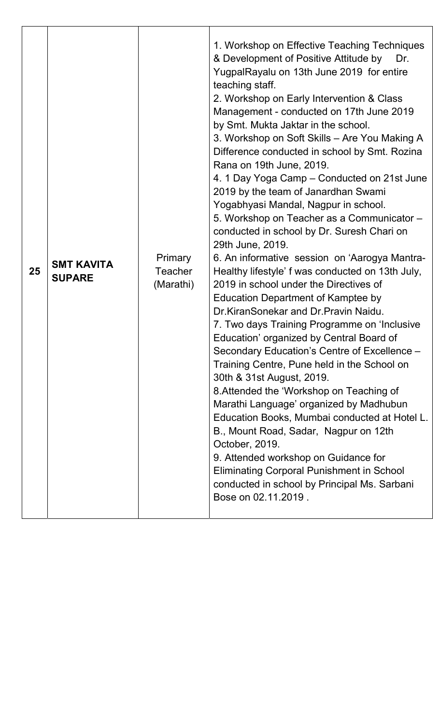| 25 | <b>SMT KAVITA</b><br><b>SUPARE</b> | <b>Primary</b><br><b>Teacher</b><br>(Marathi) | 1. Workshop on Effective Teaching Techniques<br>& Development of Positive Attitude by<br>Dr.<br>YugpalRayalu on 13th June 2019 for entire<br>teaching staff.<br>2. Workshop on Early Intervention & Class<br>Management - conducted on 17th June 2019<br>by Smt. Mukta Jaktar in the school.<br>3. Workshop on Soft Skills - Are You Making A<br>Difference conducted in school by Smt. Rozina<br>Rana on 19th June, 2019.<br>4. 1 Day Yoga Camp – Conducted on 21st June<br>2019 by the team of Janardhan Swami<br>Yogabhyasi Mandal, Nagpur in school.<br>5. Workshop on Teacher as a Communicator -<br>conducted in school by Dr. Suresh Chari on<br>29th June, 2019.<br>6. An informative session on 'Aarogya Mantra-<br>Healthy lifestyle' f was conducted on 13th July,<br>2019 in school under the Directives of<br><b>Education Department of Kamptee by</b><br>Dr.KiranSonekar and Dr.Pravin Naidu.<br>7. Two days Training Programme on 'Inclusive<br>Education' organized by Central Board of<br>Secondary Education's Centre of Excellence -<br>Training Centre, Pune held in the School on<br>30th & 31st August, 2019.<br>8. Attended the 'Workshop on Teaching of<br>Marathi Language' organized by Madhubun<br>Education Books, Mumbai conducted at Hotel L.<br>B., Mount Road, Sadar, Nagpur on 12th<br>October, 2019.<br>9. Attended workshop on Guidance for<br><b>Eliminating Corporal Punishment in School</b><br>conducted in school by Principal Ms. Sarbani<br>Bose on 02.11.2019. |
|----|------------------------------------|-----------------------------------------------|------------------------------------------------------------------------------------------------------------------------------------------------------------------------------------------------------------------------------------------------------------------------------------------------------------------------------------------------------------------------------------------------------------------------------------------------------------------------------------------------------------------------------------------------------------------------------------------------------------------------------------------------------------------------------------------------------------------------------------------------------------------------------------------------------------------------------------------------------------------------------------------------------------------------------------------------------------------------------------------------------------------------------------------------------------------------------------------------------------------------------------------------------------------------------------------------------------------------------------------------------------------------------------------------------------------------------------------------------------------------------------------------------------------------------------------------------------------------------------------------------------|
|----|------------------------------------|-----------------------------------------------|------------------------------------------------------------------------------------------------------------------------------------------------------------------------------------------------------------------------------------------------------------------------------------------------------------------------------------------------------------------------------------------------------------------------------------------------------------------------------------------------------------------------------------------------------------------------------------------------------------------------------------------------------------------------------------------------------------------------------------------------------------------------------------------------------------------------------------------------------------------------------------------------------------------------------------------------------------------------------------------------------------------------------------------------------------------------------------------------------------------------------------------------------------------------------------------------------------------------------------------------------------------------------------------------------------------------------------------------------------------------------------------------------------------------------------------------------------------------------------------------------------|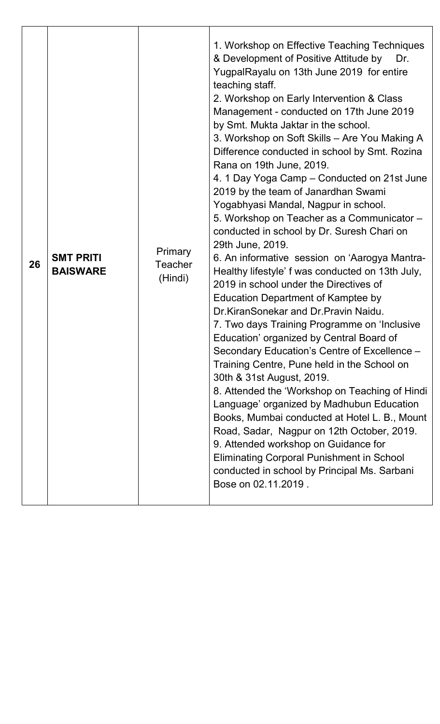| 26 | <b>SMT PRITI</b><br><b>BAISWARE</b> | <b>Primary</b><br><b>Teacher</b><br>(Hindi) | 1. Workshop on Effective Teaching Techniques<br>& Development of Positive Attitude by<br>Dr.<br>YugpalRayalu on 13th June 2019 for entire<br>teaching staff.<br>2. Workshop on Early Intervention & Class<br>Management - conducted on 17th June 2019<br>by Smt. Mukta Jaktar in the school.<br>3. Workshop on Soft Skills - Are You Making A<br>Difference conducted in school by Smt. Rozina<br>Rana on 19th June, 2019.<br>4. 1 Day Yoga Camp – Conducted on 21st June<br>2019 by the team of Janardhan Swami<br>Yogabhyasi Mandal, Nagpur in school.<br>5. Workshop on Teacher as a Communicator -<br>conducted in school by Dr. Suresh Chari on<br>29th June, 2019.<br>6. An informative session on 'Aarogya Mantra-<br>Healthy lifestyle' f was conducted on 13th July,<br>2019 in school under the Directives of<br><b>Education Department of Kamptee by</b><br>Dr.KiranSonekar and Dr.Pravin Naidu.<br>7. Two days Training Programme on 'Inclusive<br>Education' organized by Central Board of<br>Secondary Education's Centre of Excellence -<br>Training Centre, Pune held in the School on<br>30th & 31st August, 2019.<br>8. Attended the 'Workshop on Teaching of Hindi<br>Language' organized by Madhubun Education<br>Books, Mumbai conducted at Hotel L. B., Mount<br>Road, Sadar, Nagpur on 12th October, 2019.<br>9. Attended workshop on Guidance for<br><b>Eliminating Corporal Punishment in School</b><br>conducted in school by Principal Ms. Sarbani<br>Bose on 02.11.2019. |
|----|-------------------------------------|---------------------------------------------|-------------------------------------------------------------------------------------------------------------------------------------------------------------------------------------------------------------------------------------------------------------------------------------------------------------------------------------------------------------------------------------------------------------------------------------------------------------------------------------------------------------------------------------------------------------------------------------------------------------------------------------------------------------------------------------------------------------------------------------------------------------------------------------------------------------------------------------------------------------------------------------------------------------------------------------------------------------------------------------------------------------------------------------------------------------------------------------------------------------------------------------------------------------------------------------------------------------------------------------------------------------------------------------------------------------------------------------------------------------------------------------------------------------------------------------------------------------------------------------------------------|
|    |                                     |                                             |                                                                                                                                                                                                                                                                                                                                                                                                                                                                                                                                                                                                                                                                                                                                                                                                                                                                                                                                                                                                                                                                                                                                                                                                                                                                                                                                                                                                                                                                                                       |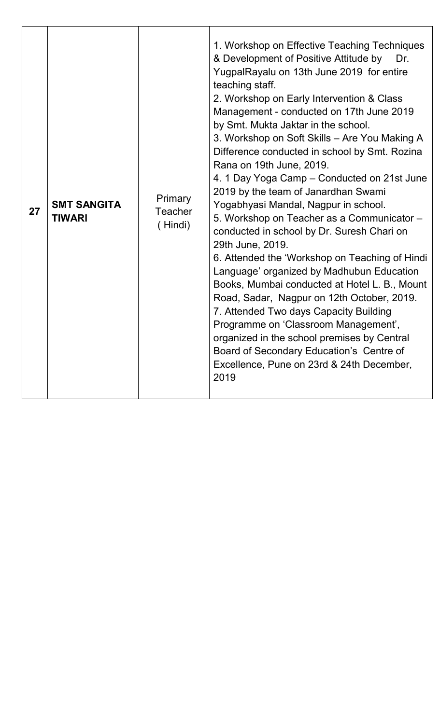| 27 | <b>SMT SANGITA</b><br><b>TIWARI</b> | Primary<br><b>Teacher</b><br>(Hindi) | 1. Workshop on Effective Teaching Techniques<br>& Development of Positive Attitude by<br>Dr.<br>YugpalRayalu on 13th June 2019 for entire<br>teaching staff.<br>2. Workshop on Early Intervention & Class<br>Management - conducted on 17th June 2019<br>by Smt. Mukta Jaktar in the school.<br>3. Workshop on Soft Skills – Are You Making A<br>Difference conducted in school by Smt. Rozina<br>Rana on 19th June, 2019.<br>4. 1 Day Yoga Camp – Conducted on 21st June<br>2019 by the team of Janardhan Swami<br>Yogabhyasi Mandal, Nagpur in school.<br>5. Workshop on Teacher as a Communicator -<br>conducted in school by Dr. Suresh Chari on<br>29th June, 2019.<br>6. Attended the 'Workshop on Teaching of Hindi<br>Language' organized by Madhubun Education<br>Books, Mumbai conducted at Hotel L. B., Mount<br>Road, Sadar, Nagpur on 12th October, 2019.<br>7. Attended Two days Capacity Building<br>Programme on 'Classroom Management',<br>organized in the school premises by Central<br>Board of Secondary Education's Centre of<br>Excellence, Pune on 23rd & 24th December,<br>2019 |
|----|-------------------------------------|--------------------------------------|----------------------------------------------------------------------------------------------------------------------------------------------------------------------------------------------------------------------------------------------------------------------------------------------------------------------------------------------------------------------------------------------------------------------------------------------------------------------------------------------------------------------------------------------------------------------------------------------------------------------------------------------------------------------------------------------------------------------------------------------------------------------------------------------------------------------------------------------------------------------------------------------------------------------------------------------------------------------------------------------------------------------------------------------------------------------------------------------------------|
|----|-------------------------------------|--------------------------------------|----------------------------------------------------------------------------------------------------------------------------------------------------------------------------------------------------------------------------------------------------------------------------------------------------------------------------------------------------------------------------------------------------------------------------------------------------------------------------------------------------------------------------------------------------------------------------------------------------------------------------------------------------------------------------------------------------------------------------------------------------------------------------------------------------------------------------------------------------------------------------------------------------------------------------------------------------------------------------------------------------------------------------------------------------------------------------------------------------------|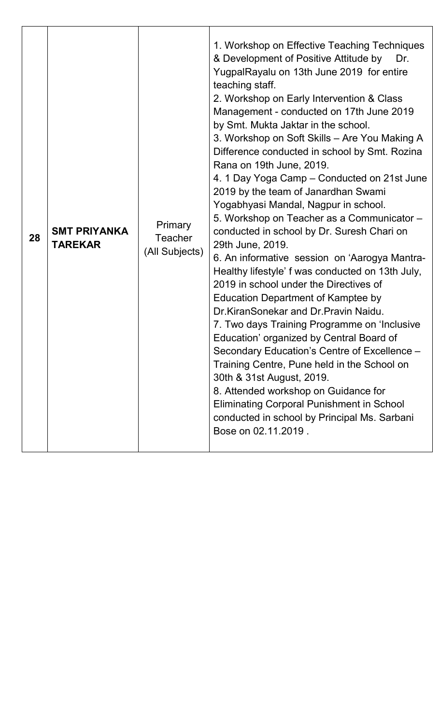| 28 | <b>SMT PRIYANKA</b><br><b>TAREKAR</b> | Primary<br><b>Teacher</b><br>(All Subjects) | 1. Workshop on Effective Teaching Techniques<br>& Development of Positive Attitude by<br>Dr.<br>YugpalRayalu on 13th June 2019 for entire<br>teaching staff.<br>2. Workshop on Early Intervention & Class<br>Management - conducted on 17th June 2019<br>by Smt. Mukta Jaktar in the school.<br>3. Workshop on Soft Skills – Are You Making A<br>Difference conducted in school by Smt. Rozina<br>Rana on 19th June, 2019.<br>4. 1 Day Yoga Camp – Conducted on 21st June<br>2019 by the team of Janardhan Swami<br>Yogabhyasi Mandal, Nagpur in school.<br>5. Workshop on Teacher as a Communicator -<br>conducted in school by Dr. Suresh Chari on<br>29th June, 2019.<br>6. An informative session on 'Aarogya Mantra-<br>Healthy lifestyle' f was conducted on 13th July,<br>2019 in school under the Directives of<br><b>Education Department of Kamptee by</b><br>Dr.KiranSonekar and Dr.Pravin Naidu.<br>7. Two days Training Programme on 'Inclusive<br>Education' organized by Central Board of<br>Secondary Education's Centre of Excellence -<br>Training Centre, Pune held in the School on<br>30th & 31st August, 2019.<br>8. Attended workshop on Guidance for<br><b>Eliminating Corporal Punishment in School</b><br>conducted in school by Principal Ms. Sarbani<br>Bose on 02.11.2019. |
|----|---------------------------------------|---------------------------------------------|---------------------------------------------------------------------------------------------------------------------------------------------------------------------------------------------------------------------------------------------------------------------------------------------------------------------------------------------------------------------------------------------------------------------------------------------------------------------------------------------------------------------------------------------------------------------------------------------------------------------------------------------------------------------------------------------------------------------------------------------------------------------------------------------------------------------------------------------------------------------------------------------------------------------------------------------------------------------------------------------------------------------------------------------------------------------------------------------------------------------------------------------------------------------------------------------------------------------------------------------------------------------------------------------------------|
|----|---------------------------------------|---------------------------------------------|---------------------------------------------------------------------------------------------------------------------------------------------------------------------------------------------------------------------------------------------------------------------------------------------------------------------------------------------------------------------------------------------------------------------------------------------------------------------------------------------------------------------------------------------------------------------------------------------------------------------------------------------------------------------------------------------------------------------------------------------------------------------------------------------------------------------------------------------------------------------------------------------------------------------------------------------------------------------------------------------------------------------------------------------------------------------------------------------------------------------------------------------------------------------------------------------------------------------------------------------------------------------------------------------------------|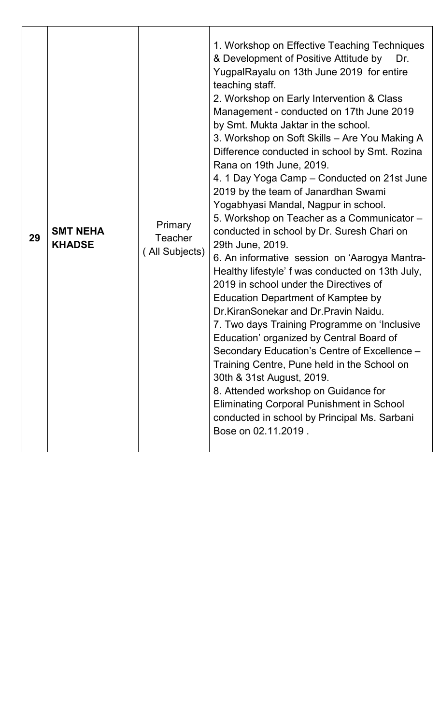| 29 | <b>SMT NEHA</b><br><b>KHADSE</b> | <b>Primary</b><br><b>Teacher</b><br>(All Subjects) | 1. Workshop on Effective Teaching Techniques<br>& Development of Positive Attitude by<br>Dr.<br>YugpalRayalu on 13th June 2019 for entire<br>teaching staff.<br>2. Workshop on Early Intervention & Class<br>Management - conducted on 17th June 2019<br>by Smt. Mukta Jaktar in the school.<br>3. Workshop on Soft Skills - Are You Making A<br>Difference conducted in school by Smt. Rozina<br>Rana on 19th June, 2019.<br>4. 1 Day Yoga Camp – Conducted on 21st June<br>2019 by the team of Janardhan Swami<br>Yogabhyasi Mandal, Nagpur in school.<br>5. Workshop on Teacher as a Communicator -<br>conducted in school by Dr. Suresh Chari on<br>29th June, 2019.<br>6. An informative session on 'Aarogya Mantra-<br>Healthy lifestyle' f was conducted on 13th July,<br>2019 in school under the Directives of<br><b>Education Department of Kamptee by</b><br>Dr.KiranSonekar and Dr.Pravin Naidu.<br>7. Two days Training Programme on 'Inclusive<br>Education' organized by Central Board of<br>Secondary Education's Centre of Excellence -<br>Training Centre, Pune held in the School on<br>30th & 31st August, 2019.<br>8. Attended workshop on Guidance for<br><b>Eliminating Corporal Punishment in School</b><br>conducted in school by Principal Ms. Sarbani<br>Bose on 02.11.2019. |
|----|----------------------------------|----------------------------------------------------|---------------------------------------------------------------------------------------------------------------------------------------------------------------------------------------------------------------------------------------------------------------------------------------------------------------------------------------------------------------------------------------------------------------------------------------------------------------------------------------------------------------------------------------------------------------------------------------------------------------------------------------------------------------------------------------------------------------------------------------------------------------------------------------------------------------------------------------------------------------------------------------------------------------------------------------------------------------------------------------------------------------------------------------------------------------------------------------------------------------------------------------------------------------------------------------------------------------------------------------------------------------------------------------------------------|
|----|----------------------------------|----------------------------------------------------|---------------------------------------------------------------------------------------------------------------------------------------------------------------------------------------------------------------------------------------------------------------------------------------------------------------------------------------------------------------------------------------------------------------------------------------------------------------------------------------------------------------------------------------------------------------------------------------------------------------------------------------------------------------------------------------------------------------------------------------------------------------------------------------------------------------------------------------------------------------------------------------------------------------------------------------------------------------------------------------------------------------------------------------------------------------------------------------------------------------------------------------------------------------------------------------------------------------------------------------------------------------------------------------------------------|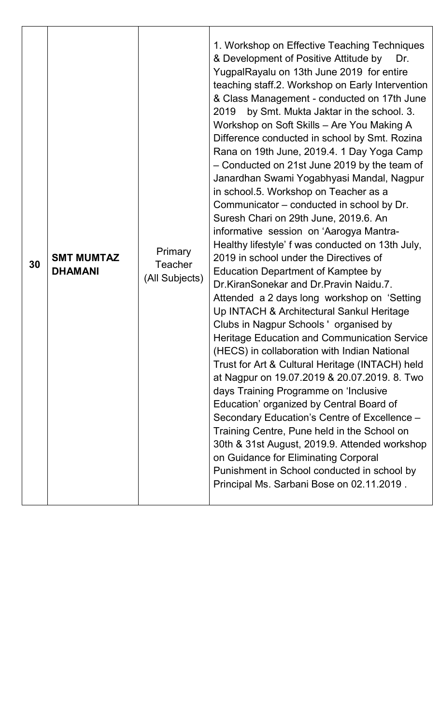| <b>Primary</b><br><b>SMT MUMTAZ</b><br>30<br><b>Teacher</b><br><b>DHAMANI</b><br>(All Subjects) | 1. Workshop on Effective Teaching Techniques<br>& Development of Positive Attitude by<br>Dr.<br>YugpalRayalu on 13th June 2019 for entire<br>teaching staff.2. Workshop on Early Intervention<br>& Class Management - conducted on 17th June<br>by Smt. Mukta Jaktar in the school. 3.<br>2019<br>Workshop on Soft Skills - Are You Making A<br>Difference conducted in school by Smt. Rozina<br>Rana on 19th June, 2019.4. 1 Day Yoga Camp<br>- Conducted on 21st June 2019 by the team of<br>Janardhan Swami Yogabhyasi Mandal, Nagpur<br>in school.5. Workshop on Teacher as a<br>Communicator – conducted in school by Dr.<br>Suresh Chari on 29th June, 2019.6. An<br>informative session on 'Aarogya Mantra-<br>Healthy lifestyle' f was conducted on 13th July,<br>2019 in school under the Directives of<br><b>Education Department of Kamptee by</b><br>Dr.KiranSonekar and Dr.Pravin Naidu.7.<br>Attended a 2 days long workshop on 'Setting<br>Up INTACH & Architectural Sankul Heritage<br>Clubs in Nagpur Schools 'organised by<br><b>Heritage Education and Communication Service</b><br>(HECS) in collaboration with Indian National<br>Trust for Art & Cultural Heritage (INTACH) held<br>at Nagpur on 19.07.2019 & 20.07.2019. 8. Two<br>days Training Programme on 'Inclusive<br>Education' organized by Central Board of<br>Secondary Education's Centre of Excellence -<br>Training Centre, Pune held in the School on<br>30th & 31st August, 2019.9. Attended workshop<br>on Guidance for Eliminating Corporal<br>Punishment in School conducted in school by<br>Principal Ms. Sarbani Bose on 02.11.2019. |
|-------------------------------------------------------------------------------------------------|---------------------------------------------------------------------------------------------------------------------------------------------------------------------------------------------------------------------------------------------------------------------------------------------------------------------------------------------------------------------------------------------------------------------------------------------------------------------------------------------------------------------------------------------------------------------------------------------------------------------------------------------------------------------------------------------------------------------------------------------------------------------------------------------------------------------------------------------------------------------------------------------------------------------------------------------------------------------------------------------------------------------------------------------------------------------------------------------------------------------------------------------------------------------------------------------------------------------------------------------------------------------------------------------------------------------------------------------------------------------------------------------------------------------------------------------------------------------------------------------------------------------------------------------------------------------------------------------------------------------------------|
|-------------------------------------------------------------------------------------------------|---------------------------------------------------------------------------------------------------------------------------------------------------------------------------------------------------------------------------------------------------------------------------------------------------------------------------------------------------------------------------------------------------------------------------------------------------------------------------------------------------------------------------------------------------------------------------------------------------------------------------------------------------------------------------------------------------------------------------------------------------------------------------------------------------------------------------------------------------------------------------------------------------------------------------------------------------------------------------------------------------------------------------------------------------------------------------------------------------------------------------------------------------------------------------------------------------------------------------------------------------------------------------------------------------------------------------------------------------------------------------------------------------------------------------------------------------------------------------------------------------------------------------------------------------------------------------------------------------------------------------------|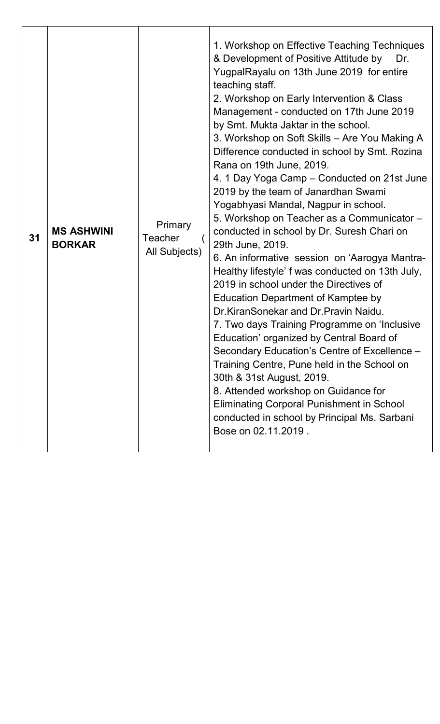| 31 | <b>MS ASHWINI</b><br><b>BORKAR</b> | Primary<br><b>Teacher</b><br>All Subjects) | 1. Workshop on Effective Teaching Techniques<br>& Development of Positive Attitude by<br>Dr.<br>YugpalRayalu on 13th June 2019 for entire<br>teaching staff.<br>2. Workshop on Early Intervention & Class<br>Management - conducted on 17th June 2019<br>by Smt. Mukta Jaktar in the school.<br>3. Workshop on Soft Skills - Are You Making A<br>Difference conducted in school by Smt. Rozina<br>Rana on 19th June, 2019.<br>4. 1 Day Yoga Camp – Conducted on 21st June<br>2019 by the team of Janardhan Swami<br>Yogabhyasi Mandal, Nagpur in school.<br>5. Workshop on Teacher as a Communicator -<br>conducted in school by Dr. Suresh Chari on<br>29th June, 2019.<br>6. An informative session on 'Aarogya Mantra-<br>Healthy lifestyle' f was conducted on 13th July,<br>2019 in school under the Directives of<br><b>Education Department of Kamptee by</b><br>Dr.KiranSonekar and Dr.Pravin Naidu.<br>7. Two days Training Programme on 'Inclusive<br>Education' organized by Central Board of<br>Secondary Education's Centre of Excellence -<br>Training Centre, Pune held in the School on<br>30th & 31st August, 2019.<br>8. Attended workshop on Guidance for<br><b>Eliminating Corporal Punishment in School</b><br>conducted in school by Principal Ms. Sarbani<br>Bose on 02.11.2019. |
|----|------------------------------------|--------------------------------------------|---------------------------------------------------------------------------------------------------------------------------------------------------------------------------------------------------------------------------------------------------------------------------------------------------------------------------------------------------------------------------------------------------------------------------------------------------------------------------------------------------------------------------------------------------------------------------------------------------------------------------------------------------------------------------------------------------------------------------------------------------------------------------------------------------------------------------------------------------------------------------------------------------------------------------------------------------------------------------------------------------------------------------------------------------------------------------------------------------------------------------------------------------------------------------------------------------------------------------------------------------------------------------------------------------------|
|----|------------------------------------|--------------------------------------------|---------------------------------------------------------------------------------------------------------------------------------------------------------------------------------------------------------------------------------------------------------------------------------------------------------------------------------------------------------------------------------------------------------------------------------------------------------------------------------------------------------------------------------------------------------------------------------------------------------------------------------------------------------------------------------------------------------------------------------------------------------------------------------------------------------------------------------------------------------------------------------------------------------------------------------------------------------------------------------------------------------------------------------------------------------------------------------------------------------------------------------------------------------------------------------------------------------------------------------------------------------------------------------------------------------|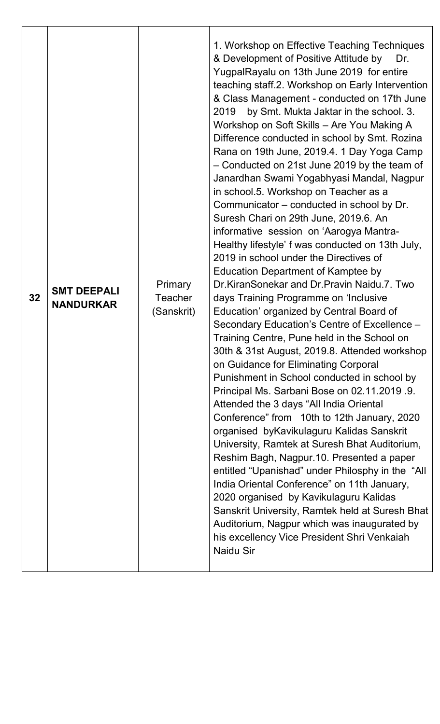| <b>Primary</b><br><b>SMT DEEPALI</b><br>32<br><b>Teacher</b><br><b>NANDURKAR</b><br>(Sanskrit) | 1. Workshop on Effective Teaching Techniques<br>& Development of Positive Attitude by<br>Dr.<br>YugpalRayalu on 13th June 2019 for entire<br>teaching staff.2. Workshop on Early Intervention<br>& Class Management - conducted on 17th June<br>by Smt. Mukta Jaktar in the school. 3.<br>2019<br>Workshop on Soft Skills - Are You Making A<br>Difference conducted in school by Smt. Rozina<br>Rana on 19th June, 2019.4. 1 Day Yoga Camp<br>- Conducted on 21st June 2019 by the team of<br>Janardhan Swami Yogabhyasi Mandal, Nagpur<br>in school.5. Workshop on Teacher as a<br>Communicator – conducted in school by Dr.<br>Suresh Chari on 29th June, 2019.6. An<br>informative session on 'Aarogya Mantra-<br>Healthy lifestyle' f was conducted on 13th July,<br>2019 in school under the Directives of<br><b>Education Department of Kamptee by</b><br>Dr. Kiran Sonekar and Dr. Pravin Naidu. 7. Two<br>days Training Programme on 'Inclusive<br>Education' organized by Central Board of<br>Secondary Education's Centre of Excellence -<br>Training Centre, Pune held in the School on<br>30th & 31st August, 2019.8. Attended workshop<br>on Guidance for Eliminating Corporal<br>Punishment in School conducted in school by<br>Principal Ms. Sarbani Bose on 02.11.2019 .9.<br>Attended the 3 days "All India Oriental<br>Conference" from 10th to 12th January, 2020<br>organised byKavikulaguru Kalidas Sanskrit<br>University, Ramtek at Suresh Bhat Auditorium,<br>Reshim Bagh, Nagpur.10. Presented a paper<br>entitled "Upanishad" under Philosphy in the "All<br>India Oriental Conference" on 11th January,<br>2020 organised by Kavikulaguru Kalidas<br>Sanskrit University, Ramtek held at Suresh Bhat<br>Auditorium, Nagpur which was inaugurated by<br>his excellency Vice President Shri Venkaiah<br><b>Naidu Sir</b> |
|------------------------------------------------------------------------------------------------|----------------------------------------------------------------------------------------------------------------------------------------------------------------------------------------------------------------------------------------------------------------------------------------------------------------------------------------------------------------------------------------------------------------------------------------------------------------------------------------------------------------------------------------------------------------------------------------------------------------------------------------------------------------------------------------------------------------------------------------------------------------------------------------------------------------------------------------------------------------------------------------------------------------------------------------------------------------------------------------------------------------------------------------------------------------------------------------------------------------------------------------------------------------------------------------------------------------------------------------------------------------------------------------------------------------------------------------------------------------------------------------------------------------------------------------------------------------------------------------------------------------------------------------------------------------------------------------------------------------------------------------------------------------------------------------------------------------------------------------------------------------------------------------------------------------------------------------------------|
|------------------------------------------------------------------------------------------------|----------------------------------------------------------------------------------------------------------------------------------------------------------------------------------------------------------------------------------------------------------------------------------------------------------------------------------------------------------------------------------------------------------------------------------------------------------------------------------------------------------------------------------------------------------------------------------------------------------------------------------------------------------------------------------------------------------------------------------------------------------------------------------------------------------------------------------------------------------------------------------------------------------------------------------------------------------------------------------------------------------------------------------------------------------------------------------------------------------------------------------------------------------------------------------------------------------------------------------------------------------------------------------------------------------------------------------------------------------------------------------------------------------------------------------------------------------------------------------------------------------------------------------------------------------------------------------------------------------------------------------------------------------------------------------------------------------------------------------------------------------------------------------------------------------------------------------------------------|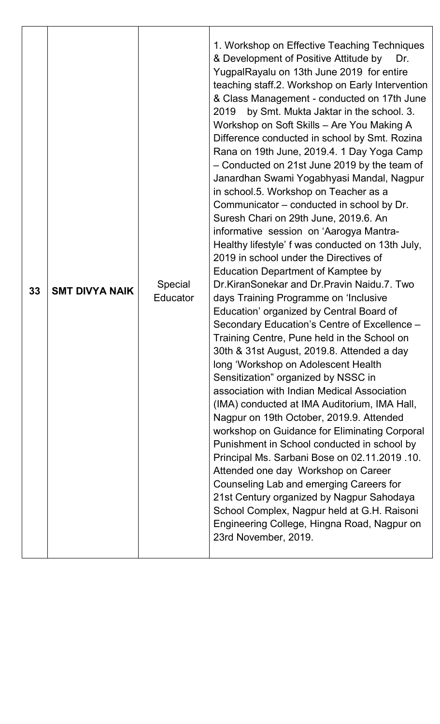| 30th & 31st August, 2019.8. Attended a day<br>long 'Workshop on Adolescent Health<br>Sensitization" organized by NSSC in<br>association with Indian Medical Association<br>(IMA) conducted at IMA Auditorium, IMA Hall,<br>Nagpur on 19th October, 2019.9. Attended<br>Punishment in School conducted in school by<br>Attended one day Workshop on Career<br>Counseling Lab and emerging Careers for<br>21st Century organized by Nagpur Sahodaya<br>23rd November, 2019. | 33 | <b>SMT DIVYA NAIK</b> | Special<br><b>Educator</b> | 1. Workshop on Effective Teaching Techniques<br>& Development of Positive Attitude by<br>Dr.<br>YugpalRayalu on 13th June 2019 for entire<br>teaching staff.2. Workshop on Early Intervention<br>& Class Management - conducted on 17th June<br>by Smt. Mukta Jaktar in the school. 3.<br>2019<br>Workshop on Soft Skills - Are You Making A<br>Difference conducted in school by Smt. Rozina<br>Rana on 19th June, 2019.4. 1 Day Yoga Camp<br>- Conducted on 21st June 2019 by the team of<br>Janardhan Swami Yogabhyasi Mandal, Nagpur<br>in school.5. Workshop on Teacher as a<br>Communicator – conducted in school by Dr.<br>Suresh Chari on 29th June, 2019.6. An<br>informative session on 'Aarogya Mantra-<br>Healthy lifestyle' f was conducted on 13th July,<br>2019 in school under the Directives of<br><b>Education Department of Kamptee by</b><br>Dr. Kiran Sonekar and Dr. Pravin Naidu. 7. Two<br>days Training Programme on 'Inclusive<br>Education' organized by Central Board of<br>Secondary Education's Centre of Excellence -<br>Training Centre, Pune held in the School on<br>workshop on Guidance for Eliminating Corporal<br>Principal Ms. Sarbani Bose on 02.11.2019 .10.<br>School Complex, Nagpur held at G.H. Raisoni<br>Engineering College, Hingna Road, Nagpur on |
|---------------------------------------------------------------------------------------------------------------------------------------------------------------------------------------------------------------------------------------------------------------------------------------------------------------------------------------------------------------------------------------------------------------------------------------------------------------------------|----|-----------------------|----------------------------|-----------------------------------------------------------------------------------------------------------------------------------------------------------------------------------------------------------------------------------------------------------------------------------------------------------------------------------------------------------------------------------------------------------------------------------------------------------------------------------------------------------------------------------------------------------------------------------------------------------------------------------------------------------------------------------------------------------------------------------------------------------------------------------------------------------------------------------------------------------------------------------------------------------------------------------------------------------------------------------------------------------------------------------------------------------------------------------------------------------------------------------------------------------------------------------------------------------------------------------------------------------------------------------------------------|
|---------------------------------------------------------------------------------------------------------------------------------------------------------------------------------------------------------------------------------------------------------------------------------------------------------------------------------------------------------------------------------------------------------------------------------------------------------------------------|----|-----------------------|----------------------------|-----------------------------------------------------------------------------------------------------------------------------------------------------------------------------------------------------------------------------------------------------------------------------------------------------------------------------------------------------------------------------------------------------------------------------------------------------------------------------------------------------------------------------------------------------------------------------------------------------------------------------------------------------------------------------------------------------------------------------------------------------------------------------------------------------------------------------------------------------------------------------------------------------------------------------------------------------------------------------------------------------------------------------------------------------------------------------------------------------------------------------------------------------------------------------------------------------------------------------------------------------------------------------------------------------|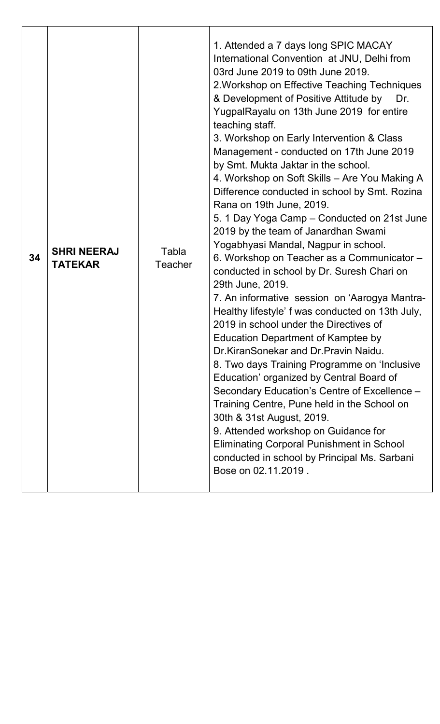| 34 | <b>SHRI NEERAJ</b><br><b>TATEKAR</b> | Tabla<br><b>Teacher</b> | 1. Attended a 7 days long SPIC MACAY<br>International Convention at JNU, Delhi from<br>03rd June 2019 to 09th June 2019.<br>2. Workshop on Effective Teaching Techniques<br>& Development of Positive Attitude by<br>Dr.<br>YugpalRayalu on 13th June 2019 for entire<br>teaching staff.<br>3. Workshop on Early Intervention & Class<br>Management - conducted on 17th June 2019<br>by Smt. Mukta Jaktar in the school.<br>4. Workshop on Soft Skills - Are You Making A<br>Difference conducted in school by Smt. Rozina<br>Rana on 19th June, 2019.<br>5. 1 Day Yoga Camp – Conducted on 21st June<br>2019 by the team of Janardhan Swami<br>Yogabhyasi Mandal, Nagpur in school.<br>6. Workshop on Teacher as a Communicator -<br>conducted in school by Dr. Suresh Chari on<br>29th June, 2019.<br>7. An informative session on 'Aarogya Mantra-<br>Healthy lifestyle' f was conducted on 13th July,<br>2019 in school under the Directives of<br><b>Education Department of Kamptee by</b><br>Dr. Kiran Sonekar and Dr. Pravin Naidu.<br>8. Two days Training Programme on 'Inclusive<br>Education' organized by Central Board of<br>Secondary Education's Centre of Excellence -<br>Training Centre, Pune held in the School on<br>30th & 31st August, 2019.<br>9. Attended workshop on Guidance for<br><b>Eliminating Corporal Punishment in School</b><br>conducted in school by Principal Ms. Sarbani<br>Bose on 02.11.2019. |
|----|--------------------------------------|-------------------------|----------------------------------------------------------------------------------------------------------------------------------------------------------------------------------------------------------------------------------------------------------------------------------------------------------------------------------------------------------------------------------------------------------------------------------------------------------------------------------------------------------------------------------------------------------------------------------------------------------------------------------------------------------------------------------------------------------------------------------------------------------------------------------------------------------------------------------------------------------------------------------------------------------------------------------------------------------------------------------------------------------------------------------------------------------------------------------------------------------------------------------------------------------------------------------------------------------------------------------------------------------------------------------------------------------------------------------------------------------------------------------------------------------------------------------------|
|----|--------------------------------------|-------------------------|----------------------------------------------------------------------------------------------------------------------------------------------------------------------------------------------------------------------------------------------------------------------------------------------------------------------------------------------------------------------------------------------------------------------------------------------------------------------------------------------------------------------------------------------------------------------------------------------------------------------------------------------------------------------------------------------------------------------------------------------------------------------------------------------------------------------------------------------------------------------------------------------------------------------------------------------------------------------------------------------------------------------------------------------------------------------------------------------------------------------------------------------------------------------------------------------------------------------------------------------------------------------------------------------------------------------------------------------------------------------------------------------------------------------------------------|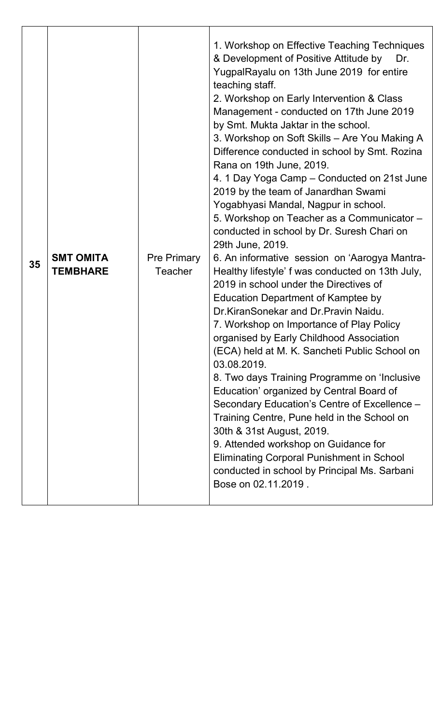| 03.08.2019.<br>Education' organized by Central Board of<br>Training Centre, Pune held in the School on<br>30th & 31st August, 2019.<br>9. Attended workshop on Guidance for<br><b>Eliminating Corporal Punishment in School</b><br>conducted in school by Principal Ms. Sarbani<br>Bose on 02.11.2019. | 35 | <b>SMT OMITA</b><br><b>TEMBHARE</b> | <b>Pre Primary</b><br><b>Teacher</b> | 1. Workshop on Effective Teaching Techniques<br>& Development of Positive Attitude by<br>Dr.<br>YugpalRayalu on 13th June 2019 for entire<br>teaching staff.<br>2. Workshop on Early Intervention & Class<br>Management - conducted on 17th June 2019<br>by Smt. Mukta Jaktar in the school.<br>3. Workshop on Soft Skills - Are You Making A<br>Difference conducted in school by Smt. Rozina<br>Rana on 19th June, 2019.<br>4. 1 Day Yoga Camp – Conducted on 21st June<br>2019 by the team of Janardhan Swami<br>Yogabhyasi Mandal, Nagpur in school.<br>5. Workshop on Teacher as a Communicator -<br>conducted in school by Dr. Suresh Chari on<br>29th June, 2019.<br>6. An informative session on 'Aarogya Mantra-<br>Healthy lifestyle' f was conducted on 13th July,<br>2019 in school under the Directives of<br><b>Education Department of Kamptee by</b><br>Dr.KiranSonekar and Dr.Pravin Naidu.<br>7. Workshop on Importance of Play Policy<br>organised by Early Childhood Association<br>(ECA) held at M. K. Sancheti Public School on<br>8. Two days Training Programme on 'Inclusive<br>Secondary Education's Centre of Excellence - |
|--------------------------------------------------------------------------------------------------------------------------------------------------------------------------------------------------------------------------------------------------------------------------------------------------------|----|-------------------------------------|--------------------------------------|-------------------------------------------------------------------------------------------------------------------------------------------------------------------------------------------------------------------------------------------------------------------------------------------------------------------------------------------------------------------------------------------------------------------------------------------------------------------------------------------------------------------------------------------------------------------------------------------------------------------------------------------------------------------------------------------------------------------------------------------------------------------------------------------------------------------------------------------------------------------------------------------------------------------------------------------------------------------------------------------------------------------------------------------------------------------------------------------------------------------------------------------------------|
|--------------------------------------------------------------------------------------------------------------------------------------------------------------------------------------------------------------------------------------------------------------------------------------------------------|----|-------------------------------------|--------------------------------------|-------------------------------------------------------------------------------------------------------------------------------------------------------------------------------------------------------------------------------------------------------------------------------------------------------------------------------------------------------------------------------------------------------------------------------------------------------------------------------------------------------------------------------------------------------------------------------------------------------------------------------------------------------------------------------------------------------------------------------------------------------------------------------------------------------------------------------------------------------------------------------------------------------------------------------------------------------------------------------------------------------------------------------------------------------------------------------------------------------------------------------------------------------|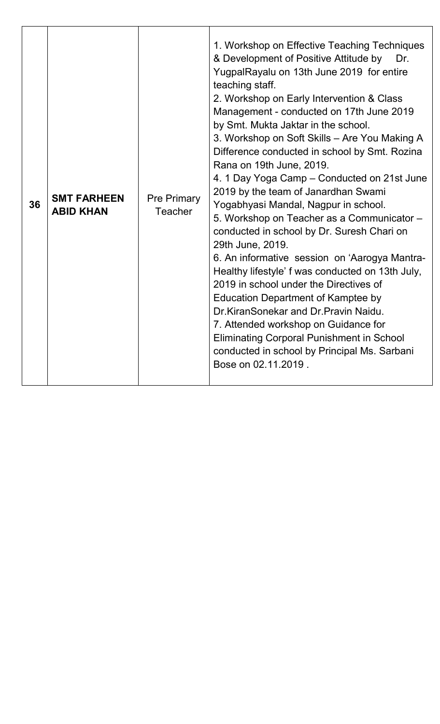| 36 | <b>SMT FARHEEN</b><br><b>ABID KHAN</b> | <b>Pre Primary</b><br>Teacher | 1. Workshop on Effective Teaching Techniques<br>& Development of Positive Attitude by<br>Dr.<br>YugpalRayalu on 13th June 2019 for entire<br>teaching staff.<br>2. Workshop on Early Intervention & Class<br>Management - conducted on 17th June 2019<br>by Smt. Mukta Jaktar in the school.<br>3. Workshop on Soft Skills - Are You Making A<br>Difference conducted in school by Smt. Rozina<br>Rana on 19th June, 2019.<br>4. 1 Day Yoga Camp – Conducted on 21st June<br>2019 by the team of Janardhan Swami<br>Yogabhyasi Mandal, Nagpur in school.<br>5. Workshop on Teacher as a Communicator -<br>conducted in school by Dr. Suresh Chari on<br>29th June, 2019.<br>6. An informative session on 'Aarogya Mantra-<br>Healthy lifestyle' f was conducted on 13th July,<br>2019 in school under the Directives of<br>Education Department of Kamptee by<br>Dr. Kiran Sonekar and Dr. Pravin Naidu.<br>7. Attended workshop on Guidance for<br><b>Eliminating Corporal Punishment in School</b><br>conducted in school by Principal Ms. Sarbani<br>Bose on 02.11.2019. |
|----|----------------------------------------|-------------------------------|-----------------------------------------------------------------------------------------------------------------------------------------------------------------------------------------------------------------------------------------------------------------------------------------------------------------------------------------------------------------------------------------------------------------------------------------------------------------------------------------------------------------------------------------------------------------------------------------------------------------------------------------------------------------------------------------------------------------------------------------------------------------------------------------------------------------------------------------------------------------------------------------------------------------------------------------------------------------------------------------------------------------------------------------------------------------------------|
|----|----------------------------------------|-------------------------------|-----------------------------------------------------------------------------------------------------------------------------------------------------------------------------------------------------------------------------------------------------------------------------------------------------------------------------------------------------------------------------------------------------------------------------------------------------------------------------------------------------------------------------------------------------------------------------------------------------------------------------------------------------------------------------------------------------------------------------------------------------------------------------------------------------------------------------------------------------------------------------------------------------------------------------------------------------------------------------------------------------------------------------------------------------------------------------|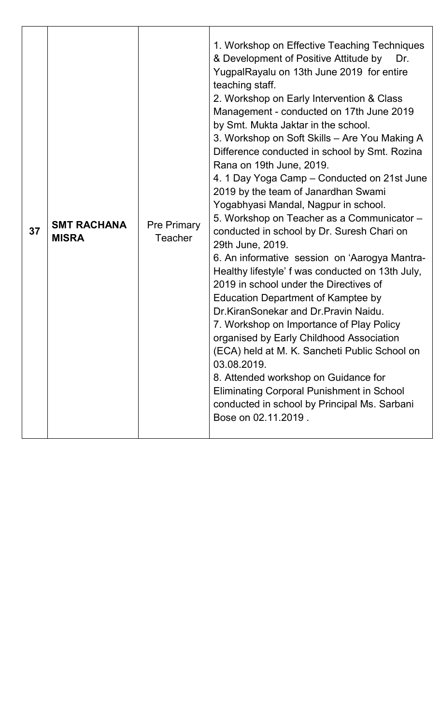| <b>SMT RACHANA</b><br>37<br><b>MISRA</b> |  | <b>Pre Primary</b><br>Teacher | 1. Workshop on Effective Teaching Techniques<br>& Development of Positive Attitude by<br>Dr.<br>YugpalRayalu on 13th June 2019 for entire<br>teaching staff.<br>2. Workshop on Early Intervention & Class<br>Management - conducted on 17th June 2019<br>by Smt. Mukta Jaktar in the school.<br>3. Workshop on Soft Skills - Are You Making A<br>Difference conducted in school by Smt. Rozina<br>Rana on 19th June, 2019.<br>4. 1 Day Yoga Camp – Conducted on 21st June<br>2019 by the team of Janardhan Swami<br>Yogabhyasi Mandal, Nagpur in school.<br>5. Workshop on Teacher as a Communicator -<br>conducted in school by Dr. Suresh Chari on<br>29th June, 2019.<br>6. An informative session on 'Aarogya Mantra-<br>Healthy lifestyle' f was conducted on 13th July,<br>2019 in school under the Directives of<br><b>Education Department of Kamptee by</b><br>Dr.KiranSonekar and Dr.Pravin Naidu.<br>7. Workshop on Importance of Play Policy<br>organised by Early Childhood Association<br>(ECA) held at M. K. Sancheti Public School on<br>03.08.2019.<br>8. Attended workshop on Guidance for<br><b>Eliminating Corporal Punishment in School</b><br>conducted in school by Principal Ms. Sarbani<br>Bose on 02.11.2019. |
|------------------------------------------|--|-------------------------------|-----------------------------------------------------------------------------------------------------------------------------------------------------------------------------------------------------------------------------------------------------------------------------------------------------------------------------------------------------------------------------------------------------------------------------------------------------------------------------------------------------------------------------------------------------------------------------------------------------------------------------------------------------------------------------------------------------------------------------------------------------------------------------------------------------------------------------------------------------------------------------------------------------------------------------------------------------------------------------------------------------------------------------------------------------------------------------------------------------------------------------------------------------------------------------------------------------------------------------------------|
|------------------------------------------|--|-------------------------------|-----------------------------------------------------------------------------------------------------------------------------------------------------------------------------------------------------------------------------------------------------------------------------------------------------------------------------------------------------------------------------------------------------------------------------------------------------------------------------------------------------------------------------------------------------------------------------------------------------------------------------------------------------------------------------------------------------------------------------------------------------------------------------------------------------------------------------------------------------------------------------------------------------------------------------------------------------------------------------------------------------------------------------------------------------------------------------------------------------------------------------------------------------------------------------------------------------------------------------------------|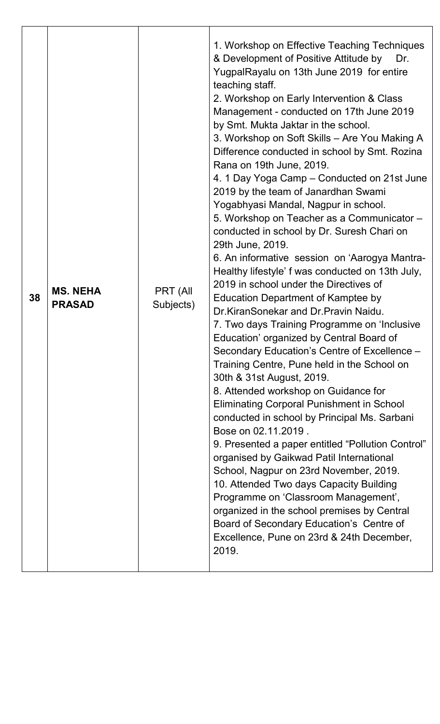| 38 | <b>MS. NEHA</b><br><b>PRASAD</b> | PRT (All<br>Subjects) | 1. Workshop on Effective Teaching Techniques<br>& Development of Positive Attitude by<br>Dr.<br>YugpalRayalu on 13th June 2019 for entire<br>teaching staff.<br>2. Workshop on Early Intervention & Class<br>Management - conducted on 17th June 2019<br>by Smt. Mukta Jaktar in the school.<br>3. Workshop on Soft Skills – Are You Making A<br>Difference conducted in school by Smt. Rozina<br>Rana on 19th June, 2019.<br>4. 1 Day Yoga Camp – Conducted on 21st June<br>2019 by the team of Janardhan Swami<br>Yogabhyasi Mandal, Nagpur in school.<br>5. Workshop on Teacher as a Communicator -<br>conducted in school by Dr. Suresh Chari on<br>29th June, 2019.<br>6. An informative session on 'Aarogya Mantra-<br>Healthy lifestyle' f was conducted on 13th July,<br>2019 in school under the Directives of<br><b>Education Department of Kamptee by</b><br>Dr.KiranSonekar and Dr.Pravin Naidu.<br>7. Two days Training Programme on 'Inclusive<br>Education' organized by Central Board of<br>Secondary Education's Centre of Excellence -<br>Training Centre, Pune held in the School on<br>30th & 31st August, 2019.<br>8. Attended workshop on Guidance for<br><b>Eliminating Corporal Punishment in School</b><br>conducted in school by Principal Ms. Sarbani<br>Bose on 02.11.2019.<br>9. Presented a paper entitled "Pollution Control"<br>organised by Gaikwad Patil International<br>School, Nagpur on 23rd November, 2019.<br>10. Attended Two days Capacity Building<br>Programme on 'Classroom Management',<br>organized in the school premises by Central<br>Board of Secondary Education's Centre of |
|----|----------------------------------|-----------------------|----------------------------------------------------------------------------------------------------------------------------------------------------------------------------------------------------------------------------------------------------------------------------------------------------------------------------------------------------------------------------------------------------------------------------------------------------------------------------------------------------------------------------------------------------------------------------------------------------------------------------------------------------------------------------------------------------------------------------------------------------------------------------------------------------------------------------------------------------------------------------------------------------------------------------------------------------------------------------------------------------------------------------------------------------------------------------------------------------------------------------------------------------------------------------------------------------------------------------------------------------------------------------------------------------------------------------------------------------------------------------------------------------------------------------------------------------------------------------------------------------------------------------------------------------------------------------------------------------------------------------------|
|    |                                  |                       | Excellence, Pune on 23rd & 24th December,<br>2019.                                                                                                                                                                                                                                                                                                                                                                                                                                                                                                                                                                                                                                                                                                                                                                                                                                                                                                                                                                                                                                                                                                                                                                                                                                                                                                                                                                                                                                                                                                                                                                               |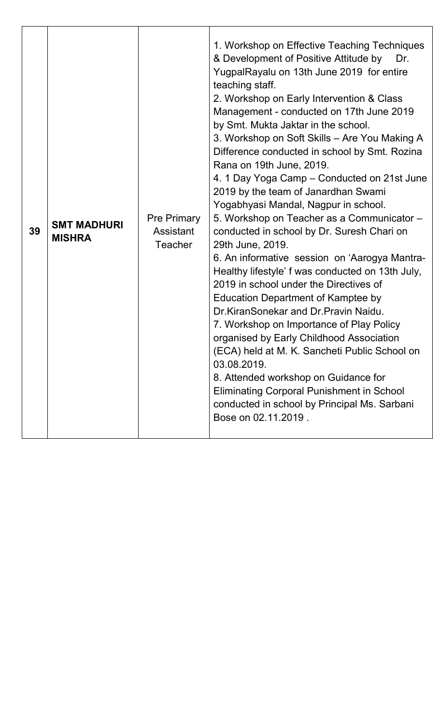| 39 | <b>SMT MADHURI</b><br><b>MISHRA</b> | <b>Pre Primary</b><br><b>Assistant</b><br><b>Teacher</b> | 1. Workshop on Effective Teaching Techniques<br>& Development of Positive Attitude by<br>Dr.<br>YugpalRayalu on 13th June 2019 for entire<br>teaching staff.<br>2. Workshop on Early Intervention & Class<br>Management - conducted on 17th June 2019<br>by Smt. Mukta Jaktar in the school.<br>3. Workshop on Soft Skills - Are You Making A<br>Difference conducted in school by Smt. Rozina<br>Rana on 19th June, 2019.<br>4. 1 Day Yoga Camp – Conducted on 21st June<br>2019 by the team of Janardhan Swami<br>Yogabhyasi Mandal, Nagpur in school.<br>5. Workshop on Teacher as a Communicator -<br>conducted in school by Dr. Suresh Chari on<br>29th June, 2019.<br>6. An informative session on 'Aarogya Mantra-<br>Healthy lifestyle' f was conducted on 13th July,<br>2019 in school under the Directives of<br><b>Education Department of Kamptee by</b><br>Dr.KiranSonekar and Dr.Pravin Naidu.<br>7. Workshop on Importance of Play Policy<br>organised by Early Childhood Association<br>(ECA) held at M. K. Sancheti Public School on<br>03.08.2019.<br>8. Attended workshop on Guidance for<br><b>Eliminating Corporal Punishment in School</b><br>conducted in school by Principal Ms. Sarbani<br>Bose on 02.11.2019. |
|----|-------------------------------------|----------------------------------------------------------|-----------------------------------------------------------------------------------------------------------------------------------------------------------------------------------------------------------------------------------------------------------------------------------------------------------------------------------------------------------------------------------------------------------------------------------------------------------------------------------------------------------------------------------------------------------------------------------------------------------------------------------------------------------------------------------------------------------------------------------------------------------------------------------------------------------------------------------------------------------------------------------------------------------------------------------------------------------------------------------------------------------------------------------------------------------------------------------------------------------------------------------------------------------------------------------------------------------------------------------------|
|----|-------------------------------------|----------------------------------------------------------|-----------------------------------------------------------------------------------------------------------------------------------------------------------------------------------------------------------------------------------------------------------------------------------------------------------------------------------------------------------------------------------------------------------------------------------------------------------------------------------------------------------------------------------------------------------------------------------------------------------------------------------------------------------------------------------------------------------------------------------------------------------------------------------------------------------------------------------------------------------------------------------------------------------------------------------------------------------------------------------------------------------------------------------------------------------------------------------------------------------------------------------------------------------------------------------------------------------------------------------------|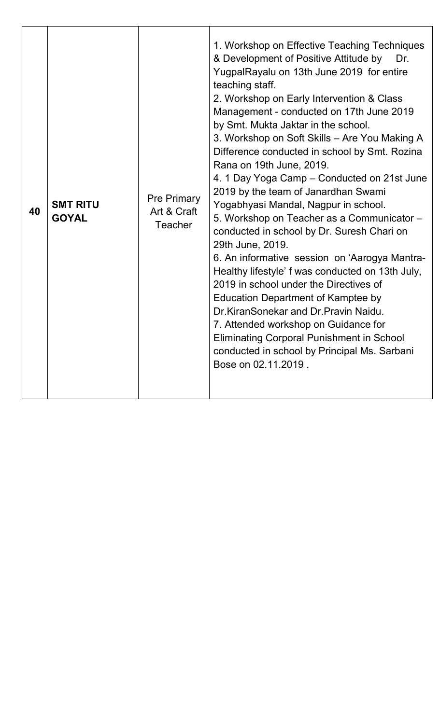| 40 | <b>SMT RITU</b><br><b>GOYAL</b> | <b>Pre Primary</b><br>Art & Craft<br><b>Teacher</b> | 1. Workshop on Effective Teaching Techniques<br>& Development of Positive Attitude by<br>Dr.<br>YugpalRayalu on 13th June 2019 for entire<br>teaching staff.<br>2. Workshop on Early Intervention & Class<br>Management - conducted on 17th June 2019<br>by Smt. Mukta Jaktar in the school.<br>3. Workshop on Soft Skills - Are You Making A<br>Difference conducted in school by Smt. Rozina<br>Rana on 19th June, 2019.<br>4. 1 Day Yoga Camp – Conducted on 21st June<br>2019 by the team of Janardhan Swami<br>Yogabhyasi Mandal, Nagpur in school.<br>5. Workshop on Teacher as a Communicator -<br>conducted in school by Dr. Suresh Chari on<br>29th June, 2019.<br>6. An informative session on 'Aarogya Mantra-<br>Healthy lifestyle' f was conducted on 13th July,<br>2019 in school under the Directives of<br><b>Education Department of Kamptee by</b><br>Dr.KiranSonekar and Dr.Pravin Naidu.<br>7. Attended workshop on Guidance for<br><b>Eliminating Corporal Punishment in School</b><br>conducted in school by Principal Ms. Sarbani<br>Bose on 02.11.2019. |
|----|---------------------------------|-----------------------------------------------------|---------------------------------------------------------------------------------------------------------------------------------------------------------------------------------------------------------------------------------------------------------------------------------------------------------------------------------------------------------------------------------------------------------------------------------------------------------------------------------------------------------------------------------------------------------------------------------------------------------------------------------------------------------------------------------------------------------------------------------------------------------------------------------------------------------------------------------------------------------------------------------------------------------------------------------------------------------------------------------------------------------------------------------------------------------------------------------|
|----|---------------------------------|-----------------------------------------------------|---------------------------------------------------------------------------------------------------------------------------------------------------------------------------------------------------------------------------------------------------------------------------------------------------------------------------------------------------------------------------------------------------------------------------------------------------------------------------------------------------------------------------------------------------------------------------------------------------------------------------------------------------------------------------------------------------------------------------------------------------------------------------------------------------------------------------------------------------------------------------------------------------------------------------------------------------------------------------------------------------------------------------------------------------------------------------------|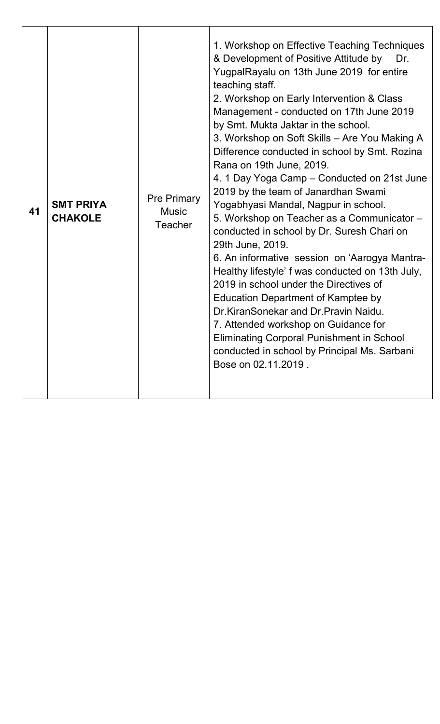| 41 | <b>SMT PRIYA</b><br><b>CHAKOLE</b> | <b>Pre Primary</b><br><b>Music</b><br><b>Teacher</b> | 1. Workshop on Effective Teaching Techniques<br>& Development of Positive Attitude by<br>Dr.<br>YugpalRayalu on 13th June 2019 for entire<br>teaching staff.<br>2. Workshop on Early Intervention & Class<br>Management - conducted on 17th June 2019<br>by Smt. Mukta Jaktar in the school.<br>3. Workshop on Soft Skills - Are You Making A<br>Difference conducted in school by Smt. Rozina<br>Rana on 19th June, 2019.<br>4. 1 Day Yoga Camp – Conducted on 21st June<br>2019 by the team of Janardhan Swami<br>Yogabhyasi Mandal, Nagpur in school.<br>5. Workshop on Teacher as a Communicator -<br>conducted in school by Dr. Suresh Chari on<br>29th June, 2019.<br>6. An informative session on 'Aarogya Mantra-<br>Healthy lifestyle' f was conducted on 13th July,<br>2019 in school under the Directives of<br>Education Department of Kamptee by<br>Dr. Kiran Sonekar and Dr. Pravin Naidu.<br>7. Attended workshop on Guidance for<br><b>Eliminating Corporal Punishment in School</b><br>conducted in school by Principal Ms. Sarbani<br>Bose on 02.11.2019. |
|----|------------------------------------|------------------------------------------------------|-----------------------------------------------------------------------------------------------------------------------------------------------------------------------------------------------------------------------------------------------------------------------------------------------------------------------------------------------------------------------------------------------------------------------------------------------------------------------------------------------------------------------------------------------------------------------------------------------------------------------------------------------------------------------------------------------------------------------------------------------------------------------------------------------------------------------------------------------------------------------------------------------------------------------------------------------------------------------------------------------------------------------------------------------------------------------------|
|----|------------------------------------|------------------------------------------------------|-----------------------------------------------------------------------------------------------------------------------------------------------------------------------------------------------------------------------------------------------------------------------------------------------------------------------------------------------------------------------------------------------------------------------------------------------------------------------------------------------------------------------------------------------------------------------------------------------------------------------------------------------------------------------------------------------------------------------------------------------------------------------------------------------------------------------------------------------------------------------------------------------------------------------------------------------------------------------------------------------------------------------------------------------------------------------------|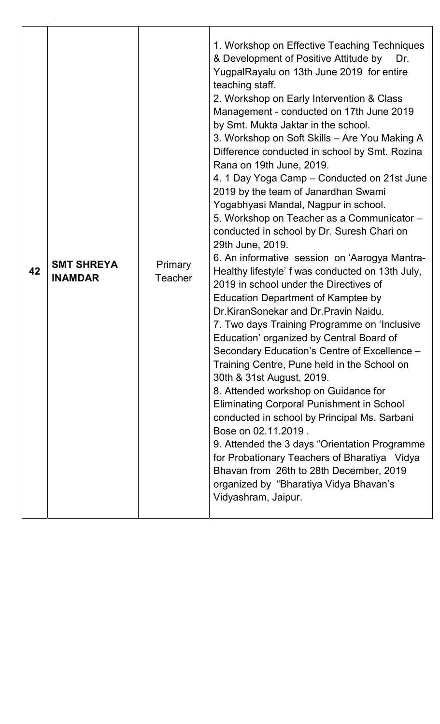| <b>SMT SHREYA</b><br>Primary<br>42<br><b>INAMDAR</b><br><b>Teacher</b> | 1. Workshop on Effective Teaching Techniques<br>& Development of Positive Attitude by<br>Dr.<br>YugpalRayalu on 13th June 2019 for entire<br>teaching staff.<br>2. Workshop on Early Intervention & Class<br>Management - conducted on 17th June 2019<br>by Smt. Mukta Jaktar in the school.<br>3. Workshop on Soft Skills - Are You Making A<br>Difference conducted in school by Smt. Rozina<br>Rana on 19th June, 2019.<br>4. 1 Day Yoga Camp – Conducted on 21st June<br>2019 by the team of Janardhan Swami<br>Yogabhyasi Mandal, Nagpur in school.<br>5. Workshop on Teacher as a Communicator -<br>conducted in school by Dr. Suresh Chari on<br>29th June, 2019.<br>6. An informative session on 'Aarogya Mantra-<br>Healthy lifestyle' f was conducted on 13th July,<br>2019 in school under the Directives of<br><b>Education Department of Kamptee by</b><br>Dr.KiranSonekar and Dr.Pravin Naidu.<br>7. Two days Training Programme on 'Inclusive<br>Education' organized by Central Board of<br>Secondary Education's Centre of Excellence -<br>Training Centre, Pune held in the School on<br>30th & 31st August, 2019.<br>8. Attended workshop on Guidance for<br><b>Eliminating Corporal Punishment in School</b><br>conducted in school by Principal Ms. Sarbani<br>Bose on 02.11.2019.<br>9. Attended the 3 days "Orientation Programme"<br>for Probationary Teachers of Bharatiya Vidya<br>Bhavan from 26th to 28th December, 2019<br>organized by "Bharatiya Vidya Bhavan's<br>Vidyashram, Jaipur. |
|------------------------------------------------------------------------|-----------------------------------------------------------------------------------------------------------------------------------------------------------------------------------------------------------------------------------------------------------------------------------------------------------------------------------------------------------------------------------------------------------------------------------------------------------------------------------------------------------------------------------------------------------------------------------------------------------------------------------------------------------------------------------------------------------------------------------------------------------------------------------------------------------------------------------------------------------------------------------------------------------------------------------------------------------------------------------------------------------------------------------------------------------------------------------------------------------------------------------------------------------------------------------------------------------------------------------------------------------------------------------------------------------------------------------------------------------------------------------------------------------------------------------------------------------------------------------------------------------------------|
|------------------------------------------------------------------------|-----------------------------------------------------------------------------------------------------------------------------------------------------------------------------------------------------------------------------------------------------------------------------------------------------------------------------------------------------------------------------------------------------------------------------------------------------------------------------------------------------------------------------------------------------------------------------------------------------------------------------------------------------------------------------------------------------------------------------------------------------------------------------------------------------------------------------------------------------------------------------------------------------------------------------------------------------------------------------------------------------------------------------------------------------------------------------------------------------------------------------------------------------------------------------------------------------------------------------------------------------------------------------------------------------------------------------------------------------------------------------------------------------------------------------------------------------------------------------------------------------------------------|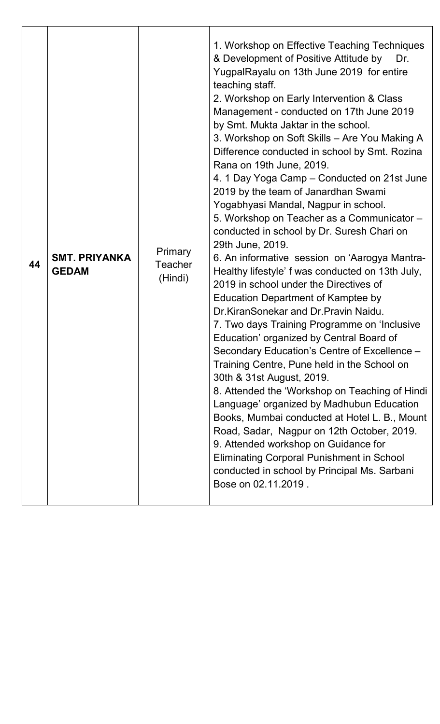| <b>SMT. PRIYANKA</b><br>44<br><b>GEDAM</b> |  | <b>Primary</b><br>Teacher<br>(Hindi) | 1. Workshop on Effective Teaching Techniques<br>& Development of Positive Attitude by<br>Dr.<br>YugpalRayalu on 13th June 2019 for entire<br>teaching staff.<br>2. Workshop on Early Intervention & Class<br>Management - conducted on 17th June 2019<br>by Smt. Mukta Jaktar in the school.<br>3. Workshop on Soft Skills - Are You Making A<br>Difference conducted in school by Smt. Rozina<br>Rana on 19th June, 2019.<br>4. 1 Day Yoga Camp – Conducted on 21st June<br>2019 by the team of Janardhan Swami<br>Yogabhyasi Mandal, Nagpur in school.<br>5. Workshop on Teacher as a Communicator -<br>conducted in school by Dr. Suresh Chari on<br>29th June, 2019.<br>6. An informative session on 'Aarogya Mantra-<br>Healthy lifestyle' f was conducted on 13th July,<br>2019 in school under the Directives of<br>Education Department of Kamptee by<br>Dr.KiranSonekar and Dr.Pravin Naidu.<br>7. Two days Training Programme on 'Inclusive<br>Education' organized by Central Board of<br>Secondary Education's Centre of Excellence -<br>Training Centre, Pune held in the School on<br>30th & 31st August, 2019.<br>8. Attended the 'Workshop on Teaching of Hindi<br>Language' organized by Madhubun Education<br>Books, Mumbai conducted at Hotel L. B., Mount<br>Road, Sadar, Nagpur on 12th October, 2019.<br>9. Attended workshop on Guidance for<br><b>Eliminating Corporal Punishment in School</b><br>conducted in school by Principal Ms. Sarbani<br>Bose on 02.11.2019. |
|--------------------------------------------|--|--------------------------------------|------------------------------------------------------------------------------------------------------------------------------------------------------------------------------------------------------------------------------------------------------------------------------------------------------------------------------------------------------------------------------------------------------------------------------------------------------------------------------------------------------------------------------------------------------------------------------------------------------------------------------------------------------------------------------------------------------------------------------------------------------------------------------------------------------------------------------------------------------------------------------------------------------------------------------------------------------------------------------------------------------------------------------------------------------------------------------------------------------------------------------------------------------------------------------------------------------------------------------------------------------------------------------------------------------------------------------------------------------------------------------------------------------------------------------------------------------------------------------------------------|
|--------------------------------------------|--|--------------------------------------|------------------------------------------------------------------------------------------------------------------------------------------------------------------------------------------------------------------------------------------------------------------------------------------------------------------------------------------------------------------------------------------------------------------------------------------------------------------------------------------------------------------------------------------------------------------------------------------------------------------------------------------------------------------------------------------------------------------------------------------------------------------------------------------------------------------------------------------------------------------------------------------------------------------------------------------------------------------------------------------------------------------------------------------------------------------------------------------------------------------------------------------------------------------------------------------------------------------------------------------------------------------------------------------------------------------------------------------------------------------------------------------------------------------------------------------------------------------------------------------------|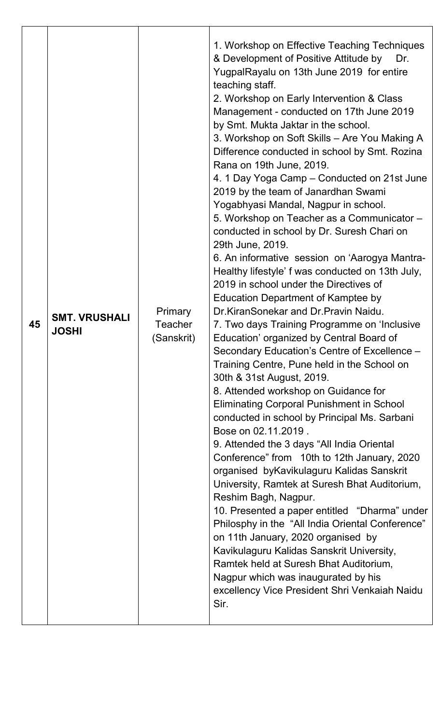| Primary<br><b>SMT. VRUSHALI</b><br>45<br><b>Teacher</b><br><b>JOSHI</b><br>(Sanskrit) | 1. Workshop on Effective Teaching Techniques<br>& Development of Positive Attitude by<br>Dr.<br>YugpalRayalu on 13th June 2019 for entire<br>teaching staff.<br>2. Workshop on Early Intervention & Class<br>Management - conducted on 17th June 2019<br>by Smt. Mukta Jaktar in the school.<br>3. Workshop on Soft Skills - Are You Making A<br>Difference conducted in school by Smt. Rozina<br>Rana on 19th June, 2019.<br>4. 1 Day Yoga Camp – Conducted on 21st June<br>2019 by the team of Janardhan Swami<br>Yogabhyasi Mandal, Nagpur in school.<br>5. Workshop on Teacher as a Communicator -<br>conducted in school by Dr. Suresh Chari on<br>29th June, 2019.<br>6. An informative session on 'Aarogya Mantra-<br>Healthy lifestyle' f was conducted on 13th July,<br>2019 in school under the Directives of<br><b>Education Department of Kamptee by</b><br>Dr.KiranSonekar and Dr.Pravin Naidu.<br>7. Two days Training Programme on 'Inclusive<br>Education' organized by Central Board of<br>Secondary Education's Centre of Excellence -<br>Training Centre, Pune held in the School on<br>30th & 31st August, 2019.<br>8. Attended workshop on Guidance for<br><b>Eliminating Corporal Punishment in School</b><br>conducted in school by Principal Ms. Sarbani<br>Bose on 02.11.2019.<br>9. Attended the 3 days "All India Oriental<br>Conference" from 10th to 12th January, 2020<br>organised byKavikulaguru Kalidas Sanskrit<br>University, Ramtek at Suresh Bhat Auditorium,<br>Reshim Bagh, Nagpur.<br>10. Presented a paper entitled "Dharma" under<br>Philosphy in the "All India Oriental Conference"<br>on 11th January, 2020 organised by<br>Kavikulaguru Kalidas Sanskrit University,<br>Ramtek held at Suresh Bhat Auditorium,<br>Nagpur which was inaugurated by his<br>excellency Vice President Shri Venkaiah Naidu<br>Sir. |
|---------------------------------------------------------------------------------------|--------------------------------------------------------------------------------------------------------------------------------------------------------------------------------------------------------------------------------------------------------------------------------------------------------------------------------------------------------------------------------------------------------------------------------------------------------------------------------------------------------------------------------------------------------------------------------------------------------------------------------------------------------------------------------------------------------------------------------------------------------------------------------------------------------------------------------------------------------------------------------------------------------------------------------------------------------------------------------------------------------------------------------------------------------------------------------------------------------------------------------------------------------------------------------------------------------------------------------------------------------------------------------------------------------------------------------------------------------------------------------------------------------------------------------------------------------------------------------------------------------------------------------------------------------------------------------------------------------------------------------------------------------------------------------------------------------------------------------------------------------------------------------------------------------------------------------------------------------------|
|---------------------------------------------------------------------------------------|--------------------------------------------------------------------------------------------------------------------------------------------------------------------------------------------------------------------------------------------------------------------------------------------------------------------------------------------------------------------------------------------------------------------------------------------------------------------------------------------------------------------------------------------------------------------------------------------------------------------------------------------------------------------------------------------------------------------------------------------------------------------------------------------------------------------------------------------------------------------------------------------------------------------------------------------------------------------------------------------------------------------------------------------------------------------------------------------------------------------------------------------------------------------------------------------------------------------------------------------------------------------------------------------------------------------------------------------------------------------------------------------------------------------------------------------------------------------------------------------------------------------------------------------------------------------------------------------------------------------------------------------------------------------------------------------------------------------------------------------------------------------------------------------------------------------------------------------------------------|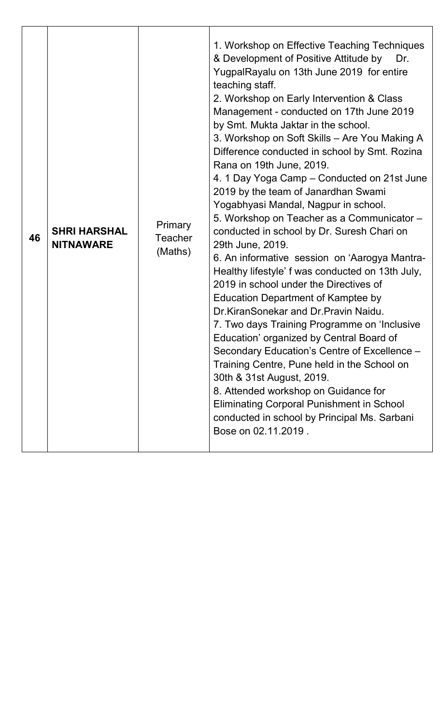| 46 | <b>SHRI HARSHAL</b><br><b>NITNAWARE</b> | Primary<br><b>Teacher</b><br>(Maths) | 1. Workshop on Effective Teaching Techniques<br>& Development of Positive Attitude by<br>Dr.<br>YugpalRayalu on 13th June 2019 for entire<br>teaching staff.<br>2. Workshop on Early Intervention & Class<br>Management - conducted on 17th June 2019<br>by Smt. Mukta Jaktar in the school.<br>3. Workshop on Soft Skills - Are You Making A<br>Difference conducted in school by Smt. Rozina<br>Rana on 19th June, 2019.<br>4. 1 Day Yoga Camp – Conducted on 21st June<br>2019 by the team of Janardhan Swami<br>Yogabhyasi Mandal, Nagpur in school.<br>5. Workshop on Teacher as a Communicator -<br>conducted in school by Dr. Suresh Chari on<br>29th June, 2019.<br>6. An informative session on 'Aarogya Mantra-<br>Healthy lifestyle' f was conducted on 13th July,<br>2019 in school under the Directives of<br><b>Education Department of Kamptee by</b><br>Dr.KiranSonekar and Dr.Pravin Naidu.<br>7. Two days Training Programme on 'Inclusive<br>Education' organized by Central Board of<br>Secondary Education's Centre of Excellence -<br>Training Centre, Pune held in the School on<br>30th & 31st August, 2019.<br>8. Attended workshop on Guidance for<br><b>Eliminating Corporal Punishment in School</b><br>conducted in school by Principal Ms. Sarbani<br>Bose on 02.11.2019. |
|----|-----------------------------------------|--------------------------------------|---------------------------------------------------------------------------------------------------------------------------------------------------------------------------------------------------------------------------------------------------------------------------------------------------------------------------------------------------------------------------------------------------------------------------------------------------------------------------------------------------------------------------------------------------------------------------------------------------------------------------------------------------------------------------------------------------------------------------------------------------------------------------------------------------------------------------------------------------------------------------------------------------------------------------------------------------------------------------------------------------------------------------------------------------------------------------------------------------------------------------------------------------------------------------------------------------------------------------------------------------------------------------------------------------------|
|----|-----------------------------------------|--------------------------------------|---------------------------------------------------------------------------------------------------------------------------------------------------------------------------------------------------------------------------------------------------------------------------------------------------------------------------------------------------------------------------------------------------------------------------------------------------------------------------------------------------------------------------------------------------------------------------------------------------------------------------------------------------------------------------------------------------------------------------------------------------------------------------------------------------------------------------------------------------------------------------------------------------------------------------------------------------------------------------------------------------------------------------------------------------------------------------------------------------------------------------------------------------------------------------------------------------------------------------------------------------------------------------------------------------------|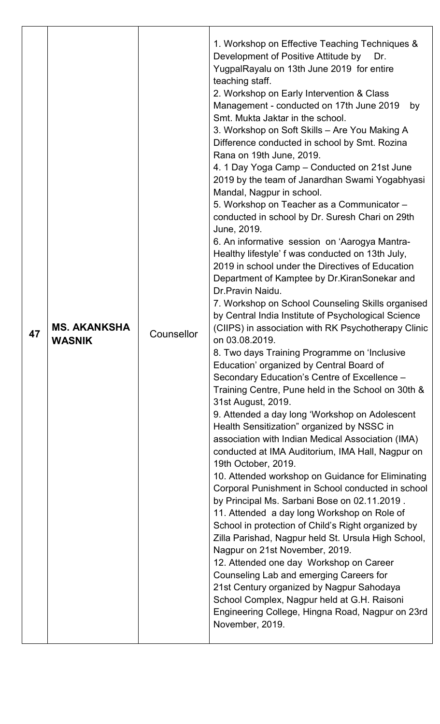| 19th October, 2019.<br>by Principal Ms. Sarbani Bose on 02.11.2019.<br>11. Attended a day long Workshop on Role of<br>Nagpur on 21st November, 2019.<br>12. Attended one day Workshop on Career<br>Counseling Lab and emerging Careers for<br>21st Century organized by Nagpur Sahodaya<br>School Complex, Nagpur held at G.H. Raisoni<br>Engineering College, Hingna Road, Nagpur on 23rd<br>November, 2019. | 47 | <b>MS. AKANKSHA</b><br><b>WASNIK</b> | Counsellor | Development of Positive Attitude by<br>Dr.<br>YugpalRayalu on 13th June 2019 for entire<br>teaching staff.<br>2. Workshop on Early Intervention & Class<br>Management - conducted on 17th June 2019<br>by<br>Smt. Mukta Jaktar in the school.<br>3. Workshop on Soft Skills - Are You Making A<br>Difference conducted in school by Smt. Rozina<br>Rana on 19th June, 2019.<br>4. 1 Day Yoga Camp – Conducted on 21st June<br>2019 by the team of Janardhan Swami Yogabhyasi<br>Mandal, Nagpur in school.<br>5. Workshop on Teacher as a Communicator -<br>conducted in school by Dr. Suresh Chari on 29th<br>June, 2019.<br>6. An informative session on 'Aarogya Mantra-<br>Healthy lifestyle' f was conducted on 13th July,<br>2019 in school under the Directives of Education<br>Department of Kamptee by Dr.KiranSonekar and<br>Dr. Pravin Naidu.<br>7. Workshop on School Counseling Skills organised<br>by Central India Institute of Psychological Science<br>(CIIPS) in association with RK Psychotherapy Clinic<br>on 03.08.2019.<br>8. Two days Training Programme on 'Inclusive<br>Education' organized by Central Board of<br>Secondary Education's Centre of Excellence -<br>Training Centre, Pune held in the School on 30th &<br>31st August, 2019.<br>9. Attended a day long 'Workshop on Adolescent<br>Health Sensitization" organized by NSSC in<br>association with Indian Medical Association (IMA)<br>conducted at IMA Auditorium, IMA Hall, Nagpur on<br>10. Attended workshop on Guidance for Eliminating<br>Corporal Punishment in School conducted in school<br>School in protection of Child's Right organized by<br>Zilla Parishad, Nagpur held St. Ursula High School, |
|---------------------------------------------------------------------------------------------------------------------------------------------------------------------------------------------------------------------------------------------------------------------------------------------------------------------------------------------------------------------------------------------------------------|----|--------------------------------------|------------|------------------------------------------------------------------------------------------------------------------------------------------------------------------------------------------------------------------------------------------------------------------------------------------------------------------------------------------------------------------------------------------------------------------------------------------------------------------------------------------------------------------------------------------------------------------------------------------------------------------------------------------------------------------------------------------------------------------------------------------------------------------------------------------------------------------------------------------------------------------------------------------------------------------------------------------------------------------------------------------------------------------------------------------------------------------------------------------------------------------------------------------------------------------------------------------------------------------------------------------------------------------------------------------------------------------------------------------------------------------------------------------------------------------------------------------------------------------------------------------------------------------------------------------------------------------------------------------------------------------------------------------------------------------------------------------------------|
|---------------------------------------------------------------------------------------------------------------------------------------------------------------------------------------------------------------------------------------------------------------------------------------------------------------------------------------------------------------------------------------------------------------|----|--------------------------------------|------------|------------------------------------------------------------------------------------------------------------------------------------------------------------------------------------------------------------------------------------------------------------------------------------------------------------------------------------------------------------------------------------------------------------------------------------------------------------------------------------------------------------------------------------------------------------------------------------------------------------------------------------------------------------------------------------------------------------------------------------------------------------------------------------------------------------------------------------------------------------------------------------------------------------------------------------------------------------------------------------------------------------------------------------------------------------------------------------------------------------------------------------------------------------------------------------------------------------------------------------------------------------------------------------------------------------------------------------------------------------------------------------------------------------------------------------------------------------------------------------------------------------------------------------------------------------------------------------------------------------------------------------------------------------------------------------------------------|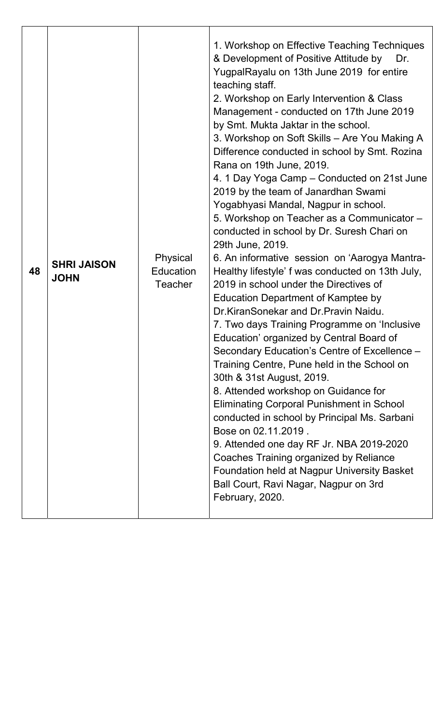| 48 | <b>SHRI JAISON</b><br><b>JOHN</b> | Physical<br><b>Education</b><br><b>Teacher</b> | 1. Workshop on Effective Teaching Techniques<br>& Development of Positive Attitude by<br>Dr.<br>YugpalRayalu on 13th June 2019 for entire<br>teaching staff.<br>2. Workshop on Early Intervention & Class<br>Management - conducted on 17th June 2019<br>by Smt. Mukta Jaktar in the school.<br>3. Workshop on Soft Skills - Are You Making A<br>Difference conducted in school by Smt. Rozina<br>Rana on 19th June, 2019.<br>4. 1 Day Yoga Camp – Conducted on 21st June<br>2019 by the team of Janardhan Swami<br>Yogabhyasi Mandal, Nagpur in school.<br>5. Workshop on Teacher as a Communicator -<br>conducted in school by Dr. Suresh Chari on<br>29th June, 2019.<br>6. An informative session on 'Aarogya Mantra-<br>Healthy lifestyle' f was conducted on 13th July,<br>2019 in school under the Directives of<br><b>Education Department of Kamptee by</b><br>Dr.KiranSonekar and Dr.Pravin Naidu.<br>7. Two days Training Programme on 'Inclusive<br>Education' organized by Central Board of<br>Secondary Education's Centre of Excellence -<br>Training Centre, Pune held in the School on<br>30th & 31st August, 2019.<br>8. Attended workshop on Guidance for<br><b>Eliminating Corporal Punishment in School</b><br>conducted in school by Principal Ms. Sarbani<br>Bose on 02.11.2019.<br>9. Attended one day RF Jr. NBA 2019-2020<br>Coaches Training organized by Reliance<br><b>Foundation held at Nagpur University Basket</b><br>Ball Court, Ravi Nagar, Nagpur on 3rd<br>February, 2020. |
|----|-----------------------------------|------------------------------------------------|-----------------------------------------------------------------------------------------------------------------------------------------------------------------------------------------------------------------------------------------------------------------------------------------------------------------------------------------------------------------------------------------------------------------------------------------------------------------------------------------------------------------------------------------------------------------------------------------------------------------------------------------------------------------------------------------------------------------------------------------------------------------------------------------------------------------------------------------------------------------------------------------------------------------------------------------------------------------------------------------------------------------------------------------------------------------------------------------------------------------------------------------------------------------------------------------------------------------------------------------------------------------------------------------------------------------------------------------------------------------------------------------------------------------------------------------------------------------------------------------------------------------|
|----|-----------------------------------|------------------------------------------------|-----------------------------------------------------------------------------------------------------------------------------------------------------------------------------------------------------------------------------------------------------------------------------------------------------------------------------------------------------------------------------------------------------------------------------------------------------------------------------------------------------------------------------------------------------------------------------------------------------------------------------------------------------------------------------------------------------------------------------------------------------------------------------------------------------------------------------------------------------------------------------------------------------------------------------------------------------------------------------------------------------------------------------------------------------------------------------------------------------------------------------------------------------------------------------------------------------------------------------------------------------------------------------------------------------------------------------------------------------------------------------------------------------------------------------------------------------------------------------------------------------------------|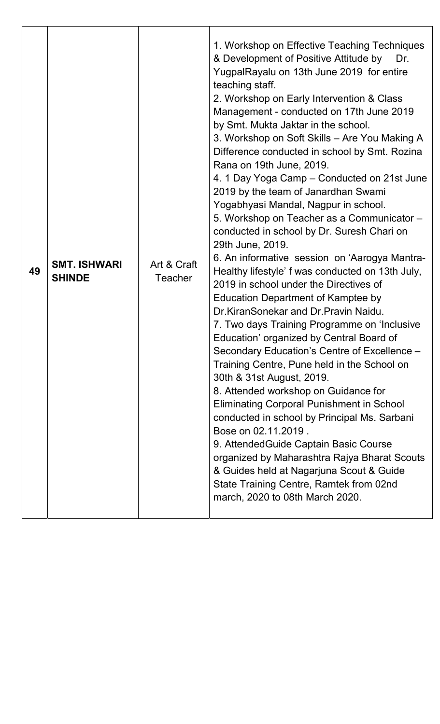| 49 | <b>SMT. ISHWARI</b><br><b>SHINDE</b> | Art & Craft<br>Teacher | 1. Workshop on Effective Teaching Techniques<br>& Development of Positive Attitude by<br>Dr.<br>YugpalRayalu on 13th June 2019 for entire<br>teaching staff.<br>2. Workshop on Early Intervention & Class<br>Management - conducted on 17th June 2019<br>by Smt. Mukta Jaktar in the school.<br>3. Workshop on Soft Skills - Are You Making A<br>Difference conducted in school by Smt. Rozina<br>Rana on 19th June, 2019.<br>4. 1 Day Yoga Camp – Conducted on 21st June<br>2019 by the team of Janardhan Swami<br>Yogabhyasi Mandal, Nagpur in school.<br>5. Workshop on Teacher as a Communicator -<br>conducted in school by Dr. Suresh Chari on<br>29th June, 2019.<br>6. An informative session on 'Aarogya Mantra-<br>Healthy lifestyle' f was conducted on 13th July,<br>2019 in school under the Directives of<br><b>Education Department of Kamptee by</b><br>Dr.KiranSonekar and Dr.Pravin Naidu.<br>7. Two days Training Programme on 'Inclusive<br>Education' organized by Central Board of<br>Secondary Education's Centre of Excellence -<br>Training Centre, Pune held in the School on<br>30th & 31st August, 2019.<br>8. Attended workshop on Guidance for<br><b>Eliminating Corporal Punishment in School</b><br>conducted in school by Principal Ms. Sarbani<br>Bose on 02.11.2019.<br>9. Attended Guide Captain Basic Course<br>organized by Maharashtra Rajya Bharat Scouts<br>& Guides held at Nagarjuna Scout & Guide<br>State Training Centre, Ramtek from 02nd<br>march, 2020 to 08th March 2020. |
|----|--------------------------------------|------------------------|-----------------------------------------------------------------------------------------------------------------------------------------------------------------------------------------------------------------------------------------------------------------------------------------------------------------------------------------------------------------------------------------------------------------------------------------------------------------------------------------------------------------------------------------------------------------------------------------------------------------------------------------------------------------------------------------------------------------------------------------------------------------------------------------------------------------------------------------------------------------------------------------------------------------------------------------------------------------------------------------------------------------------------------------------------------------------------------------------------------------------------------------------------------------------------------------------------------------------------------------------------------------------------------------------------------------------------------------------------------------------------------------------------------------------------------------------------------------------------------------------------------------------------|
|----|--------------------------------------|------------------------|-----------------------------------------------------------------------------------------------------------------------------------------------------------------------------------------------------------------------------------------------------------------------------------------------------------------------------------------------------------------------------------------------------------------------------------------------------------------------------------------------------------------------------------------------------------------------------------------------------------------------------------------------------------------------------------------------------------------------------------------------------------------------------------------------------------------------------------------------------------------------------------------------------------------------------------------------------------------------------------------------------------------------------------------------------------------------------------------------------------------------------------------------------------------------------------------------------------------------------------------------------------------------------------------------------------------------------------------------------------------------------------------------------------------------------------------------------------------------------------------------------------------------------|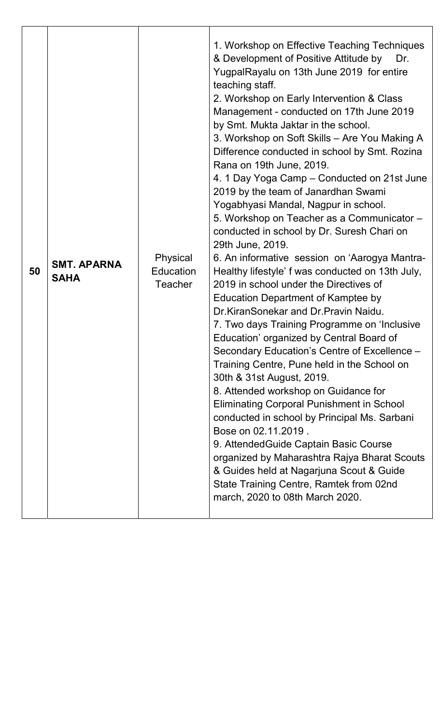| 50 | <b>SMT. APARNA</b><br><b>SAHA</b> | Physical<br>Education<br><b>Teacher</b> | 1. Workshop on Effective Teaching Techniques<br>& Development of Positive Attitude by<br>Dr.<br>YugpalRayalu on 13th June 2019 for entire<br>teaching staff.<br>2. Workshop on Early Intervention & Class<br>Management - conducted on 17th June 2019<br>by Smt. Mukta Jaktar in the school.<br>3. Workshop on Soft Skills - Are You Making A<br>Difference conducted in school by Smt. Rozina<br>Rana on 19th June, 2019.<br>4. 1 Day Yoga Camp – Conducted on 21st June<br>2019 by the team of Janardhan Swami<br>Yogabhyasi Mandal, Nagpur in school.<br>5. Workshop on Teacher as a Communicator -<br>conducted in school by Dr. Suresh Chari on<br>29th June, 2019.<br>6. An informative session on 'Aarogya Mantra-<br>Healthy lifestyle' f was conducted on 13th July,<br>2019 in school under the Directives of<br><b>Education Department of Kamptee by</b><br>Dr.KiranSonekar and Dr.Pravin Naidu.<br>7. Two days Training Programme on 'Inclusive<br>Education' organized by Central Board of<br>Secondary Education's Centre of Excellence -<br>Training Centre, Pune held in the School on<br>30th & 31st August, 2019.<br>8. Attended workshop on Guidance for<br><b>Eliminating Corporal Punishment in School</b><br>conducted in school by Principal Ms. Sarbani<br>Bose on 02.11.2019.<br>9. Attended Guide Captain Basic Course<br>organized by Maharashtra Rajya Bharat Scouts<br>& Guides held at Nagarjuna Scout & Guide<br>State Training Centre, Ramtek from 02nd<br>march, 2020 to 08th March 2020. |
|----|-----------------------------------|-----------------------------------------|-----------------------------------------------------------------------------------------------------------------------------------------------------------------------------------------------------------------------------------------------------------------------------------------------------------------------------------------------------------------------------------------------------------------------------------------------------------------------------------------------------------------------------------------------------------------------------------------------------------------------------------------------------------------------------------------------------------------------------------------------------------------------------------------------------------------------------------------------------------------------------------------------------------------------------------------------------------------------------------------------------------------------------------------------------------------------------------------------------------------------------------------------------------------------------------------------------------------------------------------------------------------------------------------------------------------------------------------------------------------------------------------------------------------------------------------------------------------------------------------------------------------------------|
|----|-----------------------------------|-----------------------------------------|-----------------------------------------------------------------------------------------------------------------------------------------------------------------------------------------------------------------------------------------------------------------------------------------------------------------------------------------------------------------------------------------------------------------------------------------------------------------------------------------------------------------------------------------------------------------------------------------------------------------------------------------------------------------------------------------------------------------------------------------------------------------------------------------------------------------------------------------------------------------------------------------------------------------------------------------------------------------------------------------------------------------------------------------------------------------------------------------------------------------------------------------------------------------------------------------------------------------------------------------------------------------------------------------------------------------------------------------------------------------------------------------------------------------------------------------------------------------------------------------------------------------------------|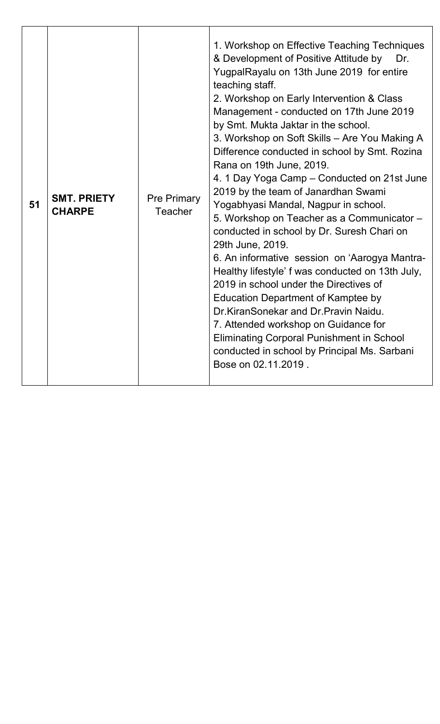| 51 | <b>SMT. PRIETY</b><br><b>CHARPE</b> | <b>Pre Primary</b><br>Teacher | 1. Workshop on Effective Teaching Techniques<br>& Development of Positive Attitude by<br>Dr.<br>YugpalRayalu on 13th June 2019 for entire<br>teaching staff.<br>2. Workshop on Early Intervention & Class<br>Management - conducted on 17th June 2019<br>by Smt. Mukta Jaktar in the school.<br>3. Workshop on Soft Skills - Are You Making A<br>Difference conducted in school by Smt. Rozina<br>Rana on 19th June, 2019.<br>4. 1 Day Yoga Camp - Conducted on 21st June<br>2019 by the team of Janardhan Swami<br>Yogabhyasi Mandal, Nagpur in school.<br>5. Workshop on Teacher as a Communicator -<br>conducted in school by Dr. Suresh Chari on<br>29th June, 2019.<br>6. An informative session on 'Aarogya Mantra-<br>Healthy lifestyle' f was conducted on 13th July,<br>2019 in school under the Directives of<br>Education Department of Kamptee by<br>Dr.KiranSonekar and Dr.Pravin Naidu.<br>7. Attended workshop on Guidance for<br><b>Eliminating Corporal Punishment in School</b><br>conducted in school by Principal Ms. Sarbani<br>Bose on 02.11.2019. |
|----|-------------------------------------|-------------------------------|--------------------------------------------------------------------------------------------------------------------------------------------------------------------------------------------------------------------------------------------------------------------------------------------------------------------------------------------------------------------------------------------------------------------------------------------------------------------------------------------------------------------------------------------------------------------------------------------------------------------------------------------------------------------------------------------------------------------------------------------------------------------------------------------------------------------------------------------------------------------------------------------------------------------------------------------------------------------------------------------------------------------------------------------------------------------------|
|----|-------------------------------------|-------------------------------|--------------------------------------------------------------------------------------------------------------------------------------------------------------------------------------------------------------------------------------------------------------------------------------------------------------------------------------------------------------------------------------------------------------------------------------------------------------------------------------------------------------------------------------------------------------------------------------------------------------------------------------------------------------------------------------------------------------------------------------------------------------------------------------------------------------------------------------------------------------------------------------------------------------------------------------------------------------------------------------------------------------------------------------------------------------------------|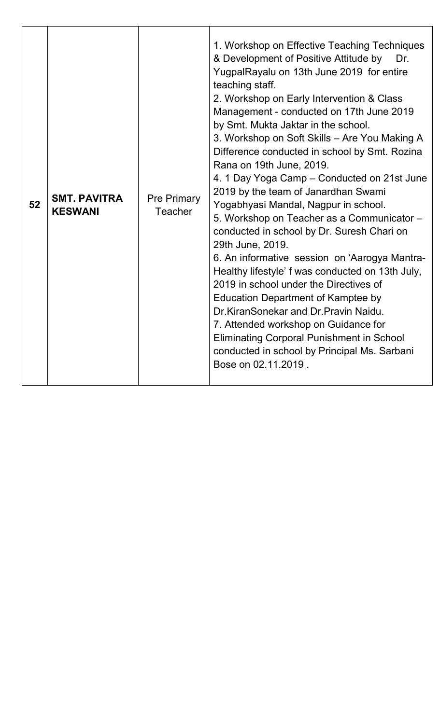| 52 | <b>SMT. PAVITRA</b><br><b>KESWANI</b> | <b>Pre Primary</b><br>Teacher | 1. Workshop on Effective Teaching Techniques<br>& Development of Positive Attitude by<br>Dr.<br>YugpalRayalu on 13th June 2019 for entire<br>teaching staff.<br>2. Workshop on Early Intervention & Class<br>Management - conducted on 17th June 2019<br>by Smt. Mukta Jaktar in the school.<br>3. Workshop on Soft Skills - Are You Making A<br>Difference conducted in school by Smt. Rozina<br>Rana on 19th June, 2019.<br>4. 1 Day Yoga Camp - Conducted on 21st June<br>2019 by the team of Janardhan Swami<br>Yogabhyasi Mandal, Nagpur in school.<br>5. Workshop on Teacher as a Communicator -<br>conducted in school by Dr. Suresh Chari on<br>29th June, 2019.<br>6. An informative session on 'Aarogya Mantra-<br>Healthy lifestyle' f was conducted on 13th July,<br>2019 in school under the Directives of<br>Education Department of Kamptee by<br>Dr.KiranSonekar and Dr.Pravin Naidu.<br>7. Attended workshop on Guidance for<br><b>Eliminating Corporal Punishment in School</b><br>conducted in school by Principal Ms. Sarbani<br>Bose on 02.11.2019. |
|----|---------------------------------------|-------------------------------|--------------------------------------------------------------------------------------------------------------------------------------------------------------------------------------------------------------------------------------------------------------------------------------------------------------------------------------------------------------------------------------------------------------------------------------------------------------------------------------------------------------------------------------------------------------------------------------------------------------------------------------------------------------------------------------------------------------------------------------------------------------------------------------------------------------------------------------------------------------------------------------------------------------------------------------------------------------------------------------------------------------------------------------------------------------------------|
|----|---------------------------------------|-------------------------------|--------------------------------------------------------------------------------------------------------------------------------------------------------------------------------------------------------------------------------------------------------------------------------------------------------------------------------------------------------------------------------------------------------------------------------------------------------------------------------------------------------------------------------------------------------------------------------------------------------------------------------------------------------------------------------------------------------------------------------------------------------------------------------------------------------------------------------------------------------------------------------------------------------------------------------------------------------------------------------------------------------------------------------------------------------------------------|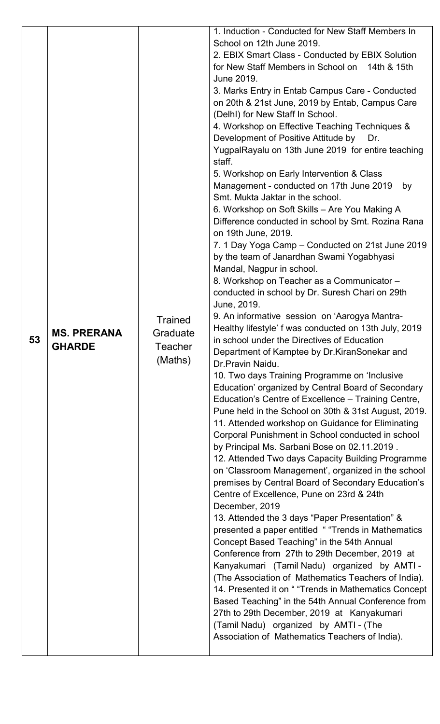| 53 | <b>MS. PRERANA</b><br><b>GHARDE</b> | <b>Trained</b><br>Graduate<br>Teacher<br>(Maths) | 1. Induction - Conducted for New Staff Members In<br>School on 12th June 2019.<br>2. EBIX Smart Class - Conducted by EBIX Solution<br>for New Staff Members in School on 14th & 15th<br>June 2019.<br>3. Marks Entry in Entab Campus Care - Conducted<br>on 20th & 21st June, 2019 by Entab, Campus Care<br>(DelhI) for New Staff In School.<br>4. Workshop on Effective Teaching Techniques &<br>Development of Positive Attitude by<br>Dr.<br>YugpalRayalu on 13th June 2019 for entire teaching<br>staff.<br>5. Workshop on Early Intervention & Class<br>Management - conducted on 17th June 2019<br>by<br>Smt. Mukta Jaktar in the school.<br>6. Workshop on Soft Skills - Are You Making A<br>Difference conducted in school by Smt. Rozina Rana<br>on 19th June, 2019.<br>7. 1 Day Yoga Camp – Conducted on 21st June 2019<br>by the team of Janardhan Swami Yogabhyasi<br>Mandal, Nagpur in school.<br>8. Workshop on Teacher as a Communicator -<br>conducted in school by Dr. Suresh Chari on 29th<br>June, 2019.<br>9. An informative session on 'Aarogya Mantra-<br>Healthy lifestyle' f was conducted on 13th July, 2019<br>in school under the Directives of Education<br>Department of Kamptee by Dr. Kiran Sonekar and<br>Dr.Pravin Naidu.<br>10. Two days Training Programme on 'Inclusive<br>Education' organized by Central Board of Secondary<br>Education's Centre of Excellence – Training Centre,<br>Pune held in the School on 30th & 31st August, 2019.<br>11. Attended workshop on Guidance for Eliminating<br>Corporal Punishment in School conducted in school<br>by Principal Ms. Sarbani Bose on 02.11.2019.<br>12. Attended Two days Capacity Building Programme<br>on 'Classroom Management', organized in the school<br>premises by Central Board of Secondary Education's<br>Centre of Excellence, Pune on 23rd & 24th<br>December, 2019<br>13. Attended the 3 days "Paper Presentation" &<br>presented a paper entitled "Trends in Mathematics<br>Concept Based Teaching" in the 54th Annual<br>Conference from 27th to 29th December, 2019 at<br>Kanyakumari (Tamil Nadu) organized by AMTI-<br>(The Association of Mathematics Teachers of India).<br>14. Presented it on " "Trends in Mathematics Concept<br>Based Teaching" in the 54th Annual Conference from<br>27th to 29th December, 2019 at Kanyakumari<br>(Tamil Nadu) organized by AMTI - (The<br>Association of Mathematics Teachers of India). |
|----|-------------------------------------|--------------------------------------------------|------------------------------------------------------------------------------------------------------------------------------------------------------------------------------------------------------------------------------------------------------------------------------------------------------------------------------------------------------------------------------------------------------------------------------------------------------------------------------------------------------------------------------------------------------------------------------------------------------------------------------------------------------------------------------------------------------------------------------------------------------------------------------------------------------------------------------------------------------------------------------------------------------------------------------------------------------------------------------------------------------------------------------------------------------------------------------------------------------------------------------------------------------------------------------------------------------------------------------------------------------------------------------------------------------------------------------------------------------------------------------------------------------------------------------------------------------------------------------------------------------------------------------------------------------------------------------------------------------------------------------------------------------------------------------------------------------------------------------------------------------------------------------------------------------------------------------------------------------------------------------------------------------------------------------------------------------------------------------------------------------------------------------------------------------------------------------------------------------------------------------------------------------------------------------------------------------------------------------------------------------------------------------------------------------------------------------------------------------------------------------------------------------------------------------------------------|
|    |                                     |                                                  |                                                                                                                                                                                                                                                                                                                                                                                                                                                                                                                                                                                                                                                                                                                                                                                                                                                                                                                                                                                                                                                                                                                                                                                                                                                                                                                                                                                                                                                                                                                                                                                                                                                                                                                                                                                                                                                                                                                                                                                                                                                                                                                                                                                                                                                                                                                                                                                                                                                |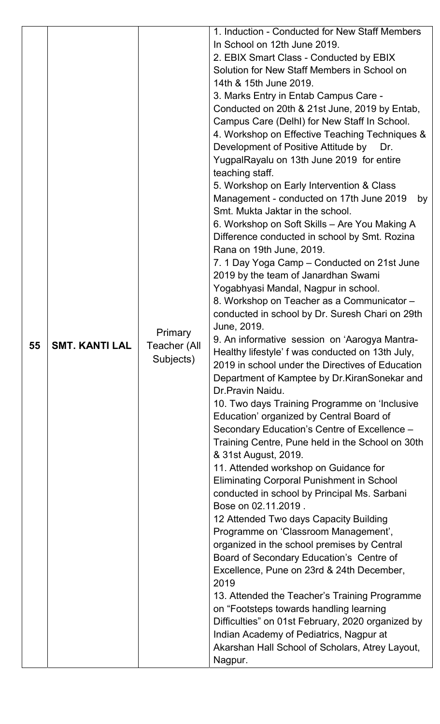| 55 | SMT. KANTI LAL | <b>Primary</b><br><b>Teacher (All</b><br>Subjects) | 1. Induction - Conducted for New Staff Members<br>In School on 12th June 2019.<br>2. EBIX Smart Class - Conducted by EBIX<br>Solution for New Staff Members in School on<br>14th & 15th June 2019.<br>3. Marks Entry in Entab Campus Care -<br>Conducted on 20th & 21st June, 2019 by Entab,<br>Campus Care (Delhl) for New Staff In School.<br>4. Workshop on Effective Teaching Techniques &<br>Development of Positive Attitude by<br>Dr.<br>YugpalRayalu on 13th June 2019 for entire<br>teaching staff.<br>5. Workshop on Early Intervention & Class<br>Management - conducted on 17th June 2019<br>by<br>Smt. Mukta Jaktar in the school.<br>6. Workshop on Soft Skills - Are You Making A<br>Difference conducted in school by Smt. Rozina<br>Rana on 19th June, 2019.<br>7. 1 Day Yoga Camp – Conducted on 21st June<br>2019 by the team of Janardhan Swami<br>Yogabhyasi Mandal, Nagpur in school.<br>8. Workshop on Teacher as a Communicator -<br>conducted in school by Dr. Suresh Chari on 29th<br>June, 2019.<br>9. An informative session on 'Aarogya Mantra-<br>Healthy lifestyle' f was conducted on 13th July,<br>2019 in school under the Directives of Education<br>Department of Kamptee by Dr. Kiran Sonekar and<br>Dr. Pravin Naidu.<br>10. Two days Training Programme on 'Inclusive<br>Education' organized by Central Board of<br>Secondary Education's Centre of Excellence -<br>Training Centre, Pune held in the School on 30th<br>& 31st August, 2019.<br>11. Attended workshop on Guidance for<br><b>Eliminating Corporal Punishment in School</b><br>conducted in school by Principal Ms. Sarbani<br>Bose on 02.11.2019.<br>12 Attended Two days Capacity Building<br>Programme on 'Classroom Management',<br>organized in the school premises by Central<br>Board of Secondary Education's Centre of<br>Excellence, Pune on 23rd & 24th December,<br>2019<br>13. Attended the Teacher's Training Programme<br>on "Footsteps towards handling learning<br>Difficulties" on 01st February, 2020 organized by<br>Indian Academy of Pediatrics, Nagpur at<br>Akarshan Hall School of Scholars, Atrey Layout,<br>Nagpur. |
|----|----------------|----------------------------------------------------|------------------------------------------------------------------------------------------------------------------------------------------------------------------------------------------------------------------------------------------------------------------------------------------------------------------------------------------------------------------------------------------------------------------------------------------------------------------------------------------------------------------------------------------------------------------------------------------------------------------------------------------------------------------------------------------------------------------------------------------------------------------------------------------------------------------------------------------------------------------------------------------------------------------------------------------------------------------------------------------------------------------------------------------------------------------------------------------------------------------------------------------------------------------------------------------------------------------------------------------------------------------------------------------------------------------------------------------------------------------------------------------------------------------------------------------------------------------------------------------------------------------------------------------------------------------------------------------------------------------------------------------------------------------------------------------------------------------------------------------------------------------------------------------------------------------------------------------------------------------------------------------------------------------------------------------------------------------------------------------------------------------------------------------------------------------------------------------------------------------------------------------------------|
|----|----------------|----------------------------------------------------|------------------------------------------------------------------------------------------------------------------------------------------------------------------------------------------------------------------------------------------------------------------------------------------------------------------------------------------------------------------------------------------------------------------------------------------------------------------------------------------------------------------------------------------------------------------------------------------------------------------------------------------------------------------------------------------------------------------------------------------------------------------------------------------------------------------------------------------------------------------------------------------------------------------------------------------------------------------------------------------------------------------------------------------------------------------------------------------------------------------------------------------------------------------------------------------------------------------------------------------------------------------------------------------------------------------------------------------------------------------------------------------------------------------------------------------------------------------------------------------------------------------------------------------------------------------------------------------------------------------------------------------------------------------------------------------------------------------------------------------------------------------------------------------------------------------------------------------------------------------------------------------------------------------------------------------------------------------------------------------------------------------------------------------------------------------------------------------------------------------------------------------------------|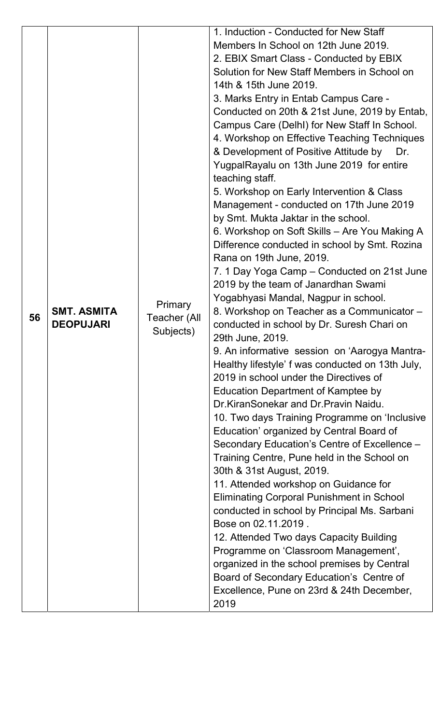|    |                    |                           | 1. Induction - Conducted for New Staff<br>Members In School on 12th June 2019.               |
|----|--------------------|---------------------------|----------------------------------------------------------------------------------------------|
|    |                    |                           | 2. EBIX Smart Class - Conducted by EBIX                                                      |
|    |                    |                           | Solution for New Staff Members in School on                                                  |
|    |                    |                           | 14th & 15th June 2019.                                                                       |
|    |                    |                           | 3. Marks Entry in Entab Campus Care -                                                        |
|    |                    |                           | Conducted on 20th & 21st June, 2019 by Entab,                                                |
|    |                    |                           | Campus Care (Delhl) for New Staff In School.<br>4. Workshop on Effective Teaching Techniques |
|    |                    |                           | & Development of Positive Attitude by Dr.                                                    |
|    |                    |                           | YugpalRayalu on 13th June 2019 for entire                                                    |
|    |                    |                           | teaching staff.                                                                              |
|    |                    |                           | 5. Workshop on Early Intervention & Class                                                    |
|    |                    |                           | Management - conducted on 17th June 2019                                                     |
|    |                    |                           | by Smt. Mukta Jaktar in the school.                                                          |
|    |                    |                           | 6. Workshop on Soft Skills – Are You Making A                                                |
|    |                    |                           | Difference conducted in school by Smt. Rozina                                                |
|    |                    |                           | Rana on 19th June, 2019.<br>7. 1 Day Yoga Camp – Conducted on 21st June                      |
|    |                    |                           | 2019 by the team of Janardhan Swami                                                          |
|    |                    |                           | Yogabhyasi Mandal, Nagpur in school.                                                         |
|    | <b>SMT. ASMITA</b> | Primary                   | 8. Workshop on Teacher as a Communicator -                                                   |
| 56 | <b>DEOPUJARI</b>   | Teacher (All<br>Subjects) | conducted in school by Dr. Suresh Chari on                                                   |
|    |                    |                           | 29th June, 2019.                                                                             |
|    |                    |                           | 9. An informative session on 'Aarogya Mantra-                                                |
|    |                    |                           | Healthy lifestyle' f was conducted on 13th July,<br>2019 in school under the Directives of   |
|    |                    |                           | <b>Education Department of Kamptee by</b>                                                    |
|    |                    |                           | Dr.KiranSonekar and Dr.Pravin Naidu.                                                         |
|    |                    |                           | 10. Two days Training Programme on 'Inclusive                                                |
|    |                    |                           | Education' organized by Central Board of                                                     |
|    |                    |                           | Secondary Education's Centre of Excellence -                                                 |
|    |                    |                           | Training Centre, Pune held in the School on                                                  |
|    |                    |                           | 30th & 31st August, 2019.                                                                    |
|    |                    |                           | 11. Attended workshop on Guidance for                                                        |
|    |                    |                           | <b>Eliminating Corporal Punishment in School</b>                                             |
|    |                    |                           | conducted in school by Principal Ms. Sarbani<br>Bose on 02.11.2019.                          |
|    |                    |                           | 12. Attended Two days Capacity Building                                                      |
|    |                    |                           | Programme on 'Classroom Management',                                                         |
|    |                    |                           | organized in the school premises by Central                                                  |
|    |                    |                           | Board of Secondary Education's Centre of                                                     |
|    |                    |                           | Excellence, Pune on 23rd & 24th December,                                                    |
|    |                    |                           | 2019                                                                                         |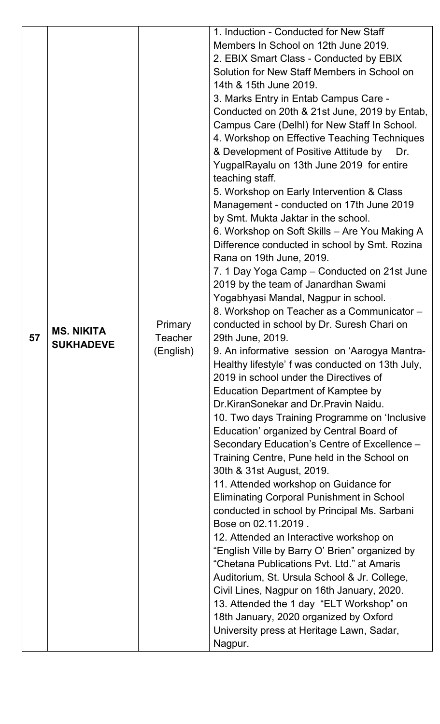|    |                                       |                             | 1. Induction - Conducted for New Staff           |
|----|---------------------------------------|-----------------------------|--------------------------------------------------|
|    |                                       |                             | Members In School on 12th June 2019.             |
|    |                                       |                             | 2. EBIX Smart Class - Conducted by EBIX          |
|    |                                       |                             | Solution for New Staff Members in School on      |
|    |                                       |                             | 14th & 15th June 2019.                           |
|    |                                       |                             | 3. Marks Entry in Entab Campus Care -            |
|    |                                       |                             | Conducted on 20th & 21st June, 2019 by Entab,    |
|    |                                       |                             | Campus Care (DelhI) for New Staff In School.     |
|    |                                       |                             | 4. Workshop on Effective Teaching Techniques     |
|    |                                       |                             | & Development of Positive Attitude by<br>Dr.     |
|    |                                       |                             | YugpalRayalu on 13th June 2019 for entire        |
|    |                                       |                             | teaching staff.                                  |
|    |                                       |                             | 5. Workshop on Early Intervention & Class        |
|    |                                       |                             | Management - conducted on 17th June 2019         |
|    |                                       |                             | by Smt. Mukta Jaktar in the school.              |
|    |                                       |                             | 6. Workshop on Soft Skills - Are You Making A    |
|    |                                       |                             | Difference conducted in school by Smt. Rozina    |
|    |                                       |                             | Rana on 19th June, 2019.                         |
|    |                                       |                             | 7. 1 Day Yoga Camp – Conducted on 21st June      |
| 57 |                                       |                             | 2019 by the team of Janardhan Swami              |
|    |                                       |                             | Yogabhyasi Mandal, Nagpur in school.             |
|    |                                       |                             | 8. Workshop on Teacher as a Communicator -       |
|    |                                       | <b>Primary</b>              | conducted in school by Dr. Suresh Chari on       |
|    | <b>MS. NIKITA</b><br><b>SUKHADEVE</b> | <b>Teacher</b><br>(English) | 29th June, 2019.                                 |
|    |                                       |                             | 9. An informative session on 'Aarogya Mantra-    |
|    |                                       |                             | Healthy lifestyle' f was conducted on 13th July, |
|    |                                       |                             | 2019 in school under the Directives of           |
|    |                                       |                             | Education Department of Kamptee by               |
|    |                                       |                             | Dr.KiranSonekar and Dr.Pravin Naidu.             |
|    |                                       |                             | 10. Two days Training Programme on 'Inclusive    |
|    |                                       |                             | Education' organized by Central Board of         |
|    |                                       |                             | Secondary Education's Centre of Excellence -     |
|    |                                       |                             | Training Centre, Pune held in the School on      |
|    |                                       |                             | 30th & 31st August, 2019.                        |
|    |                                       |                             | 11. Attended workshop on Guidance for            |
|    |                                       |                             | <b>Eliminating Corporal Punishment in School</b> |
|    |                                       |                             | conducted in school by Principal Ms. Sarbani     |
|    |                                       |                             | Bose on 02.11.2019.                              |
|    |                                       |                             | 12. Attended an Interactive workshop on          |
|    |                                       |                             | "English Ville by Barry O' Brien" organized by   |
|    |                                       |                             | "Chetana Publications Pyt. Ltd." at Amaris       |
|    |                                       |                             | Auditorium, St. Ursula School & Jr. College,     |
|    |                                       |                             |                                                  |
|    |                                       |                             | Civil Lines, Nagpur on 16th January, 2020.       |
|    |                                       |                             | 13. Attended the 1 day "ELT Workshop" on         |
|    |                                       |                             | 18th January, 2020 organized by Oxford           |
|    |                                       |                             | University press at Heritage Lawn, Sadar,        |
|    |                                       |                             | Nagpur.                                          |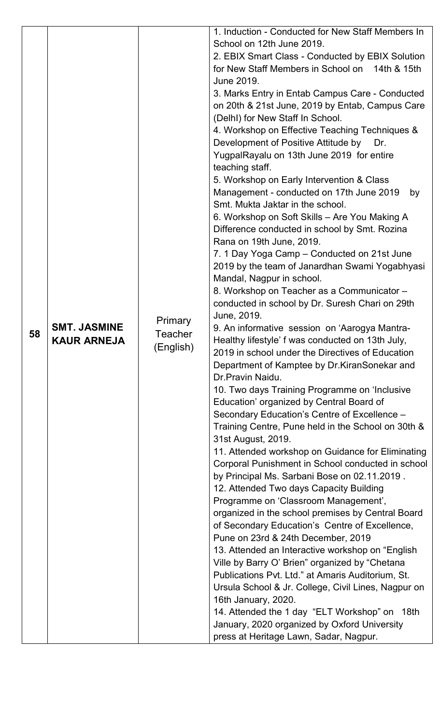|    |                                           |                           | 1. Induction - Conducted for New Staff Members In                                             |
|----|-------------------------------------------|---------------------------|-----------------------------------------------------------------------------------------------|
|    |                                           |                           | School on 12th June 2019.                                                                     |
|    |                                           |                           | 2. EBIX Smart Class - Conducted by EBIX Solution                                              |
|    |                                           |                           | for New Staff Members in School on 14th & 15th                                                |
|    |                                           |                           | June 2019.                                                                                    |
|    |                                           |                           | 3. Marks Entry in Entab Campus Care - Conducted                                               |
|    |                                           |                           | on 20th & 21st June, 2019 by Entab, Campus Care                                               |
|    |                                           |                           | (Delhl) for New Staff In School.                                                              |
|    |                                           |                           | 4. Workshop on Effective Teaching Techniques &                                                |
|    |                                           |                           | Development of Positive Attitude by<br>Dr.                                                    |
|    |                                           |                           | YugpalRayalu on 13th June 2019 for entire                                                     |
|    |                                           |                           | teaching staff.                                                                               |
|    |                                           |                           | 5. Workshop on Early Intervention & Class                                                     |
|    |                                           |                           | Management - conducted on 17th June 2019<br>by                                                |
|    |                                           |                           | Smt. Mukta Jaktar in the school.                                                              |
|    |                                           |                           | 6. Workshop on Soft Skills - Are You Making A                                                 |
|    |                                           |                           | Difference conducted in school by Smt. Rozina                                                 |
|    |                                           |                           | Rana on 19th June, 2019.                                                                      |
|    |                                           |                           | 7. 1 Day Yoga Camp – Conducted on 21st June<br>2019 by the team of Janardhan Swami Yogabhyasi |
|    |                                           |                           | Mandal, Nagpur in school.                                                                     |
|    |                                           |                           | 8. Workshop on Teacher as a Communicator -                                                    |
|    |                                           |                           | conducted in school by Dr. Suresh Chari on 29th                                               |
|    | <b>SMT. JASMINE</b><br><b>KAUR ARNEJA</b> |                           | June, 2019.                                                                                   |
|    |                                           | Primary<br><b>Teacher</b> | 9. An informative session on 'Aarogya Mantra-                                                 |
| 58 |                                           |                           | Healthy lifestyle' f was conducted on 13th July,                                              |
|    |                                           | (English)                 | 2019 in school under the Directives of Education                                              |
|    |                                           |                           | Department of Kamptee by Dr. Kiran Sonekar and                                                |
|    |                                           |                           | Dr. Pravin Naidu.                                                                             |
|    |                                           |                           | 10. Two days Training Programme on 'Inclusive                                                 |
|    |                                           |                           | Education' organized by Central Board of                                                      |
|    |                                           |                           | Secondary Education's Centre of Excellence -                                                  |
|    |                                           |                           | Training Centre, Pune held in the School on 30th &                                            |
|    |                                           |                           | 31st August, 2019.                                                                            |
|    |                                           |                           | 11. Attended workshop on Guidance for Eliminating                                             |
|    |                                           |                           | Corporal Punishment in School conducted in school                                             |
|    |                                           |                           | by Principal Ms. Sarbani Bose on 02.11.2019.                                                  |
|    |                                           |                           | 12. Attended Two days Capacity Building                                                       |
|    |                                           |                           | Programme on 'Classroom Management',                                                          |
|    |                                           |                           | organized in the school premises by Central Board                                             |
|    |                                           |                           | of Secondary Education's Centre of Excellence,                                                |
|    |                                           |                           | Pune on 23rd & 24th December, 2019                                                            |
|    |                                           |                           | 13. Attended an Interactive workshop on "English"                                             |
|    |                                           |                           | Ville by Barry O' Brien" organized by "Chetana                                                |
|    |                                           |                           | Publications Pvt. Ltd." at Amaris Auditorium, St.                                             |
|    |                                           |                           | Ursula School & Jr. College, Civil Lines, Nagpur on                                           |
|    |                                           |                           | 16th January, 2020.                                                                           |
|    |                                           |                           | 14. Attended the 1 day "ELT Workshop" on 18th                                                 |
|    |                                           |                           | January, 2020 organized by Oxford University                                                  |
|    |                                           |                           | press at Heritage Lawn, Sadar, Nagpur.                                                        |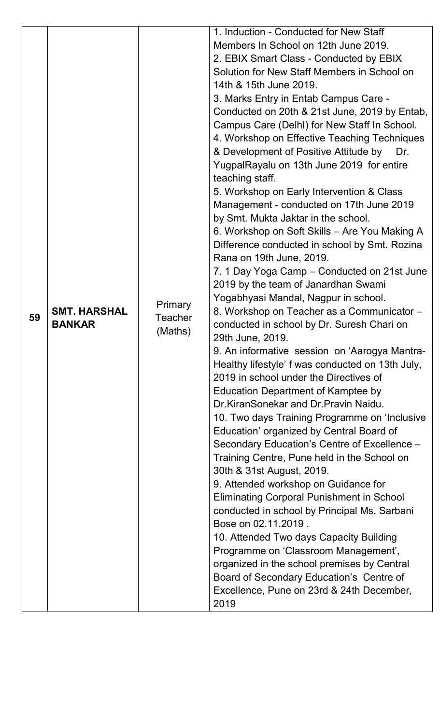|    |                                      |                | 1. Induction - Conducted for New Staff                                             |
|----|--------------------------------------|----------------|------------------------------------------------------------------------------------|
|    |                                      |                | Members In School on 12th June 2019.                                               |
|    |                                      |                | 2. EBIX Smart Class - Conducted by EBIX                                            |
|    |                                      |                | Solution for New Staff Members in School on                                        |
|    |                                      |                | 14th & 15th June 2019.                                                             |
|    |                                      |                | 3. Marks Entry in Entab Campus Care -                                              |
|    |                                      |                | Conducted on 20th & 21st June, 2019 by Entab,                                      |
|    |                                      |                | Campus Care (Delhl) for New Staff In School.                                       |
|    |                                      |                | 4. Workshop on Effective Teaching Techniques                                       |
|    |                                      |                | & Development of Positive Attitude by Dr.                                          |
|    |                                      |                | YugpalRayalu on 13th June 2019 for entire                                          |
|    |                                      |                | teaching staff.                                                                    |
|    |                                      |                | 5. Workshop on Early Intervention & Class                                          |
|    |                                      |                | Management - conducted on 17th June 2019                                           |
|    |                                      |                | by Smt. Mukta Jaktar in the school.                                                |
|    |                                      |                | 6. Workshop on Soft Skills – Are You Making A                                      |
|    |                                      |                | Difference conducted in school by Smt. Rozina                                      |
|    |                                      |                | Rana on 19th June, 2019.                                                           |
|    |                                      |                | 7. 1 Day Yoga Camp – Conducted on 21st June                                        |
|    |                                      |                | 2019 by the team of Janardhan Swami                                                |
|    |                                      | Primary        | Yogabhyasi Mandal, Nagpur in school.<br>8. Workshop on Teacher as a Communicator - |
| 59 | <b>SMT. HARSHAL</b><br><b>BANKAR</b> | <b>Teacher</b> | conducted in school by Dr. Suresh Chari on                                         |
|    |                                      | (Maths)        | 29th June, 2019.                                                                   |
|    |                                      |                | 9. An informative session on 'Aarogya Mantra-                                      |
|    |                                      |                | Healthy lifestyle' f was conducted on 13th July,                                   |
|    |                                      |                | 2019 in school under the Directives of                                             |
|    |                                      |                | Education Department of Kamptee by                                                 |
|    |                                      |                | Dr.KiranSonekar and Dr.Pravin Naidu.                                               |
|    |                                      |                | 10. Two days Training Programme on 'Inclusive                                      |
|    |                                      |                | Education' organized by Central Board of                                           |
|    |                                      |                | Secondary Education's Centre of Excellence -                                       |
|    |                                      |                | Training Centre, Pune held in the School on                                        |
|    |                                      |                | 30th & 31st August, 2019.                                                          |
|    |                                      |                | 9. Attended workshop on Guidance for                                               |
|    |                                      |                | <b>Eliminating Corporal Punishment in School</b>                                   |
|    |                                      |                | conducted in school by Principal Ms. Sarbani                                       |
|    |                                      |                | Bose on 02.11.2019.                                                                |
|    |                                      |                | 10. Attended Two days Capacity Building                                            |
|    |                                      |                | Programme on 'Classroom Management',                                               |
|    |                                      |                | organized in the school premises by Central                                        |
|    |                                      |                | Board of Secondary Education's Centre of                                           |
|    |                                      |                | Excellence, Pune on 23rd & 24th December,                                          |
|    |                                      |                | 2019                                                                               |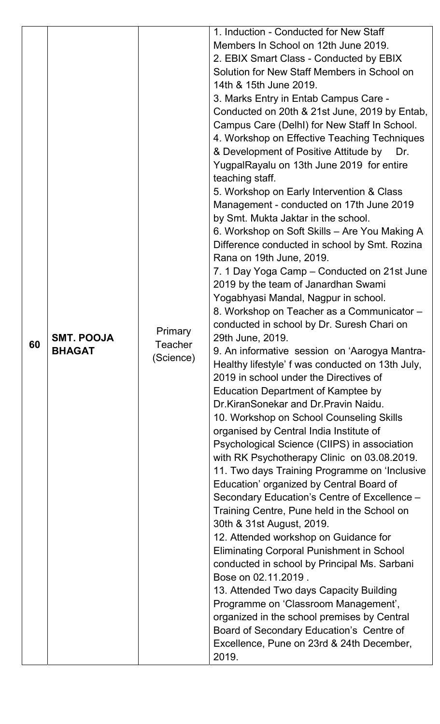|    |                   |                    | 1. Induction - Conducted for New Staff             |
|----|-------------------|--------------------|----------------------------------------------------|
|    |                   |                    | Members In School on 12th June 2019.               |
|    |                   |                    | 2. EBIX Smart Class - Conducted by EBIX            |
|    |                   |                    | Solution for New Staff Members in School on        |
|    |                   |                    | 14th & 15th June 2019.                             |
|    |                   |                    | 3. Marks Entry in Entab Campus Care -              |
|    |                   |                    | Conducted on 20th & 21st June, 2019 by Entab,      |
|    |                   |                    | Campus Care (DelhI) for New Staff In School.       |
|    |                   |                    | 4. Workshop on Effective Teaching Techniques       |
|    |                   |                    | & Development of Positive Attitude by<br>Dr.       |
|    |                   |                    | YugpalRayalu on 13th June 2019 for entire          |
|    |                   |                    | teaching staff.                                    |
|    |                   |                    | 5. Workshop on Early Intervention & Class          |
|    |                   |                    | Management - conducted on 17th June 2019           |
|    |                   |                    | by Smt. Mukta Jaktar in the school.                |
|    |                   |                    | 6. Workshop on Soft Skills – Are You Making A      |
|    |                   |                    | Difference conducted in school by Smt. Rozina      |
|    |                   |                    | Rana on 19th June, 2019.                           |
|    |                   |                    | 7. 1 Day Yoga Camp – Conducted on 21st June        |
|    |                   |                    | 2019 by the team of Janardhan Swami                |
|    |                   |                    | Yogabhyasi Mandal, Nagpur in school.               |
|    |                   |                    | 8. Workshop on Teacher as a Communicator -         |
|    |                   |                    | conducted in school by Dr. Suresh Chari on         |
| 60 | <b>SMT. POOJA</b> | Primary<br>Teacher | 29th June, 2019.                                   |
|    | <b>BHAGAT</b>     | (Science)          | 9. An informative session on 'Aarogya Mantra-      |
|    |                   |                    | Healthy lifestyle' f was conducted on 13th July,   |
|    |                   |                    | 2019 in school under the Directives of             |
|    |                   |                    | Education Department of Kamptee by                 |
|    |                   |                    | Dr. Kiran Sonekar and Dr. Pravin Naidu.            |
|    |                   |                    | 10. Workshop on School Counseling Skills           |
|    |                   |                    | organised by Central India Institute of            |
|    |                   |                    | Psychological Science (CIIPS) in association       |
|    |                   |                    | with RK Psychotherapy Clinic on 03.08.2019.        |
|    |                   |                    | 11. Two days Training Programme on 'Inclusive      |
|    |                   |                    | Education' organized by Central Board of           |
|    |                   |                    | Secondary Education's Centre of Excellence -       |
|    |                   |                    | Training Centre, Pune held in the School on        |
|    |                   |                    | 30th & 31st August, 2019.                          |
|    |                   |                    | 12. Attended workshop on Guidance for              |
|    |                   |                    | <b>Eliminating Corporal Punishment in School</b>   |
|    |                   |                    | conducted in school by Principal Ms. Sarbani       |
|    |                   |                    | Bose on 02.11.2019.                                |
|    |                   |                    |                                                    |
|    |                   |                    |                                                    |
|    |                   |                    | 13. Attended Two days Capacity Building            |
|    |                   |                    | Programme on 'Classroom Management',               |
|    |                   |                    | organized in the school premises by Central        |
|    |                   |                    | Board of Secondary Education's Centre of           |
|    |                   |                    | Excellence, Pune on 23rd & 24th December,<br>2019. |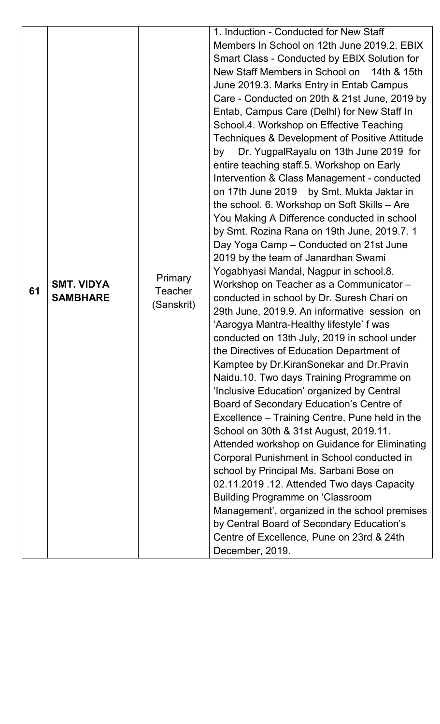|    |                   |                | 1. Induction - Conducted for New Staff                                                |
|----|-------------------|----------------|---------------------------------------------------------------------------------------|
|    |                   |                | Members In School on 12th June 2019.2. EBIX                                           |
|    |                   |                | Smart Class - Conducted by EBIX Solution for                                          |
|    |                   |                | New Staff Members in School on 14th & 15th                                            |
|    |                   |                | June 2019.3. Marks Entry in Entab Campus                                              |
|    |                   |                | Care - Conducted on 20th & 21st June, 2019 by                                         |
|    |                   |                | Entab, Campus Care (DelhI) for New Staff In                                           |
|    |                   |                | School.4. Workshop on Effective Teaching                                              |
|    |                   |                | Techniques & Development of Positive Attitude                                         |
|    |                   |                | Dr. YugpalRayalu on 13th June 2019 for<br>by                                          |
|    |                   |                | entire teaching staff.5. Workshop on Early                                            |
|    |                   |                | Intervention & Class Management - conducted                                           |
|    |                   |                | on 17th June 2019 by Smt. Mukta Jaktar in                                             |
|    |                   |                | the school. 6. Workshop on Soft Skills - Are                                          |
|    |                   |                | You Making A Difference conducted in school                                           |
|    |                   |                | by Smt. Rozina Rana on 19th June, 2019.7.1                                            |
|    |                   |                | Day Yoga Camp - Conducted on 21st June                                                |
|    |                   |                | 2019 by the team of Janardhan Swami                                                   |
|    | <b>SMT. VIDYA</b> | <b>Primary</b> | Yogabhyasi Mandal, Nagpur in school.8.                                                |
| 61 | <b>SAMBHARE</b>   | <b>Teacher</b> | Workshop on Teacher as a Communicator -<br>conducted in school by Dr. Suresh Chari on |
|    |                   | (Sanskrit)     | 29th June, 2019.9. An informative session on                                          |
|    |                   |                | 'Aarogya Mantra-Healthy lifestyle' f was                                              |
|    |                   |                | conducted on 13th July, 2019 in school under                                          |
|    |                   |                | the Directives of Education Department of                                             |
|    |                   |                | Kamptee by Dr. Kiran Sonekar and Dr. Pravin                                           |
|    |                   |                | Naidu.10. Two days Training Programme on                                              |
|    |                   |                | 'Inclusive Education' organized by Central                                            |
|    |                   |                | Board of Secondary Education's Centre of                                              |
|    |                   |                | Excellence – Training Centre, Pune held in the                                        |
|    |                   |                | School on 30th & 31st August, 2019.11.                                                |
|    |                   |                | Attended workshop on Guidance for Eliminating                                         |
|    |                   |                | Corporal Punishment in School conducted in                                            |
|    |                   |                | school by Principal Ms. Sarbani Bose on                                               |
|    |                   |                | 02.11.2019 .12. Attended Two days Capacity                                            |
|    |                   |                | <b>Building Programme on 'Classroom</b>                                               |
|    |                   |                | Management', organized in the school premises                                         |
|    |                   |                | by Central Board of Secondary Education's                                             |
|    |                   |                | Centre of Excellence, Pune on 23rd & 24th                                             |
|    |                   |                | December, 2019.                                                                       |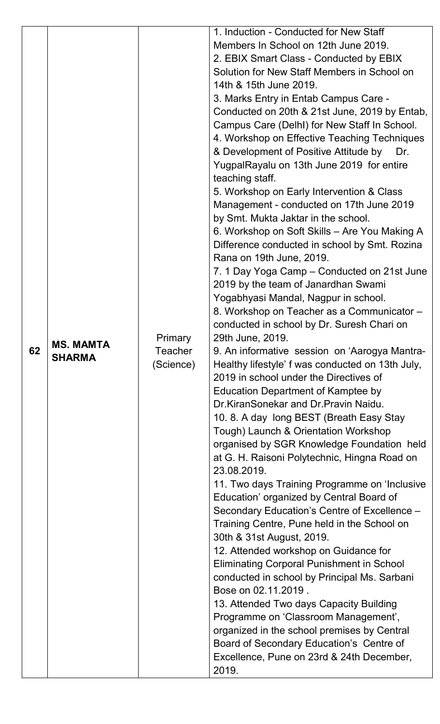|    |               |                      | 1. Induction - Conducted for New Staff           |
|----|---------------|----------------------|--------------------------------------------------|
|    |               |                      | Members In School on 12th June 2019.             |
|    |               |                      | 2. EBIX Smart Class - Conducted by EBIX          |
|    |               |                      | Solution for New Staff Members in School on      |
|    |               |                      | 14th & 15th June 2019.                           |
|    |               |                      | 3. Marks Entry in Entab Campus Care -            |
|    |               |                      | Conducted on 20th & 21st June, 2019 by Entab,    |
|    |               |                      | Campus Care (DelhI) for New Staff In School.     |
|    |               |                      | 4. Workshop on Effective Teaching Techniques     |
|    |               |                      | & Development of Positive Attitude by<br>Dr.     |
|    |               |                      | YugpalRayalu on 13th June 2019 for entire        |
|    |               |                      | teaching staff.                                  |
|    |               |                      | 5. Workshop on Early Intervention & Class        |
|    |               |                      | Management - conducted on 17th June 2019         |
|    |               |                      | by Smt. Mukta Jaktar in the school.              |
|    |               |                      | 6. Workshop on Soft Skills - Are You Making A    |
|    |               |                      | Difference conducted in school by Smt. Rozina    |
|    |               |                      | Rana on 19th June, 2019.                         |
|    |               |                      | 7. 1 Day Yoga Camp – Conducted on 21st June      |
|    |               |                      | 2019 by the team of Janardhan Swami              |
|    |               |                      | Yogabhyasi Mandal, Nagpur in school.             |
|    |               |                      | 8. Workshop on Teacher as a Communicator -       |
|    |               |                      | conducted in school by Dr. Suresh Chari on       |
|    | MS. MAMTA     | Primary              | 29th June, 2019.                                 |
| 62 | <b>SHARMA</b> | Teacher<br>(Science) | 9. An informative session on 'Aarogya Mantra-    |
|    |               |                      | Healthy lifestyle' f was conducted on 13th July, |
|    |               |                      | 2019 in school under the Directives of           |
|    |               |                      | Education Department of Kamptee by               |
|    |               |                      | Dr.KiranSonekar and Dr.Pravin Naidu.             |
|    |               |                      | 10. 8. A day long BEST (Breath Easy Stay         |
|    |               |                      | Tough) Launch & Orientation Workshop             |
|    |               |                      | organised by SGR Knowledge Foundation held       |
|    |               |                      | at G. H. Raisoni Polytechnic, Hingna Road on     |
|    |               |                      | 23.08.2019.                                      |
|    |               |                      | 11. Two days Training Programme on 'Inclusive    |
|    |               |                      | Education' organized by Central Board of         |
|    |               |                      | Secondary Education's Centre of Excellence -     |
|    |               |                      | Training Centre, Pune held in the School on      |
|    |               |                      | 30th & 31st August, 2019.                        |
|    |               |                      | 12. Attended workshop on Guidance for            |
|    |               |                      | <b>Eliminating Corporal Punishment in School</b> |
|    |               |                      | conducted in school by Principal Ms. Sarbani     |
|    |               |                      | Bose on 02.11.2019.                              |
|    |               |                      | 13. Attended Two days Capacity Building          |
|    |               |                      | Programme on 'Classroom Management',             |
|    |               |                      | organized in the school premises by Central      |
|    |               |                      | Board of Secondary Education's Centre of         |
|    |               |                      | Excellence, Pune on 23rd & 24th December,        |
|    |               |                      | 2019.                                            |
|    |               |                      |                                                  |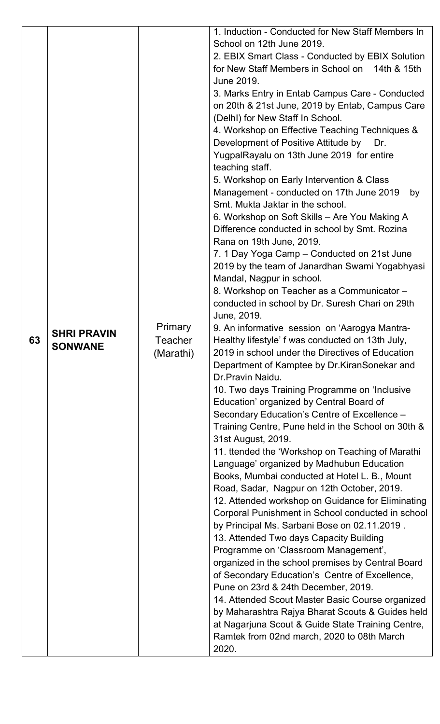| 63 | <b>SHRI PRAVIN</b><br><b>SONWANE</b> | <b>Primary</b><br><b>Teacher</b><br>(Marathi) | 1. Induction - Conducted for New Staff Members In<br>School on 12th June 2019.<br>2. EBIX Smart Class - Conducted by EBIX Solution<br>for New Staff Members in School on 14th & 15th<br>June 2019.<br>3. Marks Entry in Entab Campus Care - Conducted<br>on 20th & 21st June, 2019 by Entab, Campus Care<br>(Delhl) for New Staff In School.<br>4. Workshop on Effective Teaching Techniques &<br>Development of Positive Attitude by<br>Dr.<br>YugpalRayalu on 13th June 2019 for entire<br>teaching staff.<br>5. Workshop on Early Intervention & Class<br>Management - conducted on 17th June 2019<br>by<br>Smt. Mukta Jaktar in the school.<br>6. Workshop on Soft Skills - Are You Making A<br>Difference conducted in school by Smt. Rozina<br>Rana on 19th June, 2019.<br>7. 1 Day Yoga Camp - Conducted on 21st June<br>2019 by the team of Janardhan Swami Yogabhyasi<br>Mandal, Nagpur in school.<br>8. Workshop on Teacher as a Communicator -<br>conducted in school by Dr. Suresh Chari on 29th<br>June, 2019.<br>9. An informative session on 'Aarogya Mantra-<br>Healthy lifestyle' f was conducted on 13th July,<br>2019 in school under the Directives of Education<br>Department of Kamptee by Dr.KiranSonekar and<br>Dr.Pravin Naidu.<br>10. Two days Training Programme on 'Inclusive<br>Education' organized by Central Board of<br>Secondary Education's Centre of Excellence -<br>Training Centre, Pune held in the School on 30th &<br>31st August, 2019.<br>11. Itended the 'Workshop on Teaching of Marathi<br>Language' organized by Madhubun Education<br>Books, Mumbai conducted at Hotel L. B., Mount<br>Road, Sadar, Nagpur on 12th October, 2019.<br>12. Attended workshop on Guidance for Eliminating<br>Corporal Punishment in School conducted in school<br>by Principal Ms. Sarbani Bose on 02.11.2019.<br>13. Attended Two days Capacity Building<br>Programme on 'Classroom Management',<br>organized in the school premises by Central Board<br>of Secondary Education's Centre of Excellence,<br>Pune on 23rd & 24th December, 2019.<br>14. Attended Scout Master Basic Course organized<br>by Maharashtra Rajya Bharat Scouts & Guides held<br>at Nagarjuna Scout & Guide State Training Centre, |
|----|--------------------------------------|-----------------------------------------------|-------------------------------------------------------------------------------------------------------------------------------------------------------------------------------------------------------------------------------------------------------------------------------------------------------------------------------------------------------------------------------------------------------------------------------------------------------------------------------------------------------------------------------------------------------------------------------------------------------------------------------------------------------------------------------------------------------------------------------------------------------------------------------------------------------------------------------------------------------------------------------------------------------------------------------------------------------------------------------------------------------------------------------------------------------------------------------------------------------------------------------------------------------------------------------------------------------------------------------------------------------------------------------------------------------------------------------------------------------------------------------------------------------------------------------------------------------------------------------------------------------------------------------------------------------------------------------------------------------------------------------------------------------------------------------------------------------------------------------------------------------------------------------------------------------------------------------------------------------------------------------------------------------------------------------------------------------------------------------------------------------------------------------------------------------------------------------------------------------------------------------------------------------------------------------------------------------------------------------------------|
|    |                                      |                                               | Ramtek from 02nd march, 2020 to 08th March<br>2020.                                                                                                                                                                                                                                                                                                                                                                                                                                                                                                                                                                                                                                                                                                                                                                                                                                                                                                                                                                                                                                                                                                                                                                                                                                                                                                                                                                                                                                                                                                                                                                                                                                                                                                                                                                                                                                                                                                                                                                                                                                                                                                                                                                                       |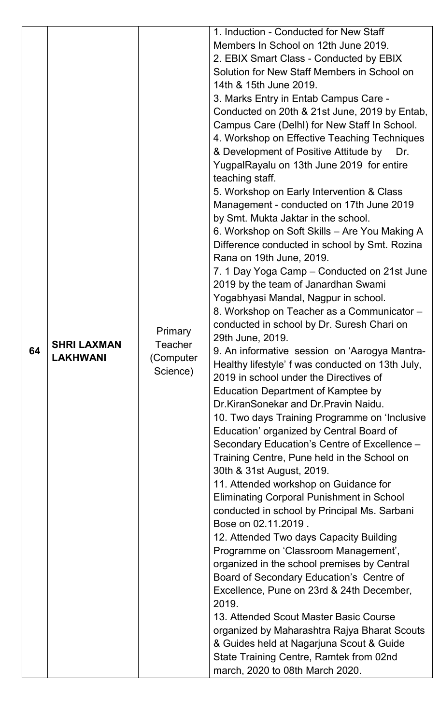|    |                                       |                                  | 1. Induction - Conducted for New Staff                                     |
|----|---------------------------------------|----------------------------------|----------------------------------------------------------------------------|
|    |                                       |                                  | Members In School on 12th June 2019.                                       |
|    |                                       |                                  | 2. EBIX Smart Class - Conducted by EBIX                                    |
|    |                                       |                                  | Solution for New Staff Members in School on                                |
|    |                                       |                                  | 14th & 15th June 2019.                                                     |
|    |                                       |                                  | 3. Marks Entry in Entab Campus Care -                                      |
|    |                                       |                                  | Conducted on 20th & 21st June, 2019 by Entab,                              |
|    |                                       |                                  | Campus Care (DelhI) for New Staff In School.                               |
|    |                                       |                                  | 4. Workshop on Effective Teaching Techniques                               |
|    |                                       |                                  | & Development of Positive Attitude by<br>Dr.                               |
|    |                                       |                                  | YugpalRayalu on 13th June 2019 for entire                                  |
|    |                                       |                                  | teaching staff.                                                            |
|    |                                       |                                  | 5. Workshop on Early Intervention & Class                                  |
|    |                                       |                                  | Management - conducted on 17th June 2019                                   |
|    |                                       |                                  | by Smt. Mukta Jaktar in the school.                                        |
|    |                                       |                                  | 6. Workshop on Soft Skills - Are You Making A                              |
|    |                                       |                                  | Difference conducted in school by Smt. Rozina                              |
|    |                                       |                                  | Rana on 19th June, 2019.                                                   |
|    |                                       |                                  | 7. 1 Day Yoga Camp – Conducted on 21st June                                |
|    |                                       |                                  | 2019 by the team of Janardhan Swami                                        |
|    |                                       |                                  | Yogabhyasi Mandal, Nagpur in school.                                       |
|    |                                       |                                  | 8. Workshop on Teacher as a Communicator -                                 |
|    | <b>SHRI LAXMAN</b><br><b>LAKHWANI</b> |                                  | conducted in school by Dr. Suresh Chari on                                 |
|    |                                       | <b>Primary</b>                   | 29th June, 2019.                                                           |
| 64 |                                       | Teacher<br>(Computer<br>Science) | 9. An informative session on 'Aarogya Mantra-                              |
|    |                                       |                                  | Healthy lifestyle' f was conducted on 13th July,                           |
|    |                                       |                                  | 2019 in school under the Directives of                                     |
|    |                                       |                                  | Education Department of Kamptee by                                         |
|    |                                       |                                  | Dr.KiranSonekar and Dr.Pravin Naidu.                                       |
|    |                                       |                                  | 10. Two days Training Programme on 'Inclusive                              |
|    |                                       |                                  | Education' organized by Central Board of                                   |
|    |                                       |                                  | Secondary Education's Centre of Excellence -                               |
|    |                                       |                                  | Training Centre, Pune held in the School on                                |
|    |                                       |                                  | 30th & 31st August, 2019.                                                  |
|    |                                       |                                  | 11. Attended workshop on Guidance for                                      |
|    |                                       |                                  | <b>Eliminating Corporal Punishment in School</b>                           |
|    |                                       |                                  | conducted in school by Principal Ms. Sarbani                               |
|    |                                       |                                  | Bose on 02.11.2019.                                                        |
|    |                                       |                                  | 12. Attended Two days Capacity Building                                    |
|    |                                       |                                  | Programme on 'Classroom Management',                                       |
|    |                                       |                                  | organized in the school premises by Central                                |
|    |                                       |                                  | Board of Secondary Education's Centre of                                   |
|    |                                       |                                  | Excellence, Pune on 23rd & 24th December,                                  |
|    |                                       |                                  | 2019.                                                                      |
|    |                                       |                                  | 13. Attended Scout Master Basic Course                                     |
|    |                                       |                                  |                                                                            |
|    |                                       |                                  | organized by Maharashtra Rajya Bharat Scouts                               |
|    |                                       |                                  | & Guides held at Nagarjuna Scout & Guide                                   |
|    |                                       |                                  |                                                                            |
|    |                                       |                                  | State Training Centre, Ramtek from 02nd<br>march, 2020 to 08th March 2020. |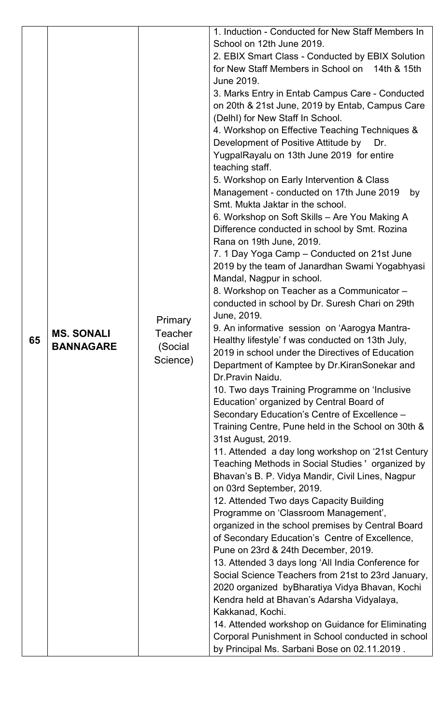| Management - conducted on 17th June 2019<br>Smt. Mukta Jaktar in the school.<br>6. Workshop on Soft Skills - Are You Making A<br>Difference conducted in school by Smt. Rozina<br>Rana on 19th June, 2019.<br>7. 1 Day Yoga Camp - Conducted on 21st June<br>Mandal, Nagpur in school.<br>8. Workshop on Teacher as a Communicator -<br>conducted in school by Dr. Suresh Chari on 29th<br>June, 2019.<br>Primary<br>9. An informative session on 'Aarogya Mantra-<br><b>MS. SONALI</b><br>Teacher<br>65<br>Healthy lifestyle' f was conducted on 13th July,<br>(Social<br><b>BANNAGARE</b><br>2019 in school under the Directives of Education<br>Science)<br>Department of Kamptee by Dr. Kiran Sonekar and<br>Dr. Pravin Naidu.<br>10. Two days Training Programme on 'Inclusive<br>Education' organized by Central Board of<br>Secondary Education's Centre of Excellence -<br>31st August, 2019.<br>Bhavan's B. P. Vidya Mandir, Civil Lines, Nagpur<br>on 03rd September, 2019.<br>12. Attended Two days Capacity Building<br>Programme on 'Classroom Management',<br>of Secondary Education's Centre of Excellence,<br>Pune on 23rd & 24th December, 2019.<br>Kendra held at Bhavan's Adarsha Vidyalaya,<br>Kakkanad, Kochi. |  |  | 1. Induction - Conducted for New Staff Members In<br>School on 12th June 2019.<br>2. EBIX Smart Class - Conducted by EBIX Solution<br>for New Staff Members in School on 14th & 15th<br>June 2019.<br>3. Marks Entry in Entab Campus Care - Conducted<br>on 20th & 21st June, 2019 by Entab, Campus Care<br>(Delhl) for New Staff In School.<br>4. Workshop on Effective Teaching Techniques &<br>Development of Positive Attitude by<br>Dr.<br>YugpalRayalu on 13th June 2019 for entire<br>teaching staff.<br>5. Workshop on Early Intervention & Class<br>by<br>2019 by the team of Janardhan Swami Yogabhyasi<br>Training Centre, Pune held in the School on 30th &<br>11. Attended a day long workshop on '21st Century<br>Teaching Methods in Social Studies 'organized by<br>organized in the school premises by Central Board<br>13. Attended 3 days long 'All India Conference for<br>Social Science Teachers from 21st to 23rd January,<br>2020 organized byBharatiya Vidya Bhavan, Kochi<br>14. Attended workshop on Guidance for Eliminating<br>Corporal Punishment in School conducted in school |
|-------------------------------------------------------------------------------------------------------------------------------------------------------------------------------------------------------------------------------------------------------------------------------------------------------------------------------------------------------------------------------------------------------------------------------------------------------------------------------------------------------------------------------------------------------------------------------------------------------------------------------------------------------------------------------------------------------------------------------------------------------------------------------------------------------------------------------------------------------------------------------------------------------------------------------------------------------------------------------------------------------------------------------------------------------------------------------------------------------------------------------------------------------------------------------------------------------------------------------------|--|--|---------------------------------------------------------------------------------------------------------------------------------------------------------------------------------------------------------------------------------------------------------------------------------------------------------------------------------------------------------------------------------------------------------------------------------------------------------------------------------------------------------------------------------------------------------------------------------------------------------------------------------------------------------------------------------------------------------------------------------------------------------------------------------------------------------------------------------------------------------------------------------------------------------------------------------------------------------------------------------------------------------------------------------------------------------------------------------------------------------------|
|-------------------------------------------------------------------------------------------------------------------------------------------------------------------------------------------------------------------------------------------------------------------------------------------------------------------------------------------------------------------------------------------------------------------------------------------------------------------------------------------------------------------------------------------------------------------------------------------------------------------------------------------------------------------------------------------------------------------------------------------------------------------------------------------------------------------------------------------------------------------------------------------------------------------------------------------------------------------------------------------------------------------------------------------------------------------------------------------------------------------------------------------------------------------------------------------------------------------------------------|--|--|---------------------------------------------------------------------------------------------------------------------------------------------------------------------------------------------------------------------------------------------------------------------------------------------------------------------------------------------------------------------------------------------------------------------------------------------------------------------------------------------------------------------------------------------------------------------------------------------------------------------------------------------------------------------------------------------------------------------------------------------------------------------------------------------------------------------------------------------------------------------------------------------------------------------------------------------------------------------------------------------------------------------------------------------------------------------------------------------------------------|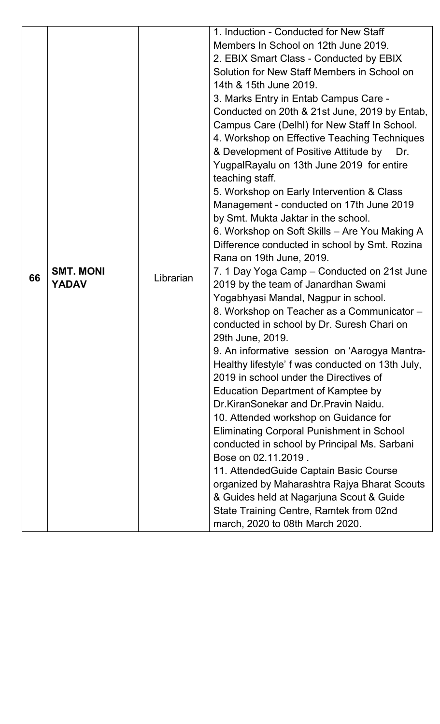|    |                                  |           | 1. Induction - Conducted for New Staff                                             |
|----|----------------------------------|-----------|------------------------------------------------------------------------------------|
|    |                                  |           | Members In School on 12th June 2019.                                               |
|    |                                  |           | 2. EBIX Smart Class - Conducted by EBIX                                            |
|    |                                  |           | Solution for New Staff Members in School on                                        |
|    |                                  |           | 14th & 15th June 2019.                                                             |
|    |                                  |           | 3. Marks Entry in Entab Campus Care -                                              |
|    |                                  |           | Conducted on 20th & 21st June, 2019 by Entab,                                      |
|    |                                  |           | Campus Care (DelhI) for New Staff In School.                                       |
|    |                                  |           | 4. Workshop on Effective Teaching Techniques                                       |
|    |                                  |           | & Development of Positive Attitude by<br>Dr.                                       |
|    |                                  |           | YugpalRayalu on 13th June 2019 for entire                                          |
|    |                                  |           | teaching staff.                                                                    |
|    |                                  |           | 5. Workshop on Early Intervention & Class                                          |
|    |                                  |           | Management - conducted on 17th June 2019                                           |
|    |                                  |           | by Smt. Mukta Jaktar in the school.                                                |
|    |                                  |           | 6. Workshop on Soft Skills - Are You Making A                                      |
|    |                                  |           | Difference conducted in school by Smt. Rozina                                      |
|    |                                  |           | Rana on 19th June, 2019.                                                           |
| 66 | <b>SMT. MONI</b><br><b>YADAV</b> | Librarian | 7. 1 Day Yoga Camp – Conducted on 21st June                                        |
|    |                                  |           | 2019 by the team of Janardhan Swami                                                |
|    |                                  |           | Yogabhyasi Mandal, Nagpur in school.<br>8. Workshop on Teacher as a Communicator - |
|    |                                  |           | conducted in school by Dr. Suresh Chari on                                         |
|    |                                  |           | 29th June, 2019.                                                                   |
|    |                                  |           | 9. An informative session on 'Aarogya Mantra-                                      |
|    |                                  |           | Healthy lifestyle' f was conducted on 13th July,                                   |
|    |                                  |           | 2019 in school under the Directives of                                             |
|    |                                  |           | Education Department of Kamptee by                                                 |
|    |                                  |           | Dr.KiranSonekar and Dr.Pravin Naidu.                                               |
|    |                                  |           | 10. Attended workshop on Guidance for                                              |
|    |                                  |           | <b>Eliminating Corporal Punishment in School</b>                                   |
|    |                                  |           | conducted in school by Principal Ms. Sarbani                                       |
|    |                                  |           | Bose on 02.11.2019.                                                                |
|    |                                  |           | 11. Attended Guide Captain Basic Course                                            |
|    |                                  |           | organized by Maharashtra Rajya Bharat Scouts                                       |
|    |                                  |           | & Guides held at Nagarjuna Scout & Guide                                           |
|    |                                  |           | State Training Centre, Ramtek from 02nd                                            |
|    |                                  |           | march, 2020 to 08th March 2020.                                                    |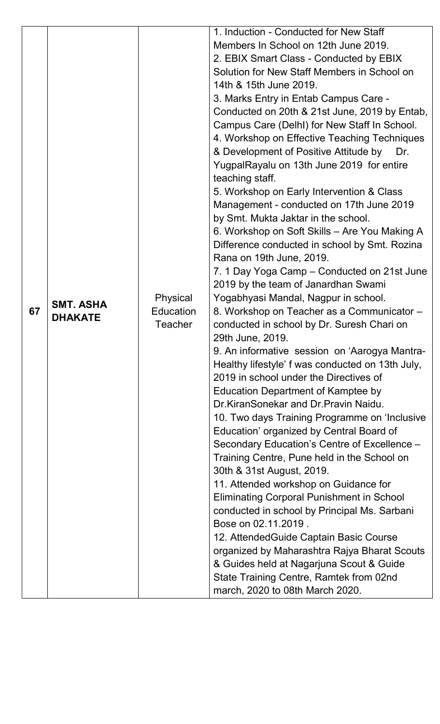|    |                  |                                         | 1. Induction - Conducted for New Staff           |
|----|------------------|-----------------------------------------|--------------------------------------------------|
|    |                  |                                         | Members In School on 12th June 2019.             |
|    |                  |                                         | 2. EBIX Smart Class - Conducted by EBIX          |
|    |                  |                                         | Solution for New Staff Members in School on      |
|    |                  |                                         | 14th & 15th June 2019.                           |
|    |                  |                                         | 3. Marks Entry in Entab Campus Care -            |
|    |                  |                                         | Conducted on 20th & 21st June, 2019 by Entab,    |
|    |                  |                                         | Campus Care (DelhI) for New Staff In School.     |
|    |                  |                                         | 4. Workshop on Effective Teaching Techniques     |
|    |                  |                                         | & Development of Positive Attitude by<br>Dr.     |
|    |                  |                                         | YugpalRayalu on 13th June 2019 for entire        |
|    |                  |                                         | teaching staff.                                  |
|    |                  |                                         | 5. Workshop on Early Intervention & Class        |
|    |                  |                                         | Management - conducted on 17th June 2019         |
|    |                  |                                         | by Smt. Mukta Jaktar in the school.              |
|    |                  |                                         | 6. Workshop on Soft Skills – Are You Making A    |
|    |                  |                                         | Difference conducted in school by Smt. Rozina    |
|    |                  |                                         | Rana on 19th June, 2019.                         |
|    |                  |                                         | 7. 1 Day Yoga Camp – Conducted on 21st June      |
|    |                  |                                         | 2019 by the team of Janardhan Swami              |
|    | <b>SMT. ASHA</b> | Physical<br>Education<br><b>Teacher</b> | Yogabhyasi Mandal, Nagpur in school.             |
| 67 | <b>DHAKATE</b>   |                                         | 8. Workshop on Teacher as a Communicator -       |
|    |                  |                                         | conducted in school by Dr. Suresh Chari on       |
|    |                  |                                         | 29th June, 2019.                                 |
|    |                  |                                         | 9. An informative session on 'Aarogya Mantra-    |
|    |                  |                                         | Healthy lifestyle' f was conducted on 13th July, |
|    |                  |                                         | 2019 in school under the Directives of           |
|    |                  |                                         | <b>Education Department of Kamptee by</b>        |
|    |                  |                                         | Dr.KiranSonekar and Dr.Pravin Naidu.             |
|    |                  |                                         | 10. Two days Training Programme on 'Inclusive    |
|    |                  |                                         | Education' organized by Central Board of         |
|    |                  |                                         | Secondary Education's Centre of Excellence -     |
|    |                  |                                         | Training Centre, Pune held in the School on      |
|    |                  |                                         | 30th & 31st August, 2019.                        |
|    |                  |                                         | 11. Attended workshop on Guidance for            |
|    |                  |                                         | <b>Eliminating Corporal Punishment in School</b> |
|    |                  |                                         | conducted in school by Principal Ms. Sarbani     |
|    |                  |                                         | Bose on 02.11.2019.                              |
|    |                  |                                         | 12. Attended Guide Captain Basic Course          |
|    |                  |                                         | organized by Maharashtra Rajya Bharat Scouts     |
|    |                  |                                         | & Guides held at Nagarjuna Scout & Guide         |
|    |                  |                                         | State Training Centre, Ramtek from 02nd          |
|    |                  |                                         | march, 2020 to 08th March 2020.                  |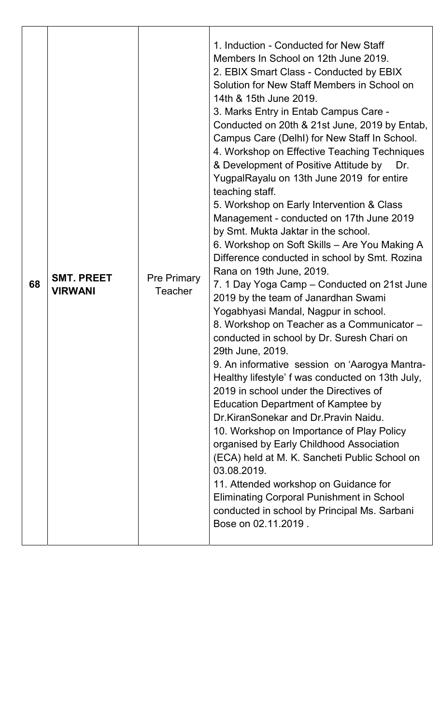| 68 | <b>SMT. PREET</b><br><b>VIRWANI</b> | <b>Pre Primary</b><br><b>Teacher</b> | 1. Induction - Conducted for New Staff<br>Members In School on 12th June 2019.<br>2. EBIX Smart Class - Conducted by EBIX<br>Solution for New Staff Members in School on<br>14th & 15th June 2019.<br>3. Marks Entry in Entab Campus Care -<br>Conducted on 20th & 21st June, 2019 by Entab,<br>Campus Care (DelhI) for New Staff In School.<br>4. Workshop on Effective Teaching Techniques<br>& Development of Positive Attitude by<br>Dr.<br>YugpalRayalu on 13th June 2019 for entire<br>teaching staff.<br>5. Workshop on Early Intervention & Class<br>Management - conducted on 17th June 2019<br>by Smt. Mukta Jaktar in the school.<br>6. Workshop on Soft Skills - Are You Making A<br>Difference conducted in school by Smt. Rozina<br>Rana on 19th June, 2019.<br>7. 1 Day Yoga Camp – Conducted on 21st June<br>2019 by the team of Janardhan Swami<br>Yogabhyasi Mandal, Nagpur in school.<br>8. Workshop on Teacher as a Communicator -<br>conducted in school by Dr. Suresh Chari on<br>29th June, 2019.<br>9. An informative session on 'Aarogya Mantra-<br>Healthy lifestyle' f was conducted on 13th July,<br>2019 in school under the Directives of<br>Education Department of Kamptee by<br>Dr.KiranSonekar and Dr.Pravin Naidu.<br>10. Workshop on Importance of Play Policy<br>organised by Early Childhood Association<br>(ECA) held at M. K. Sancheti Public School on<br>03.08.2019.<br>11. Attended workshop on Guidance for<br><b>Eliminating Corporal Punishment in School</b><br>conducted in school by Principal Ms. Sarbani<br>Bose on 02.11.2019. |
|----|-------------------------------------|--------------------------------------|------------------------------------------------------------------------------------------------------------------------------------------------------------------------------------------------------------------------------------------------------------------------------------------------------------------------------------------------------------------------------------------------------------------------------------------------------------------------------------------------------------------------------------------------------------------------------------------------------------------------------------------------------------------------------------------------------------------------------------------------------------------------------------------------------------------------------------------------------------------------------------------------------------------------------------------------------------------------------------------------------------------------------------------------------------------------------------------------------------------------------------------------------------------------------------------------------------------------------------------------------------------------------------------------------------------------------------------------------------------------------------------------------------------------------------------------------------------------------------------------------------------------------------------------------------------------------------|
|----|-------------------------------------|--------------------------------------|------------------------------------------------------------------------------------------------------------------------------------------------------------------------------------------------------------------------------------------------------------------------------------------------------------------------------------------------------------------------------------------------------------------------------------------------------------------------------------------------------------------------------------------------------------------------------------------------------------------------------------------------------------------------------------------------------------------------------------------------------------------------------------------------------------------------------------------------------------------------------------------------------------------------------------------------------------------------------------------------------------------------------------------------------------------------------------------------------------------------------------------------------------------------------------------------------------------------------------------------------------------------------------------------------------------------------------------------------------------------------------------------------------------------------------------------------------------------------------------------------------------------------------------------------------------------------------|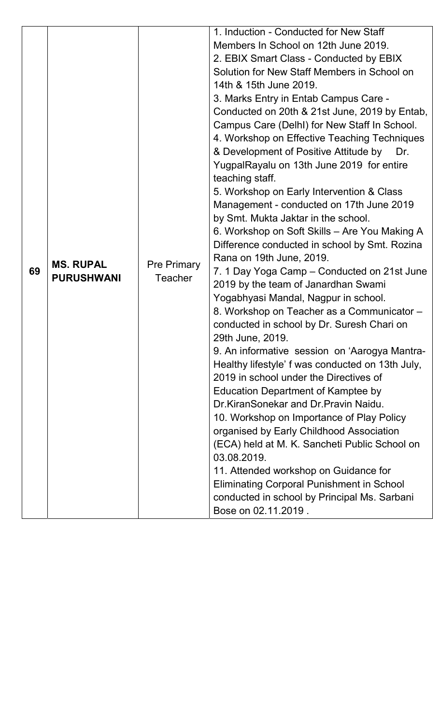|    |                   |                    | 1. Induction - Conducted for New Staff                                                   |
|----|-------------------|--------------------|------------------------------------------------------------------------------------------|
|    |                   |                    | Members In School on 12th June 2019.                                                     |
|    |                   |                    | 2. EBIX Smart Class - Conducted by EBIX                                                  |
|    |                   |                    | Solution for New Staff Members in School on                                              |
|    |                   |                    | 14th & 15th June 2019.                                                                   |
|    |                   |                    | 3. Marks Entry in Entab Campus Care -                                                    |
|    |                   |                    | Conducted on 20th & 21st June, 2019 by Entab,                                            |
|    |                   |                    | Campus Care (DelhI) for New Staff In School.                                             |
|    |                   |                    | 4. Workshop on Effective Teaching Techniques                                             |
|    |                   |                    | & Development of Positive Attitude by Dr.<br>YugpalRayalu on 13th June 2019 for entire   |
|    |                   |                    | teaching staff.                                                                          |
|    |                   |                    | 5. Workshop on Early Intervention & Class                                                |
|    |                   |                    | Management - conducted on 17th June 2019                                                 |
|    |                   |                    | by Smt. Mukta Jaktar in the school.                                                      |
|    |                   |                    | 6. Workshop on Soft Skills – Are You Making A                                            |
|    |                   |                    | Difference conducted in school by Smt. Rozina                                            |
|    | <b>MS. RUPAL</b>  | <b>Pre Primary</b> | Rana on 19th June, 2019.                                                                 |
| 69 | <b>PURUSHWANI</b> | <b>Teacher</b>     | 7. 1 Day Yoga Camp – Conducted on 21st June                                              |
|    |                   |                    | 2019 by the team of Janardhan Swami                                                      |
|    |                   |                    | Yogabhyasi Mandal, Nagpur in school.                                                     |
|    |                   |                    | 8. Workshop on Teacher as a Communicator -<br>conducted in school by Dr. Suresh Chari on |
|    |                   |                    | 29th June, 2019.                                                                         |
|    |                   |                    | 9. An informative session on 'Aarogya Mantra-                                            |
|    |                   |                    | Healthy lifestyle' f was conducted on 13th July,                                         |
|    |                   |                    | 2019 in school under the Directives of                                                   |
|    |                   |                    | <b>Education Department of Kamptee by</b>                                                |
|    |                   |                    | Dr.KiranSonekar and Dr.Pravin Naidu.                                                     |
|    |                   |                    | 10. Workshop on Importance of Play Policy                                                |
|    |                   |                    | organised by Early Childhood Association                                                 |
|    |                   |                    | (ECA) held at M. K. Sancheti Public School on                                            |
|    |                   |                    | 03.08.2019.                                                                              |
|    |                   |                    | 11. Attended workshop on Guidance for                                                    |
|    |                   |                    | <b>Eliminating Corporal Punishment in School</b>                                         |
|    |                   |                    | conducted in school by Principal Ms. Sarbani                                             |
|    |                   |                    | Bose on 02.11.2019.                                                                      |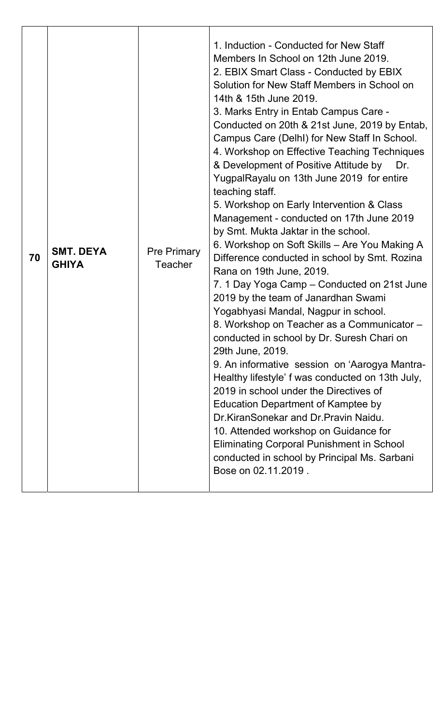| <b>SMT. DEYA</b><br>70<br><b>GHIYA</b> | 1. Induction - Conducted for New Staff<br>Members In School on 12th June 2019.<br>2. EBIX Smart Class - Conducted by EBIX<br>Solution for New Staff Members in School on<br>14th & 15th June 2019.<br>3. Marks Entry in Entab Campus Care -<br>Conducted on 20th & 21st June, 2019 by Entab,<br>Campus Care (DelhI) for New Staff In School.<br>4. Workshop on Effective Teaching Techniques<br>& Development of Positive Attitude by<br>Dr.<br>YugpalRayalu on 13th June 2019 for entire<br>teaching staff.<br>5. Workshop on Early Intervention & Class<br>Management - conducted on 17th June 2019<br>by Smt. Mukta Jaktar in the school.<br>6. Workshop on Soft Skills – Are You Making A<br><b>Pre Primary</b><br>Difference conducted in school by Smt. Rozina<br><b>Teacher</b><br>Rana on 19th June, 2019.<br>7. 1 Day Yoga Camp – Conducted on 21st June<br>2019 by the team of Janardhan Swami<br>Yogabhyasi Mandal, Nagpur in school.<br>8. Workshop on Teacher as a Communicator -<br>conducted in school by Dr. Suresh Chari on<br>29th June, 2019.<br>9. An informative session on 'Aarogya Mantra-<br>Healthy lifestyle' f was conducted on 13th July,<br>2019 in school under the Directives of<br>Education Department of Kamptee by<br>Dr.KiranSonekar and Dr.Pravin Naidu.<br>10. Attended workshop on Guidance for<br><b>Eliminating Corporal Punishment in School</b><br>conducted in school by Principal Ms. Sarbani<br>Bose on 02.11.2019. |
|----------------------------------------|-------------------------------------------------------------------------------------------------------------------------------------------------------------------------------------------------------------------------------------------------------------------------------------------------------------------------------------------------------------------------------------------------------------------------------------------------------------------------------------------------------------------------------------------------------------------------------------------------------------------------------------------------------------------------------------------------------------------------------------------------------------------------------------------------------------------------------------------------------------------------------------------------------------------------------------------------------------------------------------------------------------------------------------------------------------------------------------------------------------------------------------------------------------------------------------------------------------------------------------------------------------------------------------------------------------------------------------------------------------------------------------------------------------------------------------------------------------------|
|----------------------------------------|-------------------------------------------------------------------------------------------------------------------------------------------------------------------------------------------------------------------------------------------------------------------------------------------------------------------------------------------------------------------------------------------------------------------------------------------------------------------------------------------------------------------------------------------------------------------------------------------------------------------------------------------------------------------------------------------------------------------------------------------------------------------------------------------------------------------------------------------------------------------------------------------------------------------------------------------------------------------------------------------------------------------------------------------------------------------------------------------------------------------------------------------------------------------------------------------------------------------------------------------------------------------------------------------------------------------------------------------------------------------------------------------------------------------------------------------------------------------|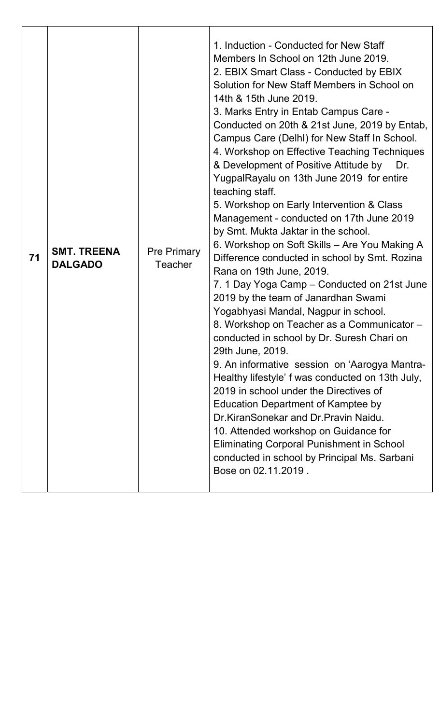| 71 | <b>SMT. TREENA</b><br><b>DALGADO</b> | <b>Pre Primary</b><br><b>Teacher</b> | 1. Induction - Conducted for New Staff<br>Members In School on 12th June 2019.<br>2. EBIX Smart Class - Conducted by EBIX<br>Solution for New Staff Members in School on<br>14th & 15th June 2019.<br>3. Marks Entry in Entab Campus Care -<br>Conducted on 20th & 21st June, 2019 by Entab,<br>Campus Care (DelhI) for New Staff In School.<br>4. Workshop on Effective Teaching Techniques<br>& Development of Positive Attitude by<br>Dr.<br>YugpalRayalu on 13th June 2019 for entire<br>teaching staff.<br>5. Workshop on Early Intervention & Class<br>Management - conducted on 17th June 2019<br>by Smt. Mukta Jaktar in the school.<br>6. Workshop on Soft Skills - Are You Making A<br>Difference conducted in school by Smt. Rozina<br>Rana on 19th June, 2019.<br>7. 1 Day Yoga Camp – Conducted on 21st June<br>2019 by the team of Janardhan Swami<br>Yogabhyasi Mandal, Nagpur in school.<br>8. Workshop on Teacher as a Communicator -<br>conducted in school by Dr. Suresh Chari on<br>29th June, 2019.<br>9. An informative session on 'Aarogya Mantra-<br>Healthy lifestyle' f was conducted on 13th July,<br>2019 in school under the Directives of<br><b>Education Department of Kamptee by</b><br>Dr.KiranSonekar and Dr.Pravin Naidu.<br>10. Attended workshop on Guidance for<br><b>Eliminating Corporal Punishment in School</b><br>conducted in school by Principal Ms. Sarbani<br>Bose on 02.11.2019. |
|----|--------------------------------------|--------------------------------------|----------------------------------------------------------------------------------------------------------------------------------------------------------------------------------------------------------------------------------------------------------------------------------------------------------------------------------------------------------------------------------------------------------------------------------------------------------------------------------------------------------------------------------------------------------------------------------------------------------------------------------------------------------------------------------------------------------------------------------------------------------------------------------------------------------------------------------------------------------------------------------------------------------------------------------------------------------------------------------------------------------------------------------------------------------------------------------------------------------------------------------------------------------------------------------------------------------------------------------------------------------------------------------------------------------------------------------------------------------------------------------------------------------------------------------|
|----|--------------------------------------|--------------------------------------|----------------------------------------------------------------------------------------------------------------------------------------------------------------------------------------------------------------------------------------------------------------------------------------------------------------------------------------------------------------------------------------------------------------------------------------------------------------------------------------------------------------------------------------------------------------------------------------------------------------------------------------------------------------------------------------------------------------------------------------------------------------------------------------------------------------------------------------------------------------------------------------------------------------------------------------------------------------------------------------------------------------------------------------------------------------------------------------------------------------------------------------------------------------------------------------------------------------------------------------------------------------------------------------------------------------------------------------------------------------------------------------------------------------------------------|